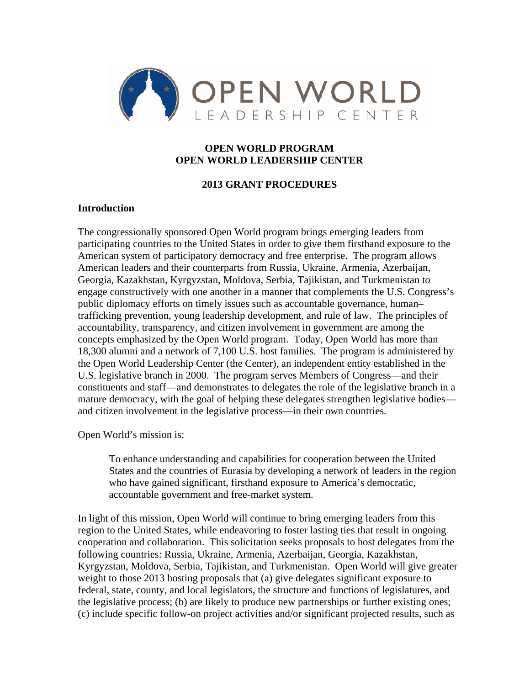

### **OPEN WORLD PROGRAM OPEN WORLD LEADERSHIP CENTER**

### **2013 GRANT PROCEDURES**

### **Introduction**

The congressionally sponsored Open World program brings emerging leaders from participating countries to the United States in order to give them firsthand exposure to the American system of participatory democracy and free enterprise. The program allows American leaders and their counterparts from Russia, Ukraine, Armenia, Azerbaijan, Georgia, Kazakhstan, Kyrgyzstan, Moldova, Serbia, Tajikistan, and Turkmenistan to engage constructively with one another in a manner that complements the U.S. Congress's public diplomacy efforts on timely issues such as accountable governance, human– trafficking prevention, young leadership development, and rule of law. The principles of accountability, transparency, and citizen involvement in government are among the concepts emphasized by the Open World program. Today, Open World has more than 18,300 alumni and a network of 7,100 U.S. host families. The program is administered by the Open World Leadership Center (the Center), an independent entity established in the U.S. legislative branch in 2000. The program serves Members of Congress—and their constituents and staff—and demonstrates to delegates the role of the legislative branch in a mature democracy, with the goal of helping these delegates strengthen legislative bodies and citizen involvement in the legislative process—in their own countries.

Open World's mission is:

To enhance understanding and capabilities for cooperation between the United States and the countries of Eurasia by developing a network of leaders in the region who have gained significant, firsthand exposure to America's democratic, accountable government and free-market system.

In light of this mission, Open World will continue to bring emerging leaders from this region to the United States, while endeavoring to foster lasting ties that result in ongoing cooperation and collaboration. This solicitation seeks proposals to host delegates from the following countries: Russia, Ukraine, Armenia, Azerbaijan, Georgia, Kazakhstan, Kyrgyzstan, Moldova, Serbia, Tajikistan, and Turkmenistan. Open World will give greater weight to those 2013 hosting proposals that (a) give delegates significant exposure to federal, state, county, and local legislators, the structure and functions of legislatures, and the legislative process; (b) are likely to produce new partnerships or further existing ones; (c) include specific follow-on project activities and/or significant projected results, such as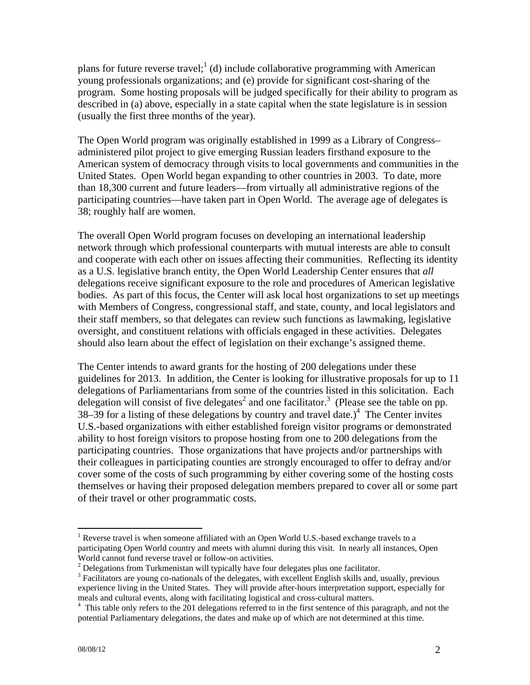plans for future reverse travel;<sup>1</sup> (d) include collaborative programming with American young professionals organizations; and (e) provide for significant cost-sharing of the program. Some hosting proposals will be judged specifically for their ability to program as described in (a) above, especially in a state capital when the state legislature is in session (usually the first three months of the year).

The Open World program was originally established in 1999 as a Library of Congress– administered pilot project to give emerging Russian leaders firsthand exposure to the American system of democracy through visits to local governments and communities in the United States. Open World began expanding to other countries in 2003. To date, more than 18,300 current and future leaders—from virtually all administrative regions of the participating countries—have taken part in Open World. The average age of delegates is 38; roughly half are women.

The overall Open World program focuses on developing an international leadership network through which professional counterparts with mutual interests are able to consult and cooperate with each other on issues affecting their communities. Reflecting its identity as a U.S. legislative branch entity, the Open World Leadership Center ensures that *all* delegations receive significant exposure to the role and procedures of American legislative bodies. As part of this focus, the Center will ask local host organizations to set up meetings with Members of Congress, congressional staff, and state, county, and local legislators and their staff members, so that delegates can review such functions as lawmaking, legislative oversight, and constituent relations with officials engaged in these activities. Delegates should also learn about the effect of legislation on their exchange's assigned theme.

The Center intends to award grants for the hosting of 200 delegations under these guidelines for 2013. In addition, the Center is looking for illustrative proposals for up to 11 delegations of Parliamentarians from some of the countries listed in this solicitation. Each delegation will consist of five delegates<sup>2</sup> and one facilitator.<sup>3</sup> (Please see the table on pp. 38–39 for a listing of these delegations by country and travel date.)<sup>4</sup> The Center invites U.S.-based organizations with either established foreign visitor programs or demonstrated ability to host foreign visitors to propose hosting from one to 200 delegations from the participating countries. Those organizations that have projects and/or partnerships with their colleagues in participating counties are strongly encouraged to offer to defray and/or cover some of the costs of such programming by either covering some of the hosting costs themselves or having their proposed delegation members prepared to cover all or some part of their travel or other programmatic costs.

 $\overline{a}$ <sup>1</sup> Reverse travel is when someone affiliated with an Open World U.S.-based exchange travels to a participating Open World country and meets with alumni during this visit. In nearly all instances, Open World cannot fund reverse travel or follow-on activities.

 $2$  Delegations from Turkmenistan will typically have four delegates plus one facilitator.

<sup>&</sup>lt;sup>3</sup> Facilitators are young co-nationals of the delegates, with excellent English skills and, usually, previous experience living in the United States. They will provide after-hours interpretation support, especially for meals and cultural events, along with facilitating logistical and cross-cultural matters. 4

<sup>&</sup>lt;sup>4</sup> This table only refers to the 201 delegations referred to in the first sentence of this paragraph, and not the potential Parliamentary delegations, the dates and make up of which are not determined at this time.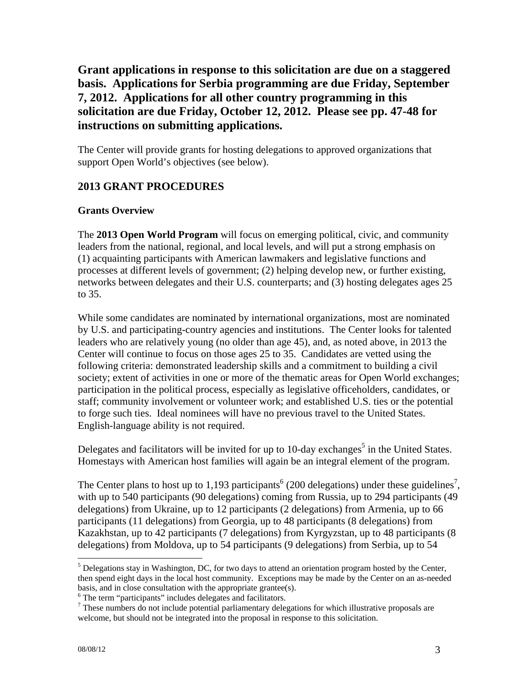# **Grant applications in response to this solicitation are due on a staggered basis. Applications for Serbia programming are due Friday, September 7, 2012. Applications for all other country programming in this solicitation are due Friday, October 12, 2012. Please see pp. 47-48 for instructions on submitting applications.**

The Center will provide grants for hosting delegations to approved organizations that support Open World's objectives (see below).

## **2013 GRANT PROCEDURES**

### **Grants Overview**

The **2013 Open World Program** will focus on emerging political, civic, and community leaders from the national, regional, and local levels, and will put a strong emphasis on (1) acquainting participants with American lawmakers and legislative functions and processes at different levels of government; (2) helping develop new, or further existing, networks between delegates and their U.S. counterparts; and (3) hosting delegates ages 25 to 35.

While some candidates are nominated by international organizations, most are nominated by U.S. and participating-country agencies and institutions. The Center looks for talented leaders who are relatively young (no older than age 45), and, as noted above, in 2013 the Center will continue to focus on those ages 25 to 35. Candidates are vetted using the following criteria: demonstrated leadership skills and a commitment to building a civil society; extent of activities in one or more of the thematic areas for Open World exchanges; participation in the political process, especially as legislative officeholders, candidates, or staff; community involvement or volunteer work; and established U.S. ties or the potential to forge such ties. Ideal nominees will have no previous travel to the United States. English-language ability is not required.

Delegates and facilitators will be invited for up to 10-day exchanges<sup>5</sup> in the United States. Homestays with American host families will again be an integral element of the program.

The Center plans to host up to 1,193 participants<sup>6</sup> (200 delegations) under these guidelines<sup>7</sup>, with up to 540 participants (90 delegations) coming from Russia, up to 294 participants (49 delegations) from Ukraine, up to 12 participants (2 delegations) from Armenia, up to 66 participants (11 delegations) from Georgia, up to 48 participants (8 delegations) from Kazakhstan, up to 42 participants (7 delegations) from Kyrgyzstan, up to 48 participants (8 delegations) from Moldova, up to 54 participants (9 delegations) from Serbia, up to 54

1

 $<sup>5</sup>$  Delegations stay in Washington, DC, for two days to attend an orientation program hosted by the Center,</sup> then spend eight days in the local host community. Exceptions may be made by the Center on an as-needed basis, and in close consultation with the appropriate grantee(s).

 $6$  The term "participants" includes delegates and facilitators.

 $<sup>7</sup>$  These numbers do not include potential parliamentary delegations for which illustrative proposals are</sup> welcome, but should not be integrated into the proposal in response to this solicitation.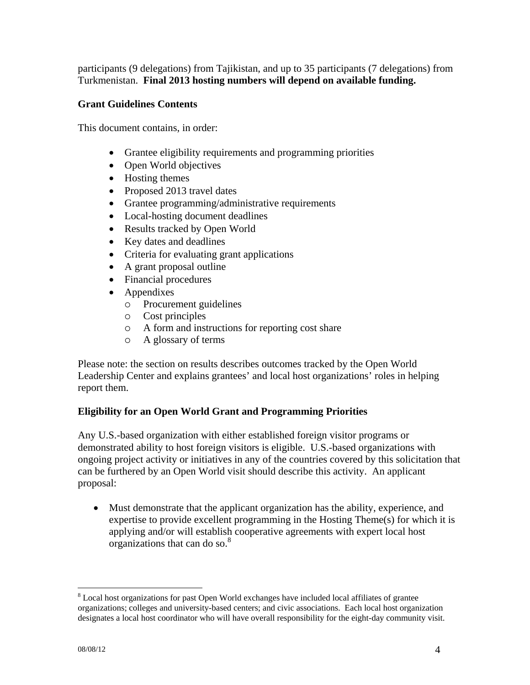participants (9 delegations) from Tajikistan, and up to 35 participants (7 delegations) from Turkmenistan. **Final 2013 hosting numbers will depend on available funding.**

### **Grant Guidelines Contents**

This document contains, in order:

- Grantee eligibility requirements and programming priorities
- Open World objectives
- Hosting themes
- Proposed 2013 travel dates
- Grantee programming/administrative requirements
- Local-hosting document deadlines
- Results tracked by Open World
- Key dates and deadlines
- Criteria for evaluating grant applications
- A grant proposal outline
- Financial procedures
- Appendixes
	- Procurement guidelines
	- Cost principles
	- A form and instructions for reporting cost share
	- A glossary of terms

Please note: the section on results describes outcomes tracked by the Open World Leadership Center and explains grantees' and local host organizations' roles in helping report them.

## **Eligibility for an Open World Grant and Programming Priorities**

Any U.S.-based organization with either established foreign visitor programs or demonstrated ability to host foreign visitors is eligible. U.S.-based organizations with ongoing project activity or initiatives in any of the countries covered by this solicitation that can be furthered by an Open World visit should describe this activity. An applicant proposal:

 Must demonstrate that the applicant organization has the ability, experience, and expertise to provide excellent programming in the Hosting Theme(s) for which it is applying and/or will establish cooperative agreements with expert local host organizations that can do so. $8<sup>8</sup>$ 

 $\overline{a}$ <sup>8</sup> Local host organizations for past Open World exchanges have included local affiliates of grantee organizations; colleges and university-based centers; and civic associations. Each local host organization designates a local host coordinator who will have overall responsibility for the eight-day community visit.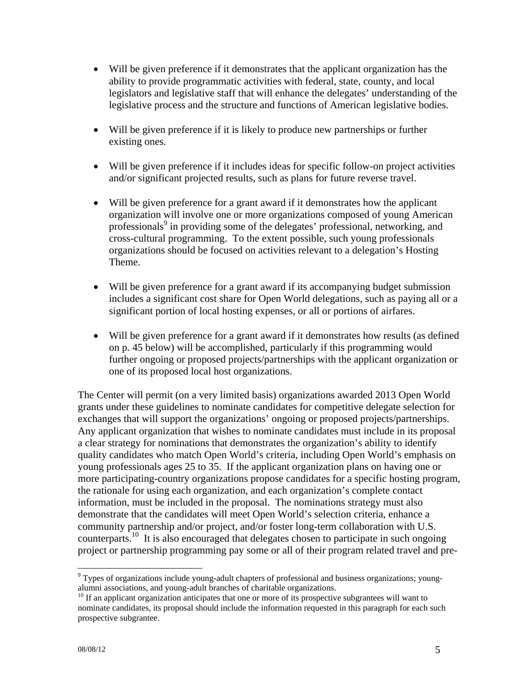- Will be given preference if it demonstrates that the applicant organization has the ability to provide programmatic activities with federal, state, county, and local legislators and legislative staff that will enhance the delegates' understanding of the legislative process and the structure and functions of American legislative bodies.
- Will be given preference if it is likely to produce new partnerships or further existing ones.
- Will be given preference if it includes ideas for specific follow-on project activities and/or significant projected results, such as plans for future reverse travel.
- Will be given preference for a grant award if it demonstrates how the applicant organization will involve one or more organizations composed of young American professionals<sup>9</sup> in providing some of the delegates' professional, networking, and cross-cultural programming. To the extent possible, such young professionals organizations should be focused on activities relevant to a delegation's Hosting Theme.
- Will be given preference for a grant award if its accompanying budget submission includes a significant cost share for Open World delegations, such as paying all or a significant portion of local hosting expenses, or all or portions of airfares.
- Will be given preference for a grant award if it demonstrates how results (as defined on p. 45 below) will be accomplished, particularly if this programming would further ongoing or proposed projects/partnerships with the applicant organization or one of its proposed local host organizations.

The Center will permit (on a very limited basis) organizations awarded 2013 Open World grants under these guidelines to nominate candidates for competitive delegate selection for exchanges that will support the organizations' ongoing or proposed projects/partnerships. Any applicant organization that wishes to nominate candidates must include in its proposal a clear strategy for nominations that demonstrates the organization's ability to identify quality candidates who match Open World's criteria, including Open World's emphasis on young professionals ages 25 to 35. If the applicant organization plans on having one or more participating-country organizations propose candidates for a specific hosting program, the rationale for using each organization, and each organization's complete contact information, must be included in the proposal. The nominations strategy must also demonstrate that the candidates will meet Open World's selection criteria, enhance a community partnership and/or project, and/or foster long-term collaboration with U.S. counterparts.<sup>10</sup> It is also encouraged that delegates chosen to participate in such ongoing project or partnership programming pay some or all of their program related travel and pre-

 $\overline{a}$ <sup>9</sup> Types of organizations include young-adult chapters of professional and business organizations; youngalumni associations, and young-adult branches of charitable organizations.

<sup>&</sup>lt;sup>10</sup> If an applicant organization anticipates that one or more of its prospective subgrantees will want to nominate candidates, its proposal should include the information requested in this paragraph for each such prospective subgrantee.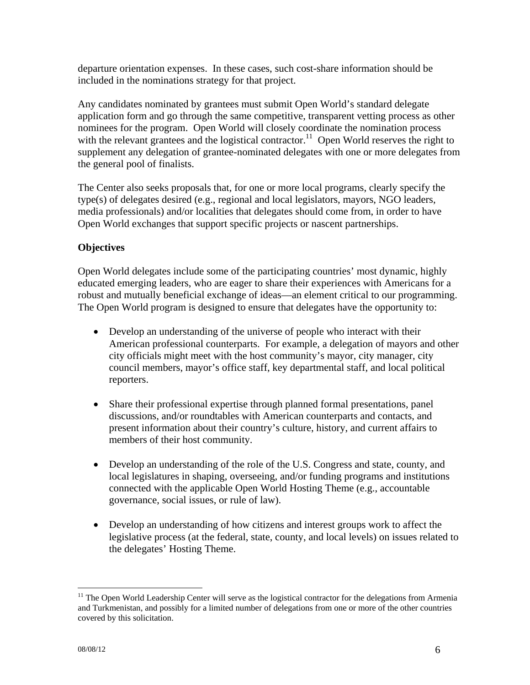departure orientation expenses. In these cases, such cost-share information should be included in the nominations strategy for that project.

Any candidates nominated by grantees must submit Open World's standard delegate application form and go through the same competitive, transparent vetting process as other nominees for the program. Open World will closely coordinate the nomination process with the relevant grantees and the logistical contractor.<sup>11</sup> Open World reserves the right to supplement any delegation of grantee-nominated delegates with one or more delegates from the general pool of finalists.

The Center also seeks proposals that, for one or more local programs, clearly specify the type(s) of delegates desired (e.g., regional and local legislators, mayors, NGO leaders, media professionals) and/or localities that delegates should come from, in order to have Open World exchanges that support specific projects or nascent partnerships.

## **Objectives**

Open World delegates include some of the participating countries' most dynamic, highly educated emerging leaders, who are eager to share their experiences with Americans for a robust and mutually beneficial exchange of ideas—an element critical to our programming. The Open World program is designed to ensure that delegates have the opportunity to:

- Develop an understanding of the universe of people who interact with their American professional counterparts. For example, a delegation of mayors and other city officials might meet with the host community's mayor, city manager, city council members, mayor's office staff, key departmental staff, and local political reporters.
- Share their professional expertise through planned formal presentations, panel discussions, and/or roundtables with American counterparts and contacts, and present information about their country's culture, history, and current affairs to members of their host community.
- Develop an understanding of the role of the U.S. Congress and state, county, and local legislatures in shaping, overseeing, and/or funding programs and institutions connected with the applicable Open World Hosting Theme (e.g., accountable governance, social issues, or rule of law).
- Develop an understanding of how citizens and interest groups work to affect the legislative process (at the federal, state, county, and local levels) on issues related to the delegates' Hosting Theme.

1

<sup>&</sup>lt;sup>11</sup> The Open World Leadership Center will serve as the logistical contractor for the delegations from Armenia and Turkmenistan, and possibly for a limited number of delegations from one or more of the other countries covered by this solicitation.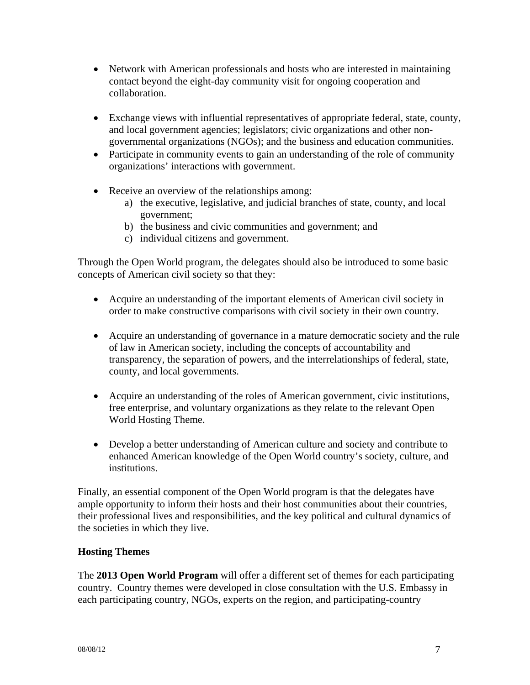- Network with American professionals and hosts who are interested in maintaining contact beyond the eight-day community visit for ongoing cooperation and collaboration.
- Exchange views with influential representatives of appropriate federal, state, county, and local government agencies; legislators; civic organizations and other nongovernmental organizations (NGOs); and the business and education communities.
- Participate in community events to gain an understanding of the role of community organizations' interactions with government.
- Receive an overview of the relationships among:
	- a) the executive, legislative, and judicial branches of state, county, and local government;
	- b) the business and civic communities and government; and
	- c) individual citizens and government.

Through the Open World program, the delegates should also be introduced to some basic concepts of American civil society so that they:

- Acquire an understanding of the important elements of American civil society in order to make constructive comparisons with civil society in their own country.
- Acquire an understanding of governance in a mature democratic society and the rule of law in American society, including the concepts of accountability and transparency, the separation of powers, and the interrelationships of federal, state, county, and local governments.
- Acquire an understanding of the roles of American government, civic institutions, free enterprise, and voluntary organizations as they relate to the relevant Open World Hosting Theme.
- Develop a better understanding of American culture and society and contribute to enhanced American knowledge of the Open World country's society, culture, and institutions.

Finally, an essential component of the Open World program is that the delegates have ample opportunity to inform their hosts and their host communities about their countries, their professional lives and responsibilities, and the key political and cultural dynamics of the societies in which they live.

## **Hosting Themes**

The **2013 Open World Program** will offer a different set of themes for each participating country. Country themes were developed in close consultation with the U.S. Embassy in each participating country, NGOs, experts on the region, and participating-country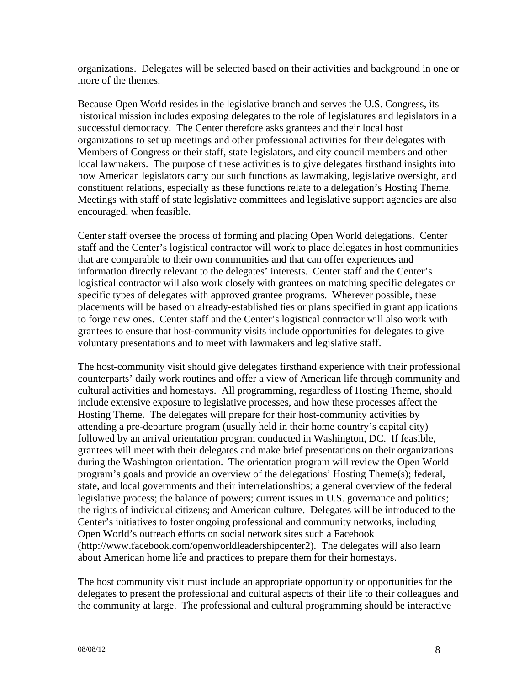organizations. Delegates will be selected based on their activities and background in one or more of the themes.

Because Open World resides in the legislative branch and serves the U.S. Congress, its historical mission includes exposing delegates to the role of legislatures and legislators in a successful democracy. The Center therefore asks grantees and their local host organizations to set up meetings and other professional activities for their delegates with Members of Congress or their staff, state legislators, and city council members and other local lawmakers. The purpose of these activities is to give delegates firsthand insights into how American legislators carry out such functions as lawmaking, legislative oversight, and constituent relations, especially as these functions relate to a delegation's Hosting Theme. Meetings with staff of state legislative committees and legislative support agencies are also encouraged, when feasible.

Center staff oversee the process of forming and placing Open World delegations. Center staff and the Center's logistical contractor will work to place delegates in host communities that are comparable to their own communities and that can offer experiences and information directly relevant to the delegates' interests. Center staff and the Center's logistical contractor will also work closely with grantees on matching specific delegates or specific types of delegates with approved grantee programs. Wherever possible, these placements will be based on already-established ties or plans specified in grant applications to forge new ones. Center staff and the Center's logistical contractor will also work with grantees to ensure that host-community visits include opportunities for delegates to give voluntary presentations and to meet with lawmakers and legislative staff.

The host-community visit should give delegates firsthand experience with their professional counterparts' daily work routines and offer a view of American life through community and cultural activities and homestays. All programming, regardless of Hosting Theme, should include extensive exposure to legislative processes, and how these processes affect the Hosting Theme. The delegates will prepare for their host-community activities by attending a pre-departure program (usually held in their home country's capital city) followed by an arrival orientation program conducted in Washington, DC. If feasible, grantees will meet with their delegates and make brief presentations on their organizations during the Washington orientation. The orientation program will review the Open World program's goals and provide an overview of the delegations' Hosting Theme(s); federal, state, and local governments and their interrelationships; a general overview of the federal legislative process; the balance of powers; current issues in U.S. governance and politics; the rights of individual citizens; and American culture. Delegates will be introduced to the Center's initiatives to foster ongoing professional and community networks, including Open World's outreach efforts on social network sites such a Facebook (http://www.facebook.com/openworldleadershipcenter2). The delegates will also learn about American home life and practices to prepare them for their homestays.

The host community visit must include an appropriate opportunity or opportunities for the delegates to present the professional and cultural aspects of their life to their colleagues and the community at large. The professional and cultural programming should be interactive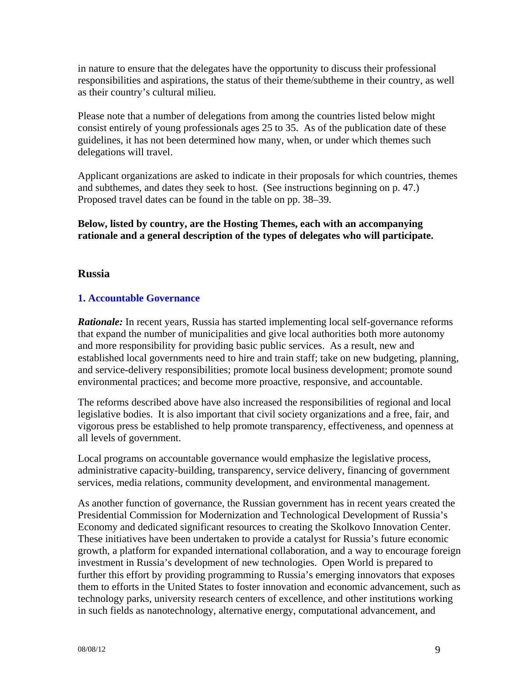in nature to ensure that the delegates have the opportunity to discuss their professional responsibilities and aspirations, the status of their theme/subtheme in their country, as well as their country's cultural milieu.

Please note that a number of delegations from among the countries listed below might consist entirely of young professionals ages 25 to 35. As of the publication date of these guidelines, it has not been determined how many, when, or under which themes such delegations will travel.

Applicant organizations are asked to indicate in their proposals for which countries, themes and subthemes, and dates they seek to host. (See instructions beginning on p. 47.) Proposed travel dates can be found in the table on pp. 38–39.

**Below, listed by country, are the Hosting Themes, each with an accompanying rationale and a general description of the types of delegates who will participate.** 

### **Russia**

### **1. Accountable Governance**

*Rationale:* In recent years, Russia has started implementing local self-governance reforms that expand the number of municipalities and give local authorities both more autonomy and more responsibility for providing basic public services. As a result, new and established local governments need to hire and train staff; take on new budgeting, planning, and service-delivery responsibilities; promote local business development; promote sound environmental practices; and become more proactive, responsive, and accountable.

The reforms described above have also increased the responsibilities of regional and local legislative bodies. It is also important that civil society organizations and a free, fair, and vigorous press be established to help promote transparency, effectiveness, and openness at all levels of government.

Local programs on accountable governance would emphasize the legislative process, administrative capacity-building, transparency, service delivery, financing of government services, media relations, community development, and environmental management.

As another function of governance, the Russian government has in recent years created the Presidential Commission for Modernization and Technological Development of Russia's Economy and dedicated significant resources to creating the Skolkovo Innovation Center. These initiatives have been undertaken to provide a catalyst for Russia's future economic growth, a platform for expanded international collaboration, and a way to encourage foreign investment in Russia's development of new technologies. Open World is prepared to further this effort by providing programming to Russia's emerging innovators that exposes them to efforts in the United States to foster innovation and economic advancement, such as technology parks, university research centers of excellence, and other institutions working in such fields as nanotechnology, alternative energy, computational advancement, and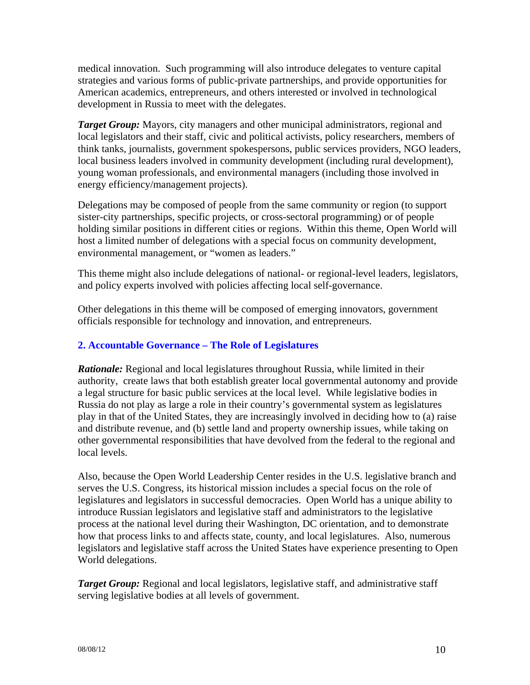medical innovation. Such programming will also introduce delegates to venture capital strategies and various forms of public-private partnerships, and provide opportunities for American academics, entrepreneurs, and others interested or involved in technological development in Russia to meet with the delegates.

*Target Group:* Mayors, city managers and other municipal administrators, regional and local legislators and their staff, civic and political activists, policy researchers, members of think tanks, journalists, government spokespersons, public services providers, NGO leaders, local business leaders involved in community development (including rural development), young woman professionals, and environmental managers (including those involved in energy efficiency/management projects).

Delegations may be composed of people from the same community or region (to support sister-city partnerships, specific projects, or cross-sectoral programming) or of people holding similar positions in different cities or regions. Within this theme, Open World will host a limited number of delegations with a special focus on community development, environmental management, or "women as leaders."

This theme might also include delegations of national- or regional-level leaders, legislators, and policy experts involved with policies affecting local self-governance.

Other delegations in this theme will be composed of emerging innovators, government officials responsible for technology and innovation, and entrepreneurs.

## **2. Accountable Governance – The Role of Legislatures**

*Rationale:* Regional and local legislatures throughout Russia, while limited in their authority, create laws that both establish greater local governmental autonomy and provide a legal structure for basic public services at the local level. While legislative bodies in Russia do not play as large a role in their country's governmental system as legislatures play in that of the United States, they are increasingly involved in deciding how to (a) raise and distribute revenue, and (b) settle land and property ownership issues, while taking on other governmental responsibilities that have devolved from the federal to the regional and local levels.

Also, because the Open World Leadership Center resides in the U.S. legislative branch and serves the U.S. Congress, its historical mission includes a special focus on the role of legislatures and legislators in successful democracies. Open World has a unique ability to introduce Russian legislators and legislative staff and administrators to the legislative process at the national level during their Washington, DC orientation, and to demonstrate how that process links to and affects state, county, and local legislatures. Also, numerous legislators and legislative staff across the United States have experience presenting to Open World delegations.

*Target Group:* Regional and local legislators, legislative staff, and administrative staff serving legislative bodies at all levels of government.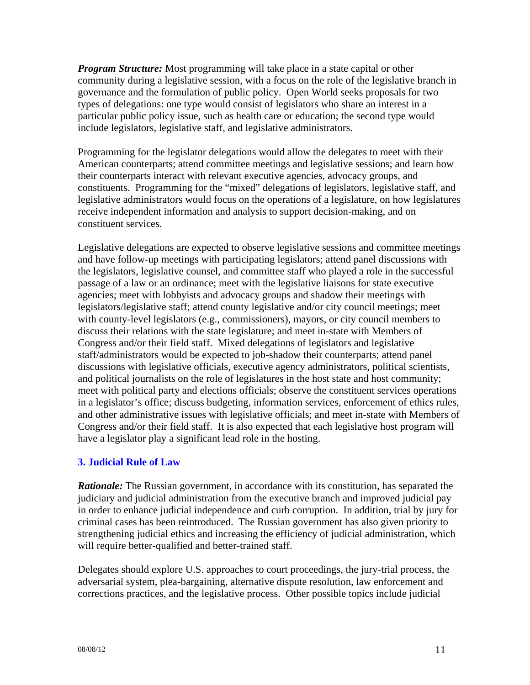*Program Structure:* Most programming will take place in a state capital or other community during a legislative session, with a focus on the role of the legislative branch in governance and the formulation of public policy. Open World seeks proposals for two types of delegations: one type would consist of legislators who share an interest in a particular public policy issue, such as health care or education; the second type would include legislators, legislative staff, and legislative administrators.

Programming for the legislator delegations would allow the delegates to meet with their American counterparts; attend committee meetings and legislative sessions; and learn how their counterparts interact with relevant executive agencies, advocacy groups, and constituents. Programming for the "mixed" delegations of legislators, legislative staff, and legislative administrators would focus on the operations of a legislature, on how legislatures receive independent information and analysis to support decision-making, and on constituent services.

Legislative delegations are expected to observe legislative sessions and committee meetings and have follow-up meetings with participating legislators; attend panel discussions with the legislators, legislative counsel, and committee staff who played a role in the successful passage of a law or an ordinance; meet with the legislative liaisons for state executive agencies; meet with lobbyists and advocacy groups and shadow their meetings with legislators/legislative staff; attend county legislative and/or city council meetings; meet with county-level legislators (e.g., commissioners), mayors, or city council members to discuss their relations with the state legislature; and meet in-state with Members of Congress and/or their field staff. Mixed delegations of legislators and legislative staff/administrators would be expected to job-shadow their counterparts; attend panel discussions with legislative officials, executive agency administrators, political scientists, and political journalists on the role of legislatures in the host state and host community; meet with political party and elections officials; observe the constituent services operations in a legislator's office; discuss budgeting, information services, enforcement of ethics rules, and other administrative issues with legislative officials; and meet in-state with Members of Congress and/or their field staff. It is also expected that each legislative host program will have a legislator play a significant lead role in the hosting.

## **3. Judicial Rule of Law**

*Rationale:* The Russian government, in accordance with its constitution, has separated the judiciary and judicial administration from the executive branch and improved judicial pay in order to enhance judicial independence and curb corruption. In addition, trial by jury for criminal cases has been reintroduced. The Russian government has also given priority to strengthening judicial ethics and increasing the efficiency of judicial administration, which will require better-qualified and better-trained staff.

Delegates should explore U.S. approaches to court proceedings, the jury-trial process, the adversarial system, plea-bargaining, alternative dispute resolution, law enforcement and corrections practices, and the legislative process. Other possible topics include judicial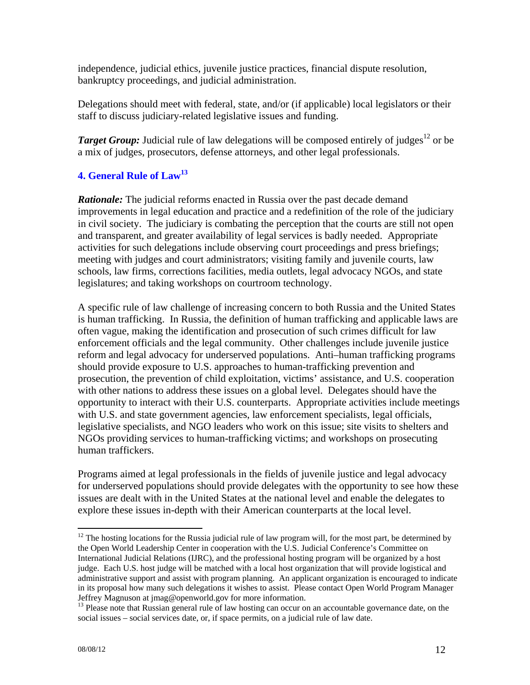independence, judicial ethics, juvenile justice practices, financial dispute resolution, bankruptcy proceedings, and judicial administration.

Delegations should meet with federal, state, and/or (if applicable) local legislators or their staff to discuss judiciary-related legislative issues and funding.

*Target Group*: Judicial rule of law delegations will be composed entirely of judges<sup>12</sup> or be a mix of judges, prosecutors, defense attorneys, and other legal professionals.

## **4. General Rule of Law13**

**Rationale:** The judicial reforms enacted in Russia over the past decade demand improvements in legal education and practice and a redefinition of the role of the judiciary in civil society. The judiciary is combating the perception that the courts are still not open and transparent, and greater availability of legal services is badly needed. Appropriate activities for such delegations include observing court proceedings and press briefings; meeting with judges and court administrators; visiting family and juvenile courts, law schools, law firms, corrections facilities, media outlets, legal advocacy NGOs, and state legislatures; and taking workshops on courtroom technology.

A specific rule of law challenge of increasing concern to both Russia and the United States is human trafficking. In Russia, the definition of human trafficking and applicable laws are often vague, making the identification and prosecution of such crimes difficult for law enforcement officials and the legal community. Other challenges include juvenile justice reform and legal advocacy for underserved populations. Anti–human trafficking programs should provide exposure to U.S. approaches to human-trafficking prevention and prosecution, the prevention of child exploitation, victims' assistance, and U.S. cooperation with other nations to address these issues on a global level. Delegates should have the opportunity to interact with their U.S. counterparts. Appropriate activities include meetings with U.S. and state government agencies, law enforcement specialists, legal officials, legislative specialists, and NGO leaders who work on this issue; site visits to shelters and NGOs providing services to human-trafficking victims; and workshops on prosecuting human traffickers.

Programs aimed at legal professionals in the fields of juvenile justice and legal advocacy for underserved populations should provide delegates with the opportunity to see how these issues are dealt with in the United States at the national level and enable the delegates to explore these issues in-depth with their American counterparts at the local level.

1

 $12$  The hosting locations for the Russia judicial rule of law program will, for the most part, be determined by the Open World Leadership Center in cooperation with the U.S. Judicial Conference's Committee on International Judicial Relations (IJRC), and the professional hosting program will be organized by a host judge. Each U.S. host judge will be matched with a local host organization that will provide logistical and administrative support and assist with program planning. An applicant organization is encouraged to indicate in its proposal how many such delegations it wishes to assist. Please contact Open World Program Manager Jeffrey Magnuson at jmag@openworld.gov for more information.

<sup>&</sup>lt;sup>13</sup> Please note that Russian general rule of law hosting can occur on an accountable governance date, on the social issues – social services date, or, if space permits, on a judicial rule of law date.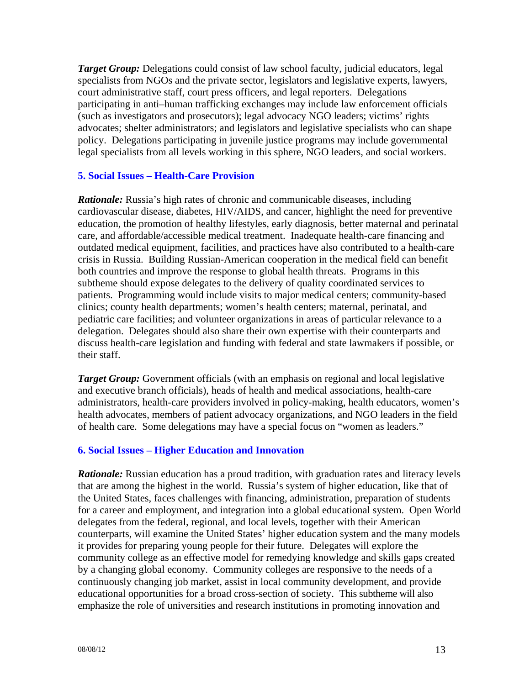*Target Group:* Delegations could consist of law school faculty, judicial educators, legal specialists from NGOs and the private sector, legislators and legislative experts, lawyers, court administrative staff, court press officers, and legal reporters. Delegations participating in anti–human trafficking exchanges may include law enforcement officials (such as investigators and prosecutors); legal advocacy NGO leaders; victims' rights advocates; shelter administrators; and legislators and legislative specialists who can shape policy. Delegations participating in juvenile justice programs may include governmental legal specialists from all levels working in this sphere, NGO leaders, and social workers.

### **5. Social Issues – Health-Care Provision**

*Rationale:* Russia's high rates of chronic and communicable diseases, including cardiovascular disease, diabetes, HIV/AIDS, and cancer, highlight the need for preventive education, the promotion of healthy lifestyles, early diagnosis, better maternal and perinatal care, and affordable/accessible medical treatment. Inadequate health-care financing and outdated medical equipment, facilities, and practices have also contributed to a health-care crisis in Russia. Building Russian-American cooperation in the medical field can benefit both countries and improve the response to global health threats. Programs in this subtheme should expose delegates to the delivery of quality coordinated services to patients. Programming would include visits to major medical centers; community-based clinics; county health departments; women's health centers; maternal, perinatal, and pediatric care facilities; and volunteer organizations in areas of particular relevance to a delegation. Delegates should also share their own expertise with their counterparts and discuss health-care legislation and funding with federal and state lawmakers if possible, or their staff.

*Target Group:* Government officials (with an emphasis on regional and local legislative and executive branch officials), heads of health and medical associations, health-care administrators, health-care providers involved in policy-making, health educators, women's health advocates, members of patient advocacy organizations, and NGO leaders in the field of health care. Some delegations may have a special focus on "women as leaders."

### **6. Social Issues – Higher Education and Innovation**

*Rationale:* Russian education has a proud tradition, with graduation rates and literacy levels that are among the highest in the world. Russia's system of higher education, like that of the United States, faces challenges with financing, administration, preparation of students for a career and employment, and integration into a global educational system. Open World delegates from the federal, regional, and local levels, together with their American counterparts, will examine the United States' higher education system and the many models it provides for preparing young people for their future. Delegates will explore the community college as an effective model for remedying knowledge and skills gaps created by a changing global economy. Community colleges are responsive to the needs of a continuously changing job market, assist in local community development, and provide educational opportunities for a broad cross-section of society. This subtheme will also emphasize the role of universities and research institutions in promoting innovation and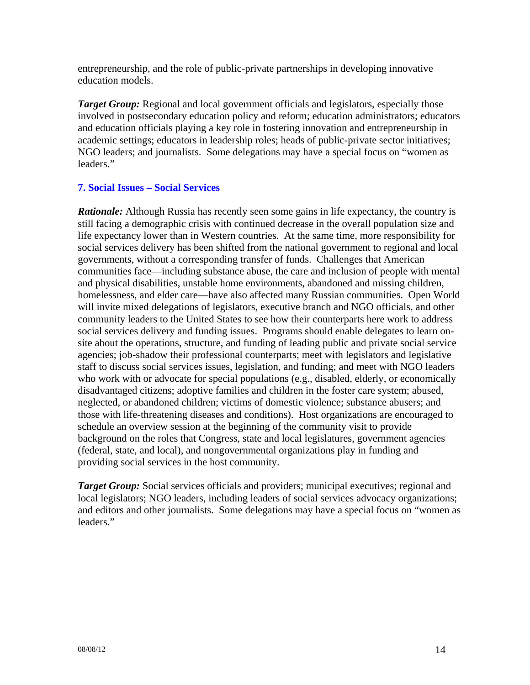entrepreneurship, and the role of public-private partnerships in developing innovative education models.

*Target Group:* Regional and local government officials and legislators, especially those involved in postsecondary education policy and reform; education administrators; educators and education officials playing a key role in fostering innovation and entrepreneurship in academic settings; educators in leadership roles; heads of public-private sector initiatives; NGO leaders; and journalists. Some delegations may have a special focus on "women as leaders."

### **7. Social Issues – Social Services**

*Rationale:* Although Russia has recently seen some gains in life expectancy, the country is still facing a demographic crisis with continued decrease in the overall population size and life expectancy lower than in Western countries. At the same time, more responsibility for social services delivery has been shifted from the national government to regional and local governments, without a corresponding transfer of funds. Challenges that American communities face—including substance abuse, the care and inclusion of people with mental and physical disabilities, unstable home environments, abandoned and missing children, homelessness, and elder care—have also affected many Russian communities. Open World will invite mixed delegations of legislators, executive branch and NGO officials, and other community leaders to the United States to see how their counterparts here work to address social services delivery and funding issues. Programs should enable delegates to learn onsite about the operations, structure, and funding of leading public and private social service agencies; job-shadow their professional counterparts; meet with legislators and legislative staff to discuss social services issues, legislation, and funding; and meet with NGO leaders who work with or advocate for special populations (e.g., disabled, elderly, or economically disadvantaged citizens; adoptive families and children in the foster care system; abused, neglected, or abandoned children; victims of domestic violence; substance abusers; and those with life-threatening diseases and conditions). Host organizations are encouraged to schedule an overview session at the beginning of the community visit to provide background on the roles that Congress, state and local legislatures, government agencies (federal, state, and local), and nongovernmental organizations play in funding and providing social services in the host community.

*Target Group:* Social services officials and providers; municipal executives; regional and local legislators; NGO leaders, including leaders of social services advocacy organizations; and editors and other journalists. Some delegations may have a special focus on "women as leaders."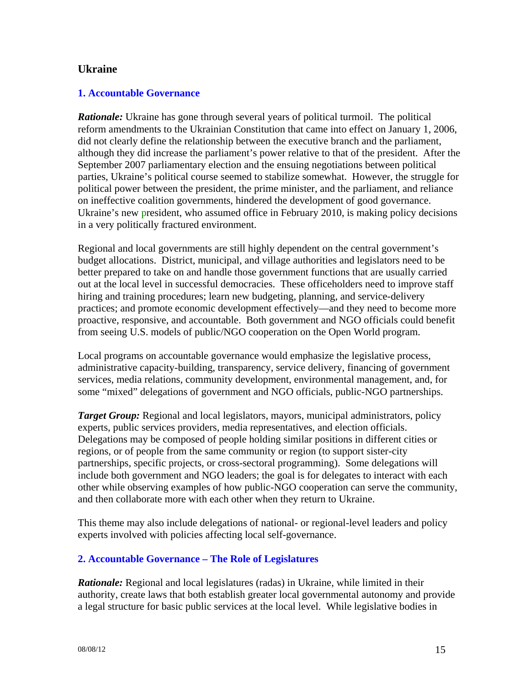## **Ukraine**

### **1. Accountable Governance**

*Rationale:* Ukraine has gone through several years of political turmoil. The political reform amendments to the Ukrainian Constitution that came into effect on January 1, 2006, did not clearly define the relationship between the executive branch and the parliament, although they did increase the parliament's power relative to that of the president. After the September 2007 parliamentary election and the ensuing negotiations between political parties, Ukraine's political course seemed to stabilize somewhat. However, the struggle for political power between the president, the prime minister, and the parliament, and reliance on ineffective coalition governments, hindered the development of good governance. Ukraine's new president, who assumed office in February 2010, is making policy decisions in a very politically fractured environment.

Regional and local governments are still highly dependent on the central government's budget allocations. District, municipal, and village authorities and legislators need to be better prepared to take on and handle those government functions that are usually carried out at the local level in successful democracies. These officeholders need to improve staff hiring and training procedures; learn new budgeting, planning, and service-delivery practices; and promote economic development effectively—and they need to become more proactive, responsive, and accountable. Both government and NGO officials could benefit from seeing U.S. models of public/NGO cooperation on the Open World program.

Local programs on accountable governance would emphasize the legislative process, administrative capacity-building, transparency, service delivery, financing of government services, media relations, community development, environmental management, and, for some "mixed" delegations of government and NGO officials, public-NGO partnerships.

*Target Group:* Regional and local legislators, mayors, municipal administrators, policy experts, public services providers, media representatives, and election officials. Delegations may be composed of people holding similar positions in different cities or regions, or of people from the same community or region (to support sister-city partnerships, specific projects, or cross-sectoral programming). Some delegations will include both government and NGO leaders; the goal is for delegates to interact with each other while observing examples of how public-NGO cooperation can serve the community, and then collaborate more with each other when they return to Ukraine.

This theme may also include delegations of national- or regional-level leaders and policy experts involved with policies affecting local self-governance.

## **2. Accountable Governance – The Role of Legislatures**

*Rationale:* Regional and local legislatures (radas) in Ukraine, while limited in their authority, create laws that both establish greater local governmental autonomy and provide a legal structure for basic public services at the local level. While legislative bodies in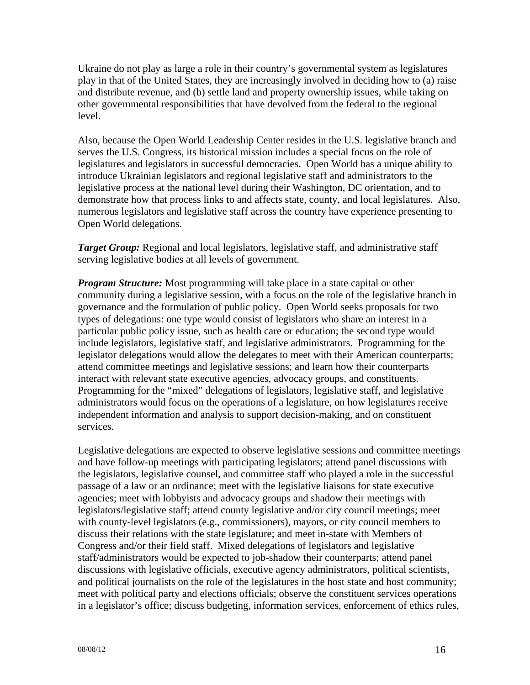Ukraine do not play as large a role in their country's governmental system as legislatures play in that of the United States, they are increasingly involved in deciding how to (a) raise and distribute revenue, and (b) settle land and property ownership issues, while taking on other governmental responsibilities that have devolved from the federal to the regional level.

Also, because the Open World Leadership Center resides in the U.S. legislative branch and serves the U.S. Congress, its historical mission includes a special focus on the role of legislatures and legislators in successful democracies. Open World has a unique ability to introduce Ukrainian legislators and regional legislative staff and administrators to the legislative process at the national level during their Washington, DC orientation, and to demonstrate how that process links to and affects state, county, and local legislatures. Also, numerous legislators and legislative staff across the country have experience presenting to Open World delegations.

*Target Group:* Regional and local legislators, legislative staff, and administrative staff serving legislative bodies at all levels of government.

*Program Structure:* Most programming will take place in a state capital or other community during a legislative session, with a focus on the role of the legislative branch in governance and the formulation of public policy. Open World seeks proposals for two types of delegations: one type would consist of legislators who share an interest in a particular public policy issue, such as health care or education; the second type would include legislators, legislative staff, and legislative administrators. Programming for the legislator delegations would allow the delegates to meet with their American counterparts; attend committee meetings and legislative sessions; and learn how their counterparts interact with relevant state executive agencies, advocacy groups, and constituents. Programming for the "mixed" delegations of legislators, legislative staff, and legislative administrators would focus on the operations of a legislature, on how legislatures receive independent information and analysis to support decision-making, and on constituent services.

Legislative delegations are expected to observe legislative sessions and committee meetings and have follow-up meetings with participating legislators; attend panel discussions with the legislators, legislative counsel, and committee staff who played a role in the successful passage of a law or an ordinance; meet with the legislative liaisons for state executive agencies; meet with lobbyists and advocacy groups and shadow their meetings with legislators/legislative staff; attend county legislative and/or city council meetings; meet with county-level legislators (e.g., commissioners), mayors, or city council members to discuss their relations with the state legislature; and meet in-state with Members of Congress and/or their field staff. Mixed delegations of legislators and legislative staff/administrators would be expected to job-shadow their counterparts; attend panel discussions with legislative officials, executive agency administrators, political scientists, and political journalists on the role of the legislatures in the host state and host community; meet with political party and elections officials; observe the constituent services operations in a legislator's office; discuss budgeting, information services, enforcement of ethics rules,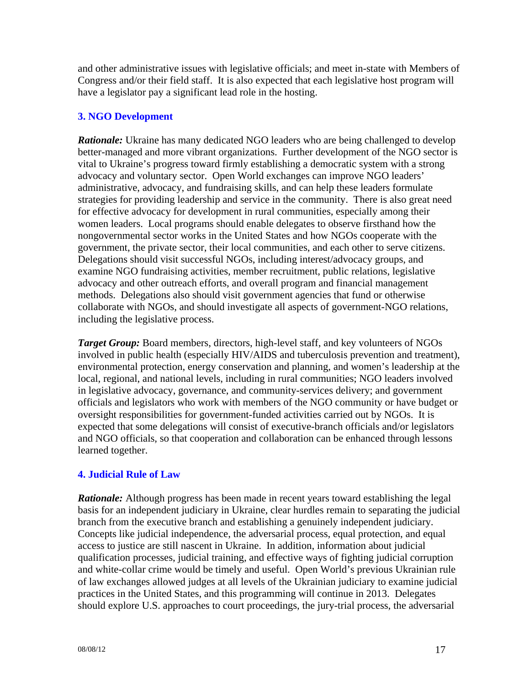and other administrative issues with legislative officials; and meet in-state with Members of Congress and/or their field staff. It is also expected that each legislative host program will have a legislator pay a significant lead role in the hosting.

## **3. NGO Development**

**Rationale:** Ukraine has many dedicated NGO leaders who are being challenged to develop better-managed and more vibrant organizations. Further development of the NGO sector is vital to Ukraine's progress toward firmly establishing a democratic system with a strong advocacy and voluntary sector. Open World exchanges can improve NGO leaders' administrative, advocacy, and fundraising skills, and can help these leaders formulate strategies for providing leadership and service in the community. There is also great need for effective advocacy for development in rural communities, especially among their women leaders. Local programs should enable delegates to observe firsthand how the nongovernmental sector works in the United States and how NGOs cooperate with the government, the private sector, their local communities, and each other to serve citizens. Delegations should visit successful NGOs, including interest/advocacy groups, and examine NGO fundraising activities, member recruitment, public relations, legislative advocacy and other outreach efforts, and overall program and financial management methods. Delegations also should visit government agencies that fund or otherwise collaborate with NGOs, and should investigate all aspects of government-NGO relations, including the legislative process.

*Target Group:* Board members, directors, high-level staff, and key volunteers of NGOs involved in public health (especially HIV/AIDS and tuberculosis prevention and treatment), environmental protection, energy conservation and planning, and women's leadership at the local, regional, and national levels, including in rural communities; NGO leaders involved in legislative advocacy, governance, and community-services delivery; and government officials and legislators who work with members of the NGO community or have budget or oversight responsibilities for government-funded activities carried out by NGOs. It is expected that some delegations will consist of executive-branch officials and/or legislators and NGO officials, so that cooperation and collaboration can be enhanced through lessons learned together.

## **4. Judicial Rule of Law**

*Rationale:* Although progress has been made in recent years toward establishing the legal basis for an independent judiciary in Ukraine, clear hurdles remain to separating the judicial branch from the executive branch and establishing a genuinely independent judiciary. Concepts like judicial independence, the adversarial process, equal protection, and equal access to justice are still nascent in Ukraine. In addition, information about judicial qualification processes, judicial training, and effective ways of fighting judicial corruption and white-collar crime would be timely and useful. Open World's previous Ukrainian rule of law exchanges allowed judges at all levels of the Ukrainian judiciary to examine judicial practices in the United States, and this programming will continue in 2013. Delegates should explore U.S. approaches to court proceedings, the jury-trial process, the adversarial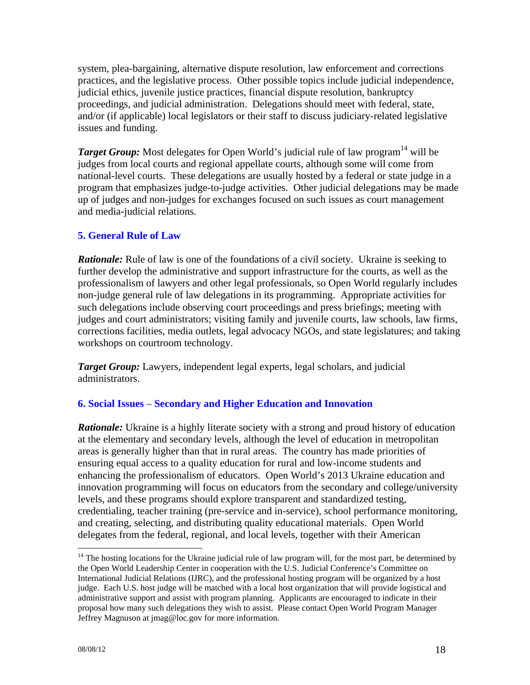system, plea-bargaining, alternative dispute resolution, law enforcement and corrections practices, and the legislative process. Other possible topics include judicial independence, judicial ethics, juvenile justice practices, financial dispute resolution, bankruptcy proceedings, and judicial administration. Delegations should meet with federal, state, and/or (if applicable) local legislators or their staff to discuss judiciary-related legislative issues and funding.

*Target Group:* Most delegates for Open World's judicial rule of law program<sup>14</sup> will be judges from local courts and regional appellate courts, although some will come from national-level courts. These delegations are usually hosted by a federal or state judge in a program that emphasizes judge-to-judge activities. Other judicial delegations may be made up of judges and non-judges for exchanges focused on such issues as court management and media-judicial relations.

### **5. General Rule of Law**

*Rationale:* Rule of law is one of the foundations of a civil society. Ukraine is seeking to further develop the administrative and support infrastructure for the courts, as well as the professionalism of lawyers and other legal professionals, so Open World regularly includes non-judge general rule of law delegations in its programming. Appropriate activities for such delegations include observing court proceedings and press briefings; meeting with judges and court administrators; visiting family and juvenile courts, law schools, law firms, corrections facilities, media outlets, legal advocacy NGOs, and state legislatures; and taking workshops on courtroom technology.

*Target Group:* Lawyers, independent legal experts, legal scholars, and judicial administrators.

## **6. Social Issues** – **Secondary and Higher Education and Innovation**

**Rationale:** Ukraine is a highly literate society with a strong and proud history of education at the elementary and secondary levels, although the level of education in metropolitan areas is generally higher than that in rural areas. The country has made priorities of ensuring equal access to a quality education for rural and low-income students and enhancing the professionalism of educators. Open World's 2013 Ukraine education and innovation programming will focus on educators from the secondary and college/university levels, and these programs should explore transparent and standardized testing, credentialing, teacher training (pre-service and in-service), school performance monitoring, and creating, selecting, and distributing quality educational materials. Open World delegates from the federal, regional, and local levels, together with their American

<u>.</u>

 $14$  The hosting locations for the Ukraine judicial rule of law program will, for the most part, be determined by the Open World Leadership Center in cooperation with the U.S. Judicial Conference's Committee on International Judicial Relations (IJRC), and the professional hosting program will be organized by a host judge. Each U.S. host judge will be matched with a local host organization that will provide logistical and administrative support and assist with program planning. Applicants are encouraged to indicate in their proposal how many such delegations they wish to assist. Please contact Open World Program Manager Jeffrey Magnuson at jmag@loc.gov for more information.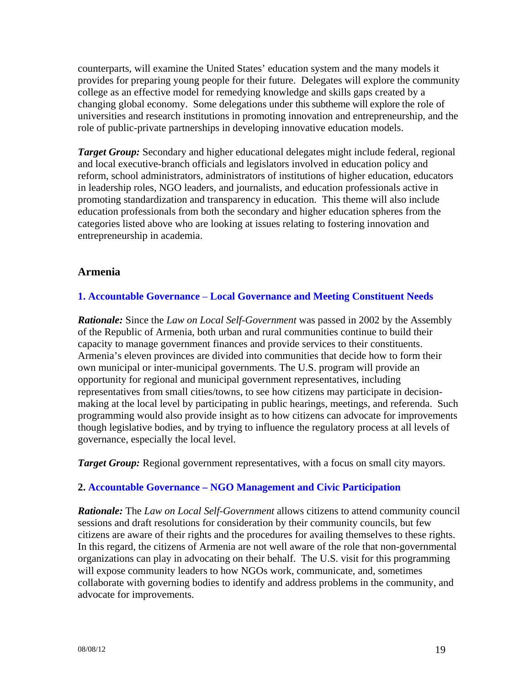counterparts, will examine the United States' education system and the many models it provides for preparing young people for their future. Delegates will explore the community college as an effective model for remedying knowledge and skills gaps created by a changing global economy. Some delegations under this subtheme will explore the role of universities and research institutions in promoting innovation and entrepreneurship, and the role of public-private partnerships in developing innovative education models.

*Target Group:* Secondary and higher educational delegates might include federal, regional and local executive-branch officials and legislators involved in education policy and reform, school administrators, administrators of institutions of higher education, educators in leadership roles, NGO leaders, and journalists, and education professionals active in promoting standardization and transparency in education. This theme will also include education professionals from both the secondary and higher education spheres from the categories listed above who are looking at issues relating to fostering innovation and entrepreneurship in academia.

## **Armenia**

#### **1. Accountable Governance** – **Local Governance and Meeting Constituent Needs**

*Rationale:* Since the *Law on Local Self-Government* was passed in 2002 by the Assembly of the Republic of Armenia, both urban and rural communities continue to build their capacity to manage government finances and provide services to their constituents. Armenia's eleven provinces are divided into communities that decide how to form their own municipal or inter-municipal governments. The U.S. program will provide an opportunity for regional and municipal government representatives, including representatives from small cities/towns, to see how citizens may participate in decisionmaking at the local level by participating in public hearings, meetings, and referenda. Such programming would also provide insight as to how citizens can advocate for improvements though legislative bodies, and by trying to influence the regulatory process at all levels of governance, especially the local level.

*Target Group:* Regional government representatives, with a focus on small city mayors.

### **2. Accountable Governance – NGO Management and Civic Participation**

*Rationale:* The *Law on Local Self-Government* allows citizens to attend community council sessions and draft resolutions for consideration by their community councils, but few citizens are aware of their rights and the procedures for availing themselves to these rights. In this regard, the citizens of Armenia are not well aware of the role that non-governmental organizations can play in advocating on their behalf. The U.S. visit for this programming will expose community leaders to how NGOs work, communicate, and, sometimes collaborate with governing bodies to identify and address problems in the community, and advocate for improvements.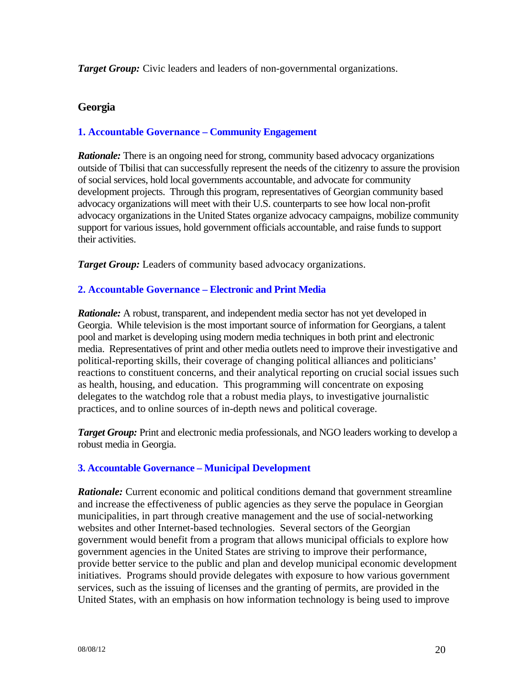*Target Group:* Civic leaders and leaders of non-governmental organizations.

## **Georgia**

### **1. Accountable Governance – Community Engagement**

*Rationale:* There is an ongoing need for strong, community based advocacy organizations outside of Tbilisi that can successfully represent the needs of the citizenry to assure the provision of social services, hold local governments accountable, and advocate for community development projects. Through this program, representatives of Georgian community based advocacy organizations will meet with their U.S. counterparts to see how local non-profit advocacy organizations in the United States organize advocacy campaigns, mobilize community support for various issues, hold government officials accountable, and raise funds to support their activities.

*Target Group:* Leaders of community based advocacy organizations.

### **2. Accountable Governance – Electronic and Print Media**

*Rationale:* A robust, transparent, and independent media sector has not yet developed in Georgia. While television is the most important source of information for Georgians, a talent pool and market is developing using modern media techniques in both print and electronic media. Representatives of print and other media outlets need to improve their investigative and political-reporting skills, their coverage of changing political alliances and politicians' reactions to constituent concerns, and their analytical reporting on crucial social issues such as health, housing, and education. This programming will concentrate on exposing delegates to the watchdog role that a robust media plays, to investigative journalistic practices, and to online sources of in-depth news and political coverage.

*Target Group:* Print and electronic media professionals, and NGO leaders working to develop a robust media in Georgia.

### **3. Accountable Governance – Municipal Development**

*Rationale:* Current economic and political conditions demand that government streamline and increase the effectiveness of public agencies as they serve the populace in Georgian municipalities, in part through creative management and the use of social-networking websites and other Internet-based technologies. Several sectors of the Georgian government would benefit from a program that allows municipal officials to explore how government agencies in the United States are striving to improve their performance, provide better service to the public and plan and develop municipal economic development initiatives. Programs should provide delegates with exposure to how various government services, such as the issuing of licenses and the granting of permits, are provided in the United States, with an emphasis on how information technology is being used to improve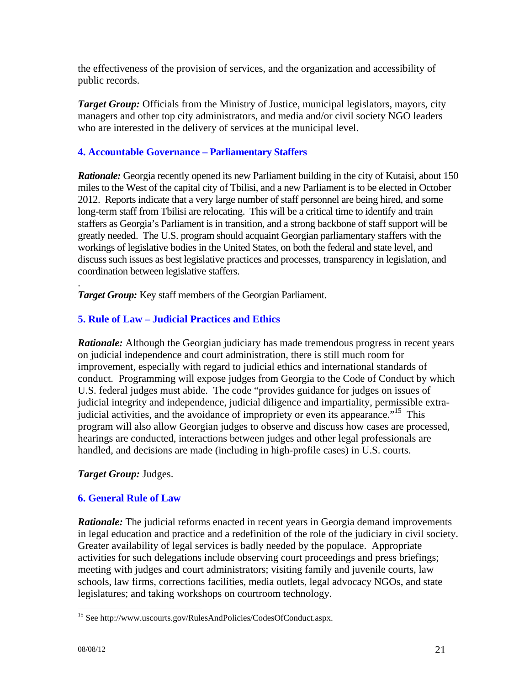the effectiveness of the provision of services, and the organization and accessibility of public records.

*Target Group:* Officials from the Ministry of Justice, municipal legislators, mayors, city managers and other top city administrators, and media and/or civil society NGO leaders who are interested in the delivery of services at the municipal level.

## **4. Accountable Governance – Parliamentary Staffers**

**Rationale:** Georgia recently opened its new Parliament building in the city of Kutaisi, about 150 miles to the West of the capital city of Tbilisi, and a new Parliament is to be elected in October 2012. Reports indicate that a very large number of staff personnel are being hired, and some long-term staff from Tbilisi are relocating. This will be a critical time to identify and train staffers as Georgia's Parliament is in transition, and a strong backbone of staff support will be greatly needed. The U.S. program should acquaint Georgian parliamentary staffers with the workings of legislative bodies in the United States, on both the federal and state level, and discuss such issues as best legislative practices and processes, transparency in legislation, and coordination between legislative staffers.

. *Target Group:* Key staff members of the Georgian Parliament.

## **5. Rule of Law – Judicial Practices and Ethics**

*Rationale:* Although the Georgian judiciary has made tremendous progress in recent years on judicial independence and court administration, there is still much room for improvement, especially with regard to judicial ethics and international standards of conduct. Programming will expose judges from Georgia to the Code of Conduct by which U.S. federal judges must abide. The code "provides guidance for judges on issues of judicial integrity and independence, judicial diligence and impartiality, permissible extrajudicial activities, and the avoidance of impropriety or even its appearance."15 This program will also allow Georgian judges to observe and discuss how cases are processed, hearings are conducted, interactions between judges and other legal professionals are handled, and decisions are made (including in high-profile cases) in U.S. courts.

## *Target Group:* Judges.

## **6. General Rule of Law**

*Rationale:* The judicial reforms enacted in recent years in Georgia demand improvements in legal education and practice and a redefinition of the role of the judiciary in civil society. Greater availability of legal services is badly needed by the populace. Appropriate activities for such delegations include observing court proceedings and press briefings; meeting with judges and court administrators; visiting family and juvenile courts, law schools, law firms, corrections facilities, media outlets, legal advocacy NGOs, and state legislatures; and taking workshops on courtroom technology.

 $\overline{a}$ 

<sup>15</sup> See http://www.uscourts.gov/RulesAndPolicies/CodesOfConduct.aspx.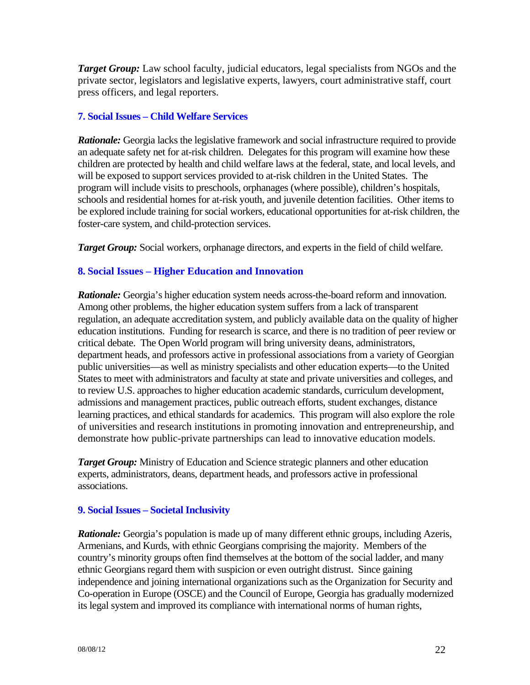*Target Group:* Law school faculty, judicial educators, legal specialists from NGOs and the private sector, legislators and legislative experts, lawyers, court administrative staff, court press officers, and legal reporters.

### **7. Social Issues – Child Welfare Services**

**Rationale:** Georgia lacks the legislative framework and social infrastructure required to provide an adequate safety net for at-risk children. Delegates for this program will examine how these children are protected by health and child welfare laws at the federal, state, and local levels, and will be exposed to support services provided to at-risk children in the United States. The program will include visits to preschools, orphanages (where possible), children's hospitals, schools and residential homes for at-risk youth, and juvenile detention facilities. Other items to be explored include training for social workers, educational opportunities for at-risk children, the foster-care system, and child-protection services.

*Target Group:* Social workers, orphanage directors, and experts in the field of child welfare.

### **8. Social Issues – Higher Education and Innovation**

*Rationale:* Georgia's higher education system needs across-the-board reform and innovation. Among other problems, the higher education system suffers from a lack of transparent regulation, an adequate accreditation system, and publicly available data on the quality of higher education institutions. Funding for research is scarce, and there is no tradition of peer review or critical debate. The Open World program will bring university deans, administrators, department heads, and professors active in professional associations from a variety of Georgian public universities—as well as ministry specialists and other education experts—to the United States to meet with administrators and faculty at state and private universities and colleges, and to review U.S. approaches to higher education academic standards, curriculum development, admissions and management practices, public outreach efforts, student exchanges, distance learning practices, and ethical standards for academics. This program will also explore the role of universities and research institutions in promoting innovation and entrepreneurship, and demonstrate how public-private partnerships can lead to innovative education models.

*Target Group:* Ministry of Education and Science strategic planners and other education experts, administrators, deans, department heads, and professors active in professional associations.

### **9. Social Issues – Societal Inclusivity**

*Rationale:* Georgia's population is made up of many different ethnic groups, including Azeris, Armenians, and Kurds, with ethnic Georgians comprising the majority. Members of the country's minority groups often find themselves at the bottom of the social ladder, and many ethnic Georgians regard them with suspicion or even outright distrust. Since gaining independence and joining international organizations such as the Organization for Security and Co-operation in Europe (OSCE) and the Council of Europe, Georgia has gradually modernized its legal system and improved its compliance with international norms of human rights,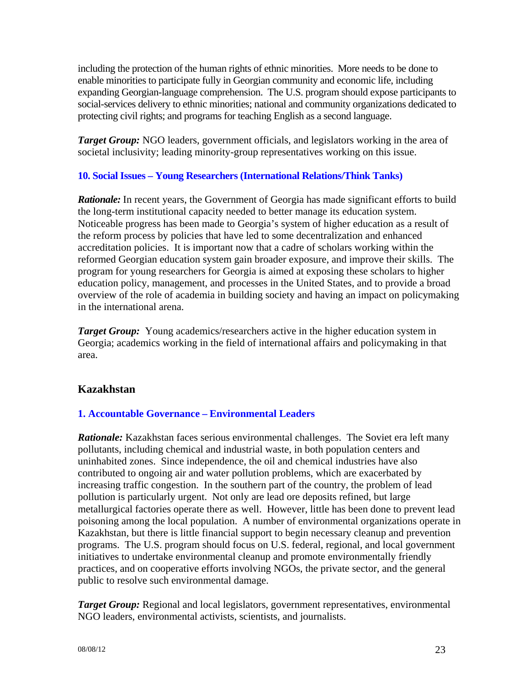including the protection of the human rights of ethnic minorities. More needs to be done to enable minorities to participate fully in Georgian community and economic life, including expanding Georgian-language comprehension. The U.S. program should expose participants to social-services delivery to ethnic minorities; national and community organizations dedicated to protecting civil rights; and programs for teaching English as a second language.

*Target Group:* NGO leaders, government officials, and legislators working in the area of societal inclusivity; leading minority-group representatives working on this issue.

## **10. Social Issues – Young Researchers (International Relations/Think Tanks)**

*Rationale:* In recent years, the Government of Georgia has made significant efforts to build the long-term institutional capacity needed to better manage its education system. Noticeable progress has been made to Georgia's system of higher education as a result of the reform process by policies that have led to some decentralization and enhanced accreditation policies. It is important now that a cadre of scholars working within the reformed Georgian education system gain broader exposure, and improve their skills. The program for young researchers for Georgia is aimed at exposing these scholars to higher education policy, management, and processes in the United States, and to provide a broad overview of the role of academia in building society and having an impact on policymaking in the international arena.

*Target Group:* Young academics/researchers active in the higher education system in Georgia; academics working in the field of international affairs and policymaking in that area.

## **Kazakhstan**

## **1. Accountable Governance – Environmental Leaders**

*Rationale:* Kazakhstan faces serious environmental challenges. The Soviet era left many pollutants, including chemical and industrial waste, in both population centers and uninhabited zones. Since independence, the oil and chemical industries have also contributed to ongoing air and water pollution problems, which are exacerbated by increasing traffic congestion. In the southern part of the country, the problem of lead pollution is particularly urgent. Not only are lead ore deposits refined, but large metallurgical factories operate there as well. However, little has been done to prevent lead poisoning among the local population. A number of environmental organizations operate in Kazakhstan, but there is little financial support to begin necessary cleanup and prevention programs. The U.S. program should focus on U.S. federal, regional, and local government initiatives to undertake environmental cleanup and promote environmentally friendly practices, and on cooperative efforts involving NGOs, the private sector, and the general public to resolve such environmental damage.

**Target Group:** Regional and local legislators, government representatives, environmental NGO leaders, environmental activists, scientists, and journalists.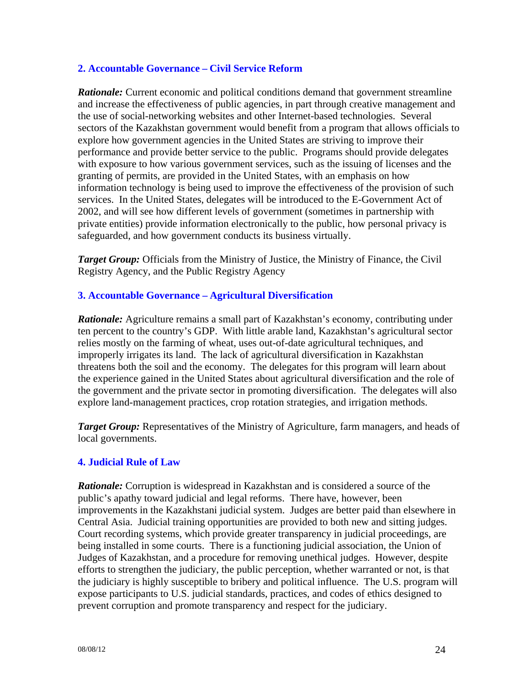### **2. Accountable Governance – Civil Service Reform**

*Rationale:* Current economic and political conditions demand that government streamline and increase the effectiveness of public agencies, in part through creative management and the use of social-networking websites and other Internet-based technologies. Several sectors of the Kazakhstan government would benefit from a program that allows officials to explore how government agencies in the United States are striving to improve their performance and provide better service to the public. Programs should provide delegates with exposure to how various government services, such as the issuing of licenses and the granting of permits, are provided in the United States, with an emphasis on how information technology is being used to improve the effectiveness of the provision of such services. In the United States, delegates will be introduced to the E-Government Act of 2002, and will see how different levels of government (sometimes in partnership with private entities) provide information electronically to the public, how personal privacy is safeguarded, and how government conducts its business virtually.

**Target Group:** Officials from the Ministry of Justice, the Ministry of Finance, the Civil Registry Agency, and the Public Registry Agency

### **3. Accountable Governance – Agricultural Diversification**

*Rationale:* Agriculture remains a small part of Kazakhstan's economy, contributing under ten percent to the country's GDP. With little arable land, Kazakhstan's agricultural sector relies mostly on the farming of wheat, uses out-of-date agricultural techniques, and improperly irrigates its land. The lack of agricultural diversification in Kazakhstan threatens both the soil and the economy. The delegates for this program will learn about the experience gained in the United States about agricultural diversification and the role of the government and the private sector in promoting diversification. The delegates will also explore land-management practices, crop rotation strategies, and irrigation methods.

*Target Group:* Representatives of the Ministry of Agriculture, farm managers, and heads of local governments.

### **4. Judicial Rule of Law**

*Rationale:* Corruption is widespread in Kazakhstan and is considered a source of the public's apathy toward judicial and legal reforms. There have, however, been improvements in the Kazakhstani judicial system. Judges are better paid than elsewhere in Central Asia. Judicial training opportunities are provided to both new and sitting judges. Court recording systems, which provide greater transparency in judicial proceedings, are being installed in some courts. There is a functioning judicial association, the Union of Judges of Kazakhstan, and a procedure for removing unethical judges. However, despite efforts to strengthen the judiciary, the public perception, whether warranted or not, is that the judiciary is highly susceptible to bribery and political influence. The U.S. program will expose participants to U.S. judicial standards, practices, and codes of ethics designed to prevent corruption and promote transparency and respect for the judiciary.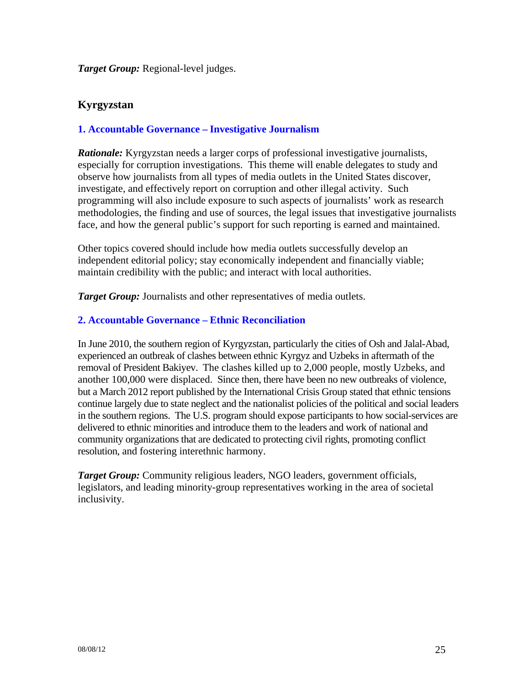### *Target Group:* Regional-level judges.

## **Kyrgyzstan**

## **1. Accountable Governance – Investigative Journalism**

*Rationale:* Kyrgyzstan needs a larger corps of professional investigative journalists, especially for corruption investigations. This theme will enable delegates to study and observe how journalists from all types of media outlets in the United States discover, investigate, and effectively report on corruption and other illegal activity. Such programming will also include exposure to such aspects of journalists' work as research methodologies, the finding and use of sources, the legal issues that investigative journalists face, and how the general public's support for such reporting is earned and maintained.

Other topics covered should include how media outlets successfully develop an independent editorial policy; stay economically independent and financially viable; maintain credibility with the public; and interact with local authorities.

*Target Group:* Journalists and other representatives of media outlets.

### **2. Accountable Governance – Ethnic Reconciliation**

In June 2010, the southern region of Kyrgyzstan, particularly the cities of Osh and Jalal-Abad, experienced an outbreak of clashes between ethnic Kyrgyz and Uzbeks in aftermath of the removal of President Bakiyev. The clashes killed up to 2,000 people, mostly Uzbeks, and another 100,000 were displaced. Since then, there have been no new outbreaks of violence, but a March 2012 report published by the International Crisis Group stated that ethnic tensions continue largely due to state neglect and the nationalist policies of the political and social leaders in the southern regions. The U.S. program should expose participants to how social-services are delivered to ethnic minorities and introduce them to the leaders and work of national and community organizations that are dedicated to protecting civil rights, promoting conflict resolution, and fostering interethnic harmony.

*Target Group:* Community religious leaders, NGO leaders, government officials, legislators, and leading minority-group representatives working in the area of societal inclusivity.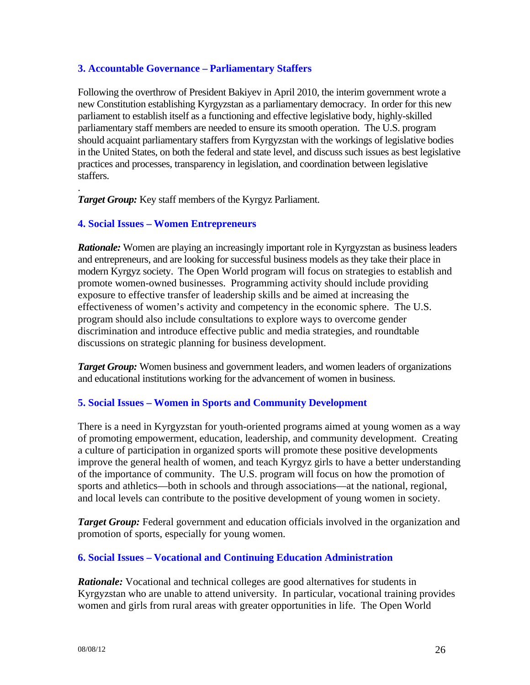### **3. Accountable Governance – Parliamentary Staffers**

Following the overthrow of President Bakiyev in April 2010, the interim government wrote a new Constitution establishing Kyrgyzstan as a parliamentary democracy. In order for this new parliament to establish itself as a functioning and effective legislative body, highly-skilled parliamentary staff members are needed to ensure its smooth operation. The U.S. program should acquaint parliamentary staffers from Kyrgyzstan with the workings of legislative bodies in the United States, on both the federal and state level, and discuss such issues as best legislative practices and processes, transparency in legislation, and coordination between legislative staffers.

*Target Group:* Key staff members of the Kyrgyz Parliament.

### **4. Social Issues – Women Entrepreneurs**

.

*Rationale:* Women are playing an increasingly important role in Kyrgyzstan as business leaders and entrepreneurs, and are looking for successful business models as they take their place in modern Kyrgyz society. The Open World program will focus on strategies to establish and promote women-owned businesses. Programming activity should include providing exposure to effective transfer of leadership skills and be aimed at increasing the effectiveness of women's activity and competency in the economic sphere. The U.S. program should also include consultations to explore ways to overcome gender discrimination and introduce effective public and media strategies, and roundtable discussions on strategic planning for business development.

*Target Group:* Women business and government leaders, and women leaders of organizations and educational institutions working for the advancement of women in business.

### **5. Social Issues – Women in Sports and Community Development**

There is a need in Kyrgyzstan for youth-oriented programs aimed at young women as a way of promoting empowerment, education, leadership, and community development. Creating a culture of participation in organized sports will promote these positive developments improve the general health of women, and teach Kyrgyz girls to have a better understanding of the importance of community. The U.S. program will focus on how the promotion of sports and athletics—both in schools and through associations—at the national, regional, and local levels can contribute to the positive development of young women in society.

**Target Group:** Federal government and education officials involved in the organization and promotion of sports, especially for young women.

## **6. Social Issues – Vocational and Continuing Education Administration**

*Rationale:* Vocational and technical colleges are good alternatives for students in Kyrgyzstan who are unable to attend university. In particular, vocational training provides women and girls from rural areas with greater opportunities in life. The Open World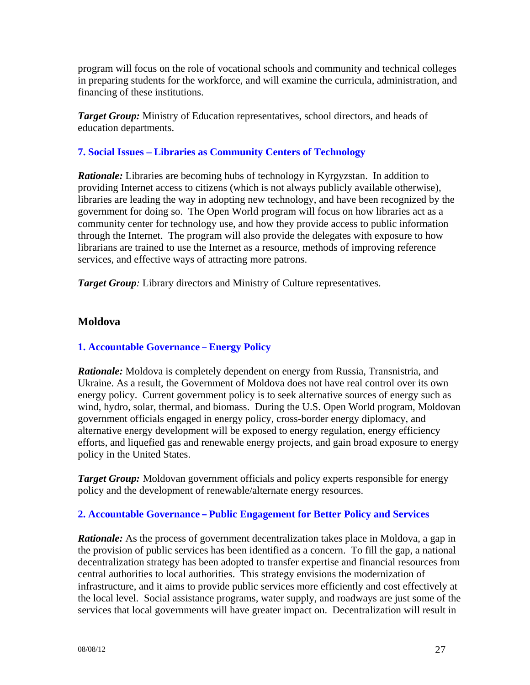program will focus on the role of vocational schools and community and technical colleges in preparing students for the workforce, and will examine the curricula, administration, and financing of these institutions.

*Target Group:* Ministry of Education representatives, school directors, and heads of education departments.

### **7. Social Issues – Libraries as Community Centers of Technology**

*Rationale:* Libraries are becoming hubs of technology in Kyrgyzstan. In addition to providing Internet access to citizens (which is not always publicly available otherwise), libraries are leading the way in adopting new technology, and have been recognized by the government for doing so. The Open World program will focus on how libraries act as a community center for technology use, and how they provide access to public information through the Internet. The program will also provide the delegates with exposure to how librarians are trained to use the Internet as a resource, methods of improving reference services, and effective ways of attracting more patrons.

*Target Group*: Library directors and Ministry of Culture representatives.

## **Moldova**

## **1. Accountable Governance** – **Energy Policy**

*Rationale:* Moldova is completely dependent on energy from Russia, Transnistria, and Ukraine. As a result, the Government of Moldova does not have real control over its own energy policy. Current government policy is to seek alternative sources of energy such as wind, hydro, solar, thermal, and biomass. During the U.S. Open World program, Moldovan government officials engaged in energy policy, cross-border energy diplomacy, and alternative energy development will be exposed to energy regulation, energy efficiency efforts, and liquefied gas and renewable energy projects, and gain broad exposure to energy policy in the United States.

*Target Group:* Moldovan government officials and policy experts responsible for energy policy and the development of renewable/alternate energy resources.

## **2. Accountable Governance – Public Engagement for Better Policy and Services**

*Rationale:* As the process of government decentralization takes place in Moldova, a gap in the provision of public services has been identified as a concern. To fill the gap, a national decentralization strategy has been adopted to transfer expertise and financial resources from central authorities to local authorities. This strategy envisions the modernization of infrastructure, and it aims to provide public services more efficiently and cost effectively at the local level. Social assistance programs, water supply, and roadways are just some of the services that local governments will have greater impact on. Decentralization will result in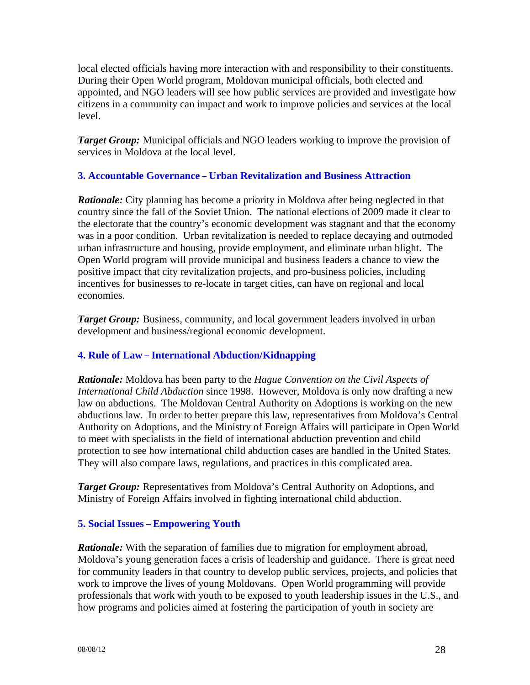local elected officials having more interaction with and responsibility to their constituents. During their Open World program, Moldovan municipal officials, both elected and appointed, and NGO leaders will see how public services are provided and investigate how citizens in a community can impact and work to improve policies and services at the local level.

*Target Group:* Municipal officials and NGO leaders working to improve the provision of services in Moldova at the local level.

## **3. Accountable Governance** – **Urban Revitalization and Business Attraction**

*Rationale:* City planning has become a priority in Moldova after being neglected in that country since the fall of the Soviet Union. The national elections of 2009 made it clear to the electorate that the country's economic development was stagnant and that the economy was in a poor condition. Urban revitalization is needed to replace decaying and outmoded urban infrastructure and housing, provide employment, and eliminate urban blight. The Open World program will provide municipal and business leaders a chance to view the positive impact that city revitalization projects, and pro-business policies, including incentives for businesses to re-locate in target cities, can have on regional and local economies.

*Target Group:* Business, community, and local government leaders involved in urban development and business/regional economic development.

## **4. Rule of Law** – **International Abduction/Kidnapping**

*Rationale:* Moldova has been party to the *Hague Convention on the Civil Aspects of International Child Abduction* since 1998. However, Moldova is only now drafting a new law on abductions. The Moldovan Central Authority on Adoptions is working on the new abductions law. In order to better prepare this law, representatives from Moldova's Central Authority on Adoptions, and the Ministry of Foreign Affairs will participate in Open World to meet with specialists in the field of international abduction prevention and child protection to see how international child abduction cases are handled in the United States. They will also compare laws, regulations, and practices in this complicated area.

*Target Group:* Representatives from Moldova's Central Authority on Adoptions, and Ministry of Foreign Affairs involved in fighting international child abduction.

## **5. Social Issues** – **Empowering Youth**

*Rationale:* With the separation of families due to migration for employment abroad, Moldova's young generation faces a crisis of leadership and guidance. There is great need for community leaders in that country to develop public services, projects, and policies that work to improve the lives of young Moldovans. Open World programming will provide professionals that work with youth to be exposed to youth leadership issues in the U.S., and how programs and policies aimed at fostering the participation of youth in society are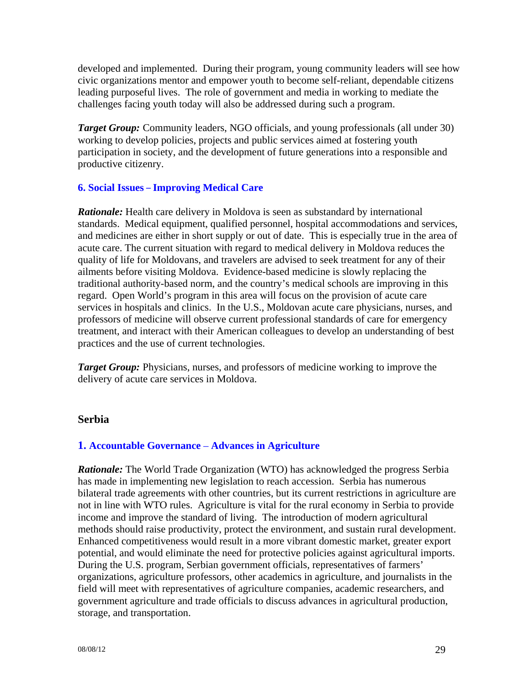developed and implemented. During their program, young community leaders will see how civic organizations mentor and empower youth to become self-reliant, dependable citizens leading purposeful lives. The role of government and media in working to mediate the challenges facing youth today will also be addressed during such a program.

**Target Group:** Community leaders, NGO officials, and young professionals (all under 30) working to develop policies, projects and public services aimed at fostering youth participation in society, and the development of future generations into a responsible and productive citizenry.

### **6. Social Issues** – **Improving Medical Care**

*Rationale:* Health care delivery in Moldova is seen as substandard by international standards. Medical equipment, qualified personnel, hospital accommodations and services, and medicines are either in short supply or out of date. This is especially true in the area of acute care. The current situation with regard to medical delivery in Moldova reduces the quality of life for Moldovans, and travelers are advised to seek treatment for any of their ailments before visiting Moldova. Evidence-based medicine is slowly replacing the traditional authority-based norm, and the country's medical schools are improving in this regard. Open World's program in this area will focus on the provision of acute care services in hospitals and clinics. In the U.S., Moldovan acute care physicians, nurses, and professors of medicine will observe current professional standards of care for emergency treatment, and interact with their American colleagues to develop an understanding of best practices and the use of current technologies.

*Target Group:* Physicians, nurses, and professors of medicine working to improve the delivery of acute care services in Moldova.

### **Serbia**

## **1. Accountable Governance** – **Advances in Agriculture**

*Rationale:* The World Trade Organization (WTO) has acknowledged the progress Serbia has made in implementing new legislation to reach accession. Serbia has numerous bilateral trade agreements with other countries, but its current restrictions in agriculture are not in line with WTO rules. Agriculture is vital for the rural economy in Serbia to provide income and improve the standard of living. The introduction of modern agricultural methods should raise productivity, protect the environment, and sustain rural development. Enhanced competitiveness would result in a more vibrant domestic market, greater export potential, and would eliminate the need for protective policies against agricultural imports. During the U.S. program, Serbian government officials, representatives of farmers' organizations, agriculture professors, other academics in agriculture, and journalists in the field will meet with representatives of agriculture companies, academic researchers, and government agriculture and trade officials to discuss advances in agricultural production, storage, and transportation.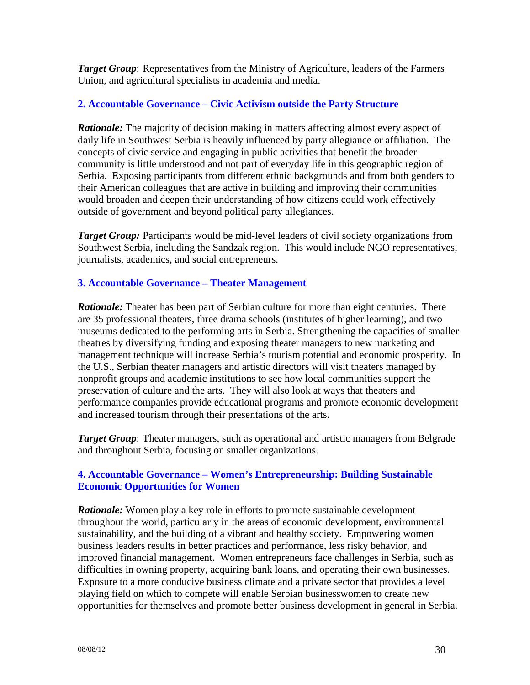*Target Group*: Representatives from the Ministry of Agriculture, leaders of the Farmers Union, and agricultural specialists in academia and media.

### **2. Accountable Governance – Civic Activism outside the Party Structure**

*Rationale:* The majority of decision making in matters affecting almost every aspect of daily life in Southwest Serbia is heavily influenced by party allegiance or affiliation. The concepts of civic service and engaging in public activities that benefit the broader community is little understood and not part of everyday life in this geographic region of Serbia. Exposing participants from different ethnic backgrounds and from both genders to their American colleagues that are active in building and improving their communities would broaden and deepen their understanding of how citizens could work effectively outside of government and beyond political party allegiances.

*Target Group:* Participants would be mid-level leaders of civil society organizations from Southwest Serbia, including the Sandzak region. This would include NGO representatives, journalists, academics, and social entrepreneurs.

### **3. Accountable Governance** – **Theater Management**

*Rationale:* Theater has been part of Serbian culture for more than eight centuries. There are 35 professional theaters, three drama schools (institutes of higher learning), and two museums dedicated to the performing arts in Serbia. Strengthening the capacities of smaller theatres by diversifying funding and exposing theater managers to new marketing and management technique will increase Serbia's tourism potential and economic prosperity. In the U.S., Serbian theater managers and artistic directors will visit theaters managed by nonprofit groups and academic institutions to see how local communities support the preservation of culture and the arts. They will also look at ways that theaters and performance companies provide educational programs and promote economic development and increased tourism through their presentations of the arts.

*Target Group*: Theater managers, such as operational and artistic managers from Belgrade and throughout Serbia, focusing on smaller organizations.

## **4. Accountable Governance – Women's Entrepreneurship: Building Sustainable Economic Opportunities for Women**

*Rationale:* Women play a key role in efforts to promote sustainable development throughout the world, particularly in the areas of economic development, environmental sustainability, and the building of a vibrant and healthy society. Empowering women business leaders results in better practices and performance, less risky behavior, and improved financial management. Women entrepreneurs face challenges in Serbia, such as difficulties in owning property, acquiring bank loans, and operating their own businesses. Exposure to a more conducive business climate and a private sector that provides a level playing field on which to compete will enable Serbian businesswomen to create new opportunities for themselves and promote better business development in general in Serbia.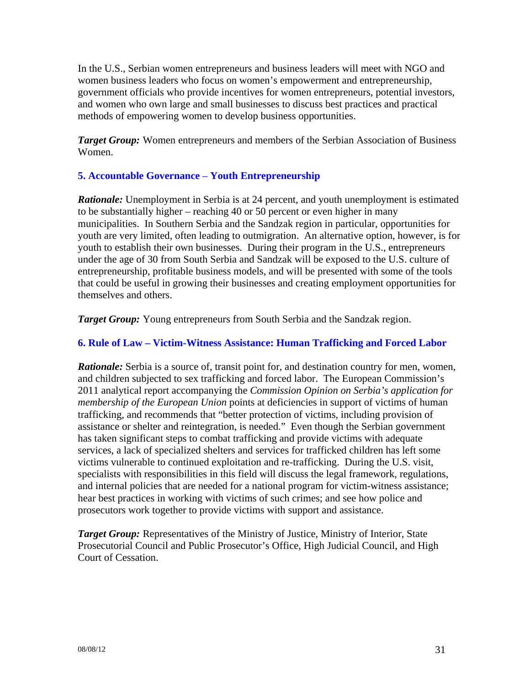In the U.S., Serbian women entrepreneurs and business leaders will meet with NGO and women business leaders who focus on women's empowerment and entrepreneurship, government officials who provide incentives for women entrepreneurs, potential investors, and women who own large and small businesses to discuss best practices and practical methods of empowering women to develop business opportunities.

*Target Group:* Women entrepreneurs and members of the Serbian Association of Business Women.

## **5. Accountable Governance** – **Youth Entrepreneurship**

**Rationale:** Unemployment in Serbia is at 24 percent, and youth unemployment is estimated to be substantially higher – reaching 40 or 50 percent or even higher in many municipalities. In Southern Serbia and the Sandzak region in particular, opportunities for youth are very limited, often leading to outmigration. An alternative option, however, is for youth to establish their own businesses. During their program in the U.S., entrepreneurs under the age of 30 from South Serbia and Sandzak will be exposed to the U.S. culture of entrepreneurship, profitable business models, and will be presented with some of the tools that could be useful in growing their businesses and creating employment opportunities for themselves and others.

*Target Group:* Young entrepreneurs from South Serbia and the Sandzak region.

### **6. Rule of Law – Victim-Witness Assistance: Human Trafficking and Forced Labor**

*Rationale:* Serbia is a source of, transit point for, and destination country for men, women, and children subjected to sex trafficking and forced labor. The European Commission's 2011 analytical report accompanying the *Commission Opinion on Serbia's application for membership of the European Union* points at deficiencies in support of victims of human trafficking, and recommends that "better protection of victims, including provision of assistance or shelter and reintegration, is needed." Even though the Serbian government has taken significant steps to combat trafficking and provide victims with adequate services, a lack of specialized shelters and services for trafficked children has left some victims vulnerable to continued exploitation and re-trafficking. During the U.S. visit, specialists with responsibilities in this field will discuss the legal framework, regulations, and internal policies that are needed for a national program for victim-witness assistance; hear best practices in working with victims of such crimes; and see how police and prosecutors work together to provide victims with support and assistance.

*Target Group:* Representatives of the Ministry of Justice, Ministry of Interior, State Prosecutorial Council and Public Prosecutor's Office, High Judicial Council, and High Court of Cessation.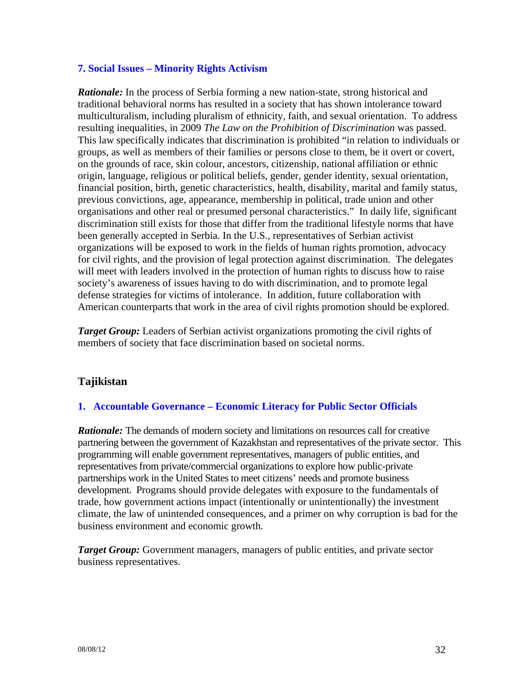### **7. Social Issues – Minority Rights Activism**

*Rationale:* In the process of Serbia forming a new nation-state, strong historical and traditional behavioral norms has resulted in a society that has shown intolerance toward multiculturalism, including pluralism of ethnicity, faith, and sexual orientation. To address resulting inequalities, in 2009 *The Law on the Prohibition of Discrimination* was passed. This law specifically indicates that discrimination is prohibited "in relation to individuals or groups, as well as members of their families or persons close to them, be it overt or covert, on the grounds of race, skin colour, ancestors, citizenship, national affiliation or ethnic origin, language, religious or political beliefs, gender, gender identity, sexual orientation, financial position, birth, genetic characteristics, health, disability, marital and family status, previous convictions, age, appearance, membership in political, trade union and other organisations and other real or presumed personal characteristics." In daily life, significant discrimination still exists for those that differ from the traditional lifestyle norms that have been generally accepted in Serbia. In the U.S., representatives of Serbian activist organizations will be exposed to work in the fields of human rights promotion, advocacy for civil rights, and the provision of legal protection against discrimination. The delegates will meet with leaders involved in the protection of human rights to discuss how to raise society's awareness of issues having to do with discrimination, and to promote legal defense strategies for victims of intolerance. In addition, future collaboration with American counterparts that work in the area of civil rights promotion should be explored.

*Target Group:* Leaders of Serbian activist organizations promoting the civil rights of members of society that face discrimination based on societal norms.

## **Tajikistan**

### **1. Accountable Governance – Economic Literacy for Public Sector Officials**

*Rationale:* The demands of modern society and limitations on resources call for creative partnering between the government of Kazakhstan and representatives of the private sector. This programming will enable government representatives, managers of public entities, and representatives from private/commercial organizations to explore how public-private partnerships work in the United States to meet citizens' needs and promote business development. Programs should provide delegates with exposure to the fundamentals of trade, how government actions impact (intentionally or unintentionally) the investment climate, the law of unintended consequences, and a primer on why corruption is bad for the business environment and economic growth.

*Target Group:* Government managers, managers of public entities, and private sector business representatives.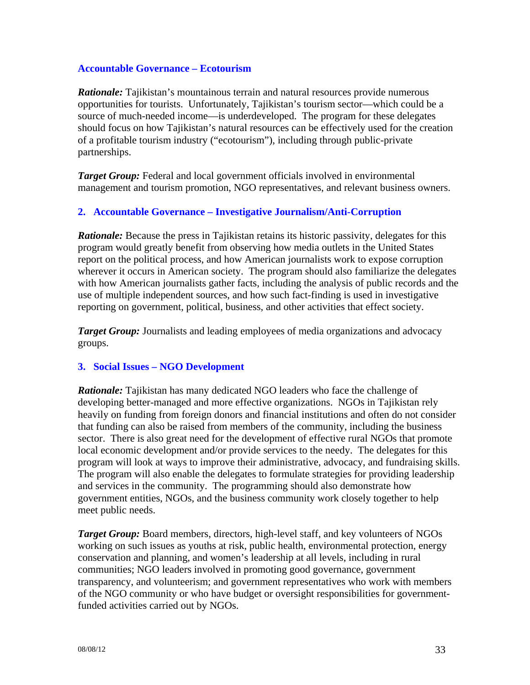#### **Accountable Governance – Ecotourism**

*Rationale:* Tajikistan's mountainous terrain and natural resources provide numerous opportunities for tourists. Unfortunately, Tajikistan's tourism sector—which could be a source of much-needed income—is underdeveloped. The program for these delegates should focus on how Tajikistan's natural resources can be effectively used for the creation of a profitable tourism industry ("ecotourism"), including through public-private partnerships.

*Target Group:* Federal and local government officials involved in environmental management and tourism promotion, NGO representatives, and relevant business owners.

### **2. Accountable Governance – Investigative Journalism/Anti-Corruption**

*Rationale:* Because the press in Tajikistan retains its historic passivity, delegates for this program would greatly benefit from observing how media outlets in the United States report on the political process, and how American journalists work to expose corruption wherever it occurs in American society. The program should also familiarize the delegates with how American journalists gather facts, including the analysis of public records and the use of multiple independent sources, and how such fact-finding is used in investigative reporting on government, political, business, and other activities that effect society.

*Target Group:* Journalists and leading employees of media organizations and advocacy groups.

### **3. Social Issues – NGO Development**

*Rationale:* Tajikistan has many dedicated NGO leaders who face the challenge of developing better-managed and more effective organizations. NGOs in Tajikistan rely heavily on funding from foreign donors and financial institutions and often do not consider that funding can also be raised from members of the community, including the business sector. There is also great need for the development of effective rural NGOs that promote local economic development and/or provide services to the needy. The delegates for this program will look at ways to improve their administrative, advocacy, and fundraising skills. The program will also enable the delegates to formulate strategies for providing leadership and services in the community. The programming should also demonstrate how government entities, NGOs, and the business community work closely together to help meet public needs.

*Target Group:* Board members, directors, high-level staff, and key volunteers of NGOs working on such issues as youths at risk, public health, environmental protection, energy conservation and planning, and women's leadership at all levels, including in rural communities; NGO leaders involved in promoting good governance, government transparency, and volunteerism; and government representatives who work with members of the NGO community or who have budget or oversight responsibilities for governmentfunded activities carried out by NGOs.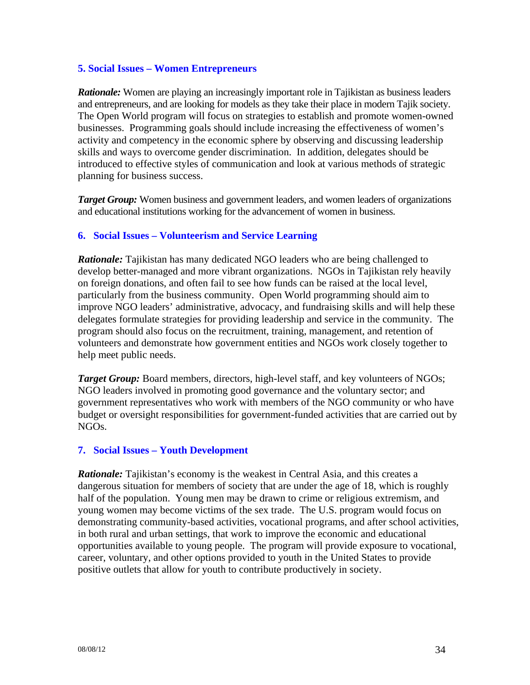#### **5. Social Issues – Women Entrepreneurs**

*Rationale:* Women are playing an increasingly important role in Tajikistan as business leaders and entrepreneurs, and are looking for models as they take their place in modern Tajik society. The Open World program will focus on strategies to establish and promote women-owned businesses. Programming goals should include increasing the effectiveness of women's activity and competency in the economic sphere by observing and discussing leadership skills and ways to overcome gender discrimination. In addition, delegates should be introduced to effective styles of communication and look at various methods of strategic planning for business success.

**Target Group:** Women business and government leaders, and women leaders of organizations and educational institutions working for the advancement of women in business.

### **6. Social Issues – Volunteerism and Service Learning**

*Rationale:* Tajikistan has many dedicated NGO leaders who are being challenged to develop better-managed and more vibrant organizations. NGOs in Tajikistan rely heavily on foreign donations, and often fail to see how funds can be raised at the local level, particularly from the business community. Open World programming should aim to improve NGO leaders' administrative, advocacy, and fundraising skills and will help these delegates formulate strategies for providing leadership and service in the community. The program should also focus on the recruitment, training, management, and retention of volunteers and demonstrate how government entities and NGOs work closely together to help meet public needs.

*Target Group:* Board members, directors, high-level staff, and key volunteers of NGOs; NGO leaders involved in promoting good governance and the voluntary sector; and government representatives who work with members of the NGO community or who have budget or oversight responsibilities for government-funded activities that are carried out by NGOs.

### **7. Social Issues – Youth Development**

*Rationale:* Tajikistan's economy is the weakest in Central Asia, and this creates a dangerous situation for members of society that are under the age of 18, which is roughly half of the population. Young men may be drawn to crime or religious extremism, and young women may become victims of the sex trade. The U.S. program would focus on demonstrating community-based activities, vocational programs, and after school activities, in both rural and urban settings, that work to improve the economic and educational opportunities available to young people. The program will provide exposure to vocational, career, voluntary, and other options provided to youth in the United States to provide positive outlets that allow for youth to contribute productively in society.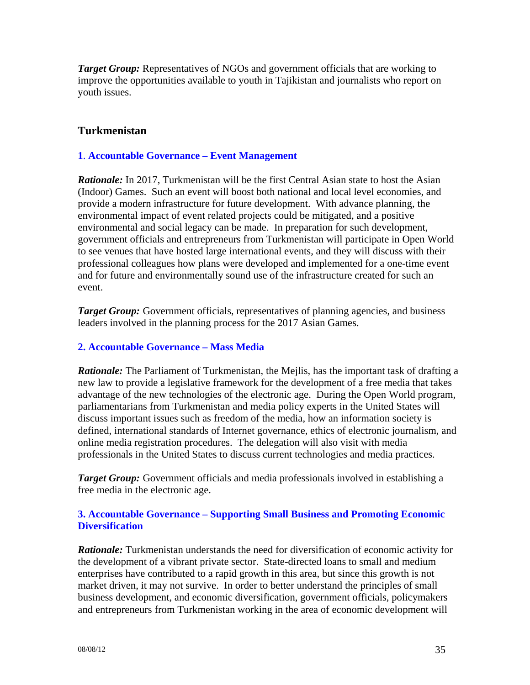*Target Group:* Representatives of NGOs and government officials that are working to improve the opportunities available to youth in Tajikistan and journalists who report on youth issues.

## **Turkmenistan**

### **1**. **Accountable Governance – Event Management**

*Rationale:* In 2017, Turkmenistan will be the first Central Asian state to host the Asian (Indoor) Games. Such an event will boost both national and local level economies, and provide a modern infrastructure for future development. With advance planning, the environmental impact of event related projects could be mitigated, and a positive environmental and social legacy can be made. In preparation for such development, government officials and entrepreneurs from Turkmenistan will participate in Open World to see venues that have hosted large international events, and they will discuss with their professional colleagues how plans were developed and implemented for a one-time event and for future and environmentally sound use of the infrastructure created for such an event.

*Target Group:* Government officials, representatives of planning agencies, and business leaders involved in the planning process for the 2017 Asian Games.

### **2. Accountable Governance – Mass Media**

*Rationale:* The Parliament of Turkmenistan, the Mejlis, has the important task of drafting a new law to provide a legislative framework for the development of a free media that takes advantage of the new technologies of the electronic age. During the Open World program, parliamentarians from Turkmenistan and media policy experts in the United States will discuss important issues such as freedom of the media, how an information society is defined, international standards of Internet governance, ethics of electronic journalism, and online media registration procedures. The delegation will also visit with media professionals in the United States to discuss current technologies and media practices.

*Target Group:* Government officials and media professionals involved in establishing a free media in the electronic age.

### **3. Accountable Governance – Supporting Small Business and Promoting Economic Diversification**

*Rationale:* Turkmenistan understands the need for diversification of economic activity for the development of a vibrant private sector. State-directed loans to small and medium enterprises have contributed to a rapid growth in this area, but since this growth is not market driven, it may not survive. In order to better understand the principles of small business development, and economic diversification, government officials, policymakers and entrepreneurs from Turkmenistan working in the area of economic development will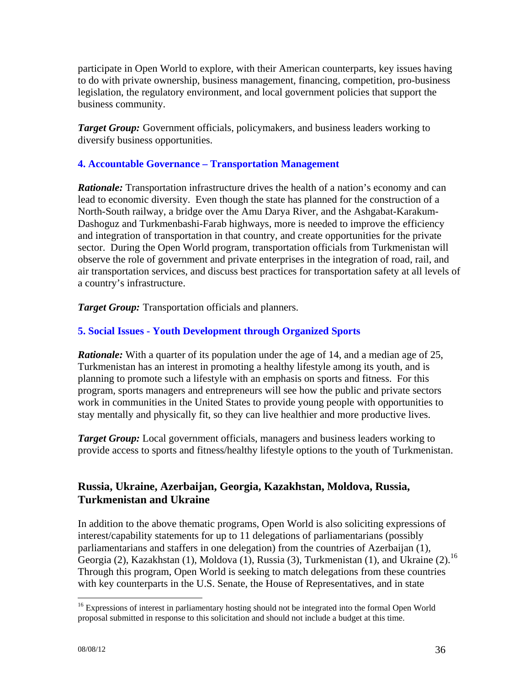participate in Open World to explore, with their American counterparts, key issues having to do with private ownership, business management, financing, competition, pro-business legislation, the regulatory environment, and local government policies that support the business community.

**Target Group:** Government officials, policymakers, and business leaders working to diversify business opportunities.

### **4. Accountable Governance – Transportation Management**

*Rationale:* Transportation infrastructure drives the health of a nation's economy and can lead to economic diversity. Even though the state has planned for the construction of a North-South railway, a bridge over the Amu Darya River, and the Ashgabat-Karakum-Dashoguz and Turkmenbashi-Farab highways, more is needed to improve the efficiency and integration of transportation in that country, and create opportunities for the private sector. During the Open World program, transportation officials from Turkmenistan will observe the role of government and private enterprises in the integration of road, rail, and air transportation services, and discuss best practices for transportation safety at all levels of a country's infrastructure.

*Target Group:* Transportation officials and planners.

## **5. Social Issues - Youth Development through Organized Sports**

*Rationale:* With a quarter of its population under the age of 14, and a median age of 25, Turkmenistan has an interest in promoting a healthy lifestyle among its youth, and is planning to promote such a lifestyle with an emphasis on sports and fitness. For this program, sports managers and entrepreneurs will see how the public and private sectors work in communities in the United States to provide young people with opportunities to stay mentally and physically fit, so they can live healthier and more productive lives.

*Target Group:* Local government officials, managers and business leaders working to provide access to sports and fitness/healthy lifestyle options to the youth of Turkmenistan.

## **Russia, Ukraine, Azerbaijan, Georgia, Kazakhstan, Moldova, Russia, Turkmenistan and Ukraine**

In addition to the above thematic programs, Open World is also soliciting expressions of interest/capability statements for up to 11 delegations of parliamentarians (possibly parliamentarians and staffers in one delegation) from the countries of Azerbaijan (1), Georgia (2), Kazakhstan (1), Moldova (1), Russia (3), Turkmenistan (1), and Ukraine (2).<sup>16</sup> Through this program, Open World is seeking to match delegations from these countries with key counterparts in the U.S. Senate, the House of Representatives, and in state

 $\overline{a}$ 

<sup>&</sup>lt;sup>16</sup> Expressions of interest in parliamentary hosting should not be integrated into the formal Open World proposal submitted in response to this solicitation and should not include a budget at this time.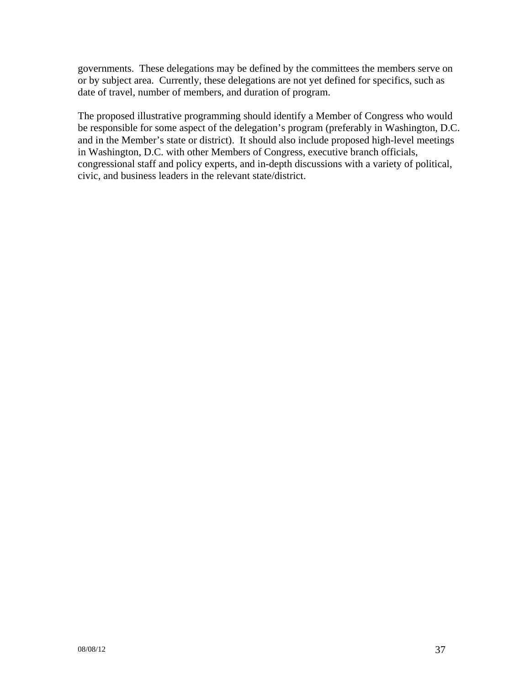governments. These delegations may be defined by the committees the members serve on or by subject area. Currently, these delegations are not yet defined for specifics, such as date of travel, number of members, and duration of program.

The proposed illustrative programming should identify a Member of Congress who would be responsible for some aspect of the delegation's program (preferably in Washington, D.C. and in the Member's state or district). It should also include proposed high-level meetings in Washington, D.C. with other Members of Congress, executive branch officials, congressional staff and policy experts, and in-depth discussions with a variety of political, civic, and business leaders in the relevant state/district.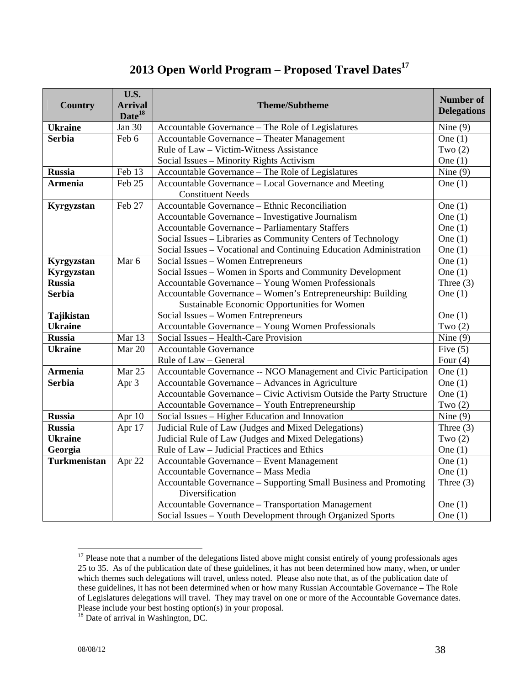# **2013 Open World Program – Proposed Travel Dates<sup>17</sup>**

|                     | <b>U.S.</b>                |                                                                     |                                        |  |  |
|---------------------|----------------------------|---------------------------------------------------------------------|----------------------------------------|--|--|
| <b>Country</b>      | <b>Arrival</b>             | <b>Theme/Subtheme</b>                                               | <b>Number of</b><br><b>Delegations</b> |  |  |
|                     | Date <sup>18</sup>         |                                                                     |                                        |  |  |
| <b>Ukraine</b>      | Jan 30                     | Accountable Governance - The Role of Legislatures                   | Nine $(9)$                             |  |  |
| <b>Serbia</b>       | Feb 6                      | Accountable Governance - Theater Management                         | One $(1)$                              |  |  |
|                     |                            | Rule of Law - Victim-Witness Assistance                             | Two $(2)$                              |  |  |
|                     |                            | Social Issues - Minority Rights Activism                            | One $(1)$                              |  |  |
| <b>Russia</b>       | Feb 13                     | Accountable Governance - The Role of Legislatures                   | Nine $(9)$                             |  |  |
| <b>Armenia</b>      | $\overline{\text{Feb}}$ 25 | Accountable Governance – Local Governance and Meeting               | One $(1)$                              |  |  |
|                     |                            | <b>Constituent Needs</b>                                            |                                        |  |  |
| Kyrgyzstan          | Feb 27                     | Accountable Governance – Ethnic Reconciliation                      | One $(1)$                              |  |  |
|                     |                            | Accountable Governance - Investigative Journalism                   | One $(1)$                              |  |  |
|                     |                            | Accountable Governance - Parliamentary Staffers                     | One $(1)$                              |  |  |
|                     |                            | Social Issues - Libraries as Community Centers of Technology        | One $(1)$                              |  |  |
|                     |                            | Social Issues - Vocational and Continuing Education Administration  | One $(1)$                              |  |  |
| Kyrgyzstan          | Mar 6                      | Social Issues - Women Entrepreneurs                                 | One $(1)$                              |  |  |
| Kyrgyzstan          |                            | Social Issues – Women in Sports and Community Development           | One $(1)$                              |  |  |
| <b>Russia</b>       |                            | Accountable Governance - Young Women Professionals                  | Three $(3)$                            |  |  |
| <b>Serbia</b>       |                            | Accountable Governance - Women's Entrepreneurship: Building         | One $(1)$                              |  |  |
|                     |                            | Sustainable Economic Opportunities for Women                        |                                        |  |  |
| Tajikistan          |                            | Social Issues - Women Entrepreneurs                                 | One $(1)$                              |  |  |
| <b>Ukraine</b>      |                            | Accountable Governance - Young Women Professionals                  | Two $(2)$                              |  |  |
| <b>Russia</b>       | Mar 13                     | Social Issues - Health-Care Provision                               | Nine $(9)$                             |  |  |
| <b>Ukraine</b>      | Mar 20                     | Accountable Governance                                              | Five $(5)$                             |  |  |
|                     |                            | Rule of Law - General                                               | Four $(4)$                             |  |  |
| <b>Armenia</b>      | Mar 25                     | Accountable Governance -- NGO Management and Civic Participation    | One $(1)$                              |  |  |
| <b>Serbia</b>       | Apr 3                      | Accountable Governance - Advances in Agriculture                    | One $(1)$                              |  |  |
|                     |                            | Accountable Governance – Civic Activism Outside the Party Structure | One $(1)$                              |  |  |
|                     |                            | Accountable Governance - Youth Entrepreneurship                     | Two $(2)$                              |  |  |
| <b>Russia</b>       | Apr 10                     | Social Issues – Higher Education and Innovation                     | Nine $(9)$                             |  |  |
| <b>Russia</b>       | Apr 17                     | Judicial Rule of Law (Judges and Mixed Delegations)                 | Three $(3)$                            |  |  |
| <b>Ukraine</b>      |                            | Judicial Rule of Law (Judges and Mixed Delegations)                 | Two $(2)$                              |  |  |
| Georgia             |                            | Rule of Law - Judicial Practices and Ethics                         | One $(1)$                              |  |  |
| <b>Turkmenistan</b> | Apr 22                     | Accountable Governance - Event Management                           | One $(1)$                              |  |  |
|                     |                            | Accountable Governance - Mass Media                                 | One $(1)$                              |  |  |
|                     |                            | Accountable Governance – Supporting Small Business and Promoting    | Three $(3)$                            |  |  |
|                     |                            | Diversification                                                     |                                        |  |  |
|                     |                            | Accountable Governance - Transportation Management                  | One $(1)$                              |  |  |
|                     |                            | Social Issues - Youth Development through Organized Sports          | One $(1)$                              |  |  |

 $\overline{a}$  $17$  Please note that a number of the delegations listed above might consist entirely of young professionals ages 25 to 35. As of the publication date of these guidelines, it has not been determined how many, when, or under which themes such delegations will travel, unless noted. Please also note that, as of the publication date of these guidelines, it has not been determined when or how many Russian Accountable Governance – The Role of Legislatures delegations will travel. They may travel on one or more of the Accountable Governance dates. Please include your best hosting option(s) in your proposal.

<sup>&</sup>lt;sup>18</sup> Date of arrival in Washington, DC.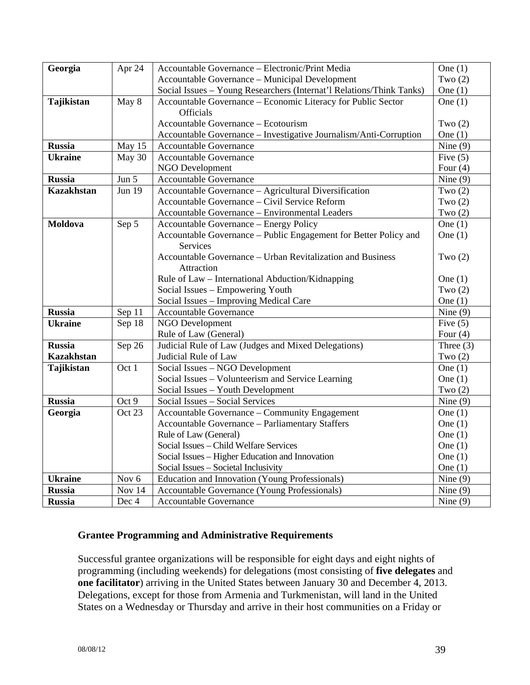| Georgia           | Apr 24        | Accountable Governance - Electronic/Print Media<br>One $(1)$            |             |  |  |  |  |  |
|-------------------|---------------|-------------------------------------------------------------------------|-------------|--|--|--|--|--|
|                   |               | Accountable Governance - Municipal Development<br>Two $(2)$             |             |  |  |  |  |  |
|                   |               | Social Issues - Young Researchers (Internat'l Relations/Think Tanks)    | One $(1)$   |  |  |  |  |  |
| Tajikistan        | May 8         | Accountable Governance - Economic Literacy for Public Sector            | One $(1)$   |  |  |  |  |  |
|                   |               | <b>Officials</b>                                                        |             |  |  |  |  |  |
|                   |               | Accountable Governance - Ecotourism                                     | Two $(2)$   |  |  |  |  |  |
|                   |               | Accountable Governance - Investigative Journalism/Anti-Corruption       | One $(1)$   |  |  |  |  |  |
| <b>Russia</b>     | May 15        | <b>Accountable Governance</b>                                           | Nine $(9)$  |  |  |  |  |  |
| <b>Ukraine</b>    | May 30        | Accountable Governance                                                  | Five $(5)$  |  |  |  |  |  |
|                   |               | NGO Development                                                         | Four $(4)$  |  |  |  |  |  |
| <b>Russia</b>     | Jun 5         | Accountable Governance                                                  | Nine $(9)$  |  |  |  |  |  |
| <b>Kazakhstan</b> | <b>Jun 19</b> | Accountable Governance - Agricultural Diversification                   | Two $(2)$   |  |  |  |  |  |
|                   |               | Accountable Governance - Civil Service Reform                           | Two $(2)$   |  |  |  |  |  |
|                   |               | Accountable Governance - Environmental Leaders                          | Two $(2)$   |  |  |  |  |  |
| Moldova           | Sep 5         | Accountable Governance - Energy Policy                                  | One $(1)$   |  |  |  |  |  |
|                   |               | Accountable Governance – Public Engagement for Better Policy and        | One $(1)$   |  |  |  |  |  |
|                   |               | <b>Services</b>                                                         |             |  |  |  |  |  |
|                   |               | Accountable Governance – Urban Revitalization and Business<br>Two $(2)$ |             |  |  |  |  |  |
|                   |               | Attraction                                                              |             |  |  |  |  |  |
|                   |               | Rule of Law - International Abduction/Kidnapping                        | One $(1)$   |  |  |  |  |  |
|                   |               | Social Issues - Empowering Youth                                        | Two $(2)$   |  |  |  |  |  |
|                   |               | Social Issues - Improving Medical Care                                  | One $(1)$   |  |  |  |  |  |
| <b>Russia</b>     | Sep 11        | Accountable Governance                                                  | Nine $(9)$  |  |  |  |  |  |
| <b>Ukraine</b>    | Sep 18        | NGO Development                                                         | Five $(5)$  |  |  |  |  |  |
|                   |               | Rule of Law (General)                                                   | Four $(4)$  |  |  |  |  |  |
| <b>Russia</b>     | Sep 26        | Judicial Rule of Law (Judges and Mixed Delegations)                     | Three $(3)$ |  |  |  |  |  |
| <b>Kazakhstan</b> |               | Judicial Rule of Law                                                    | Two $(2)$   |  |  |  |  |  |
| <b>Tajikistan</b> | Oct 1         | Social Issues - NGO Development                                         | One $(1)$   |  |  |  |  |  |
|                   |               | Social Issues - Volunteerism and Service Learning                       | One $(1)$   |  |  |  |  |  |
|                   |               | Social Issues - Youth Development                                       | Two $(2)$   |  |  |  |  |  |
| <b>Russia</b>     | Oct 9         | Social Issues - Social Services                                         | Nine $(9)$  |  |  |  |  |  |
| Georgia           | Oct 23        | Accountable Governance – Community Engagement                           | One $(1)$   |  |  |  |  |  |
|                   |               | Accountable Governance - Parliamentary Staffers                         | One $(1)$   |  |  |  |  |  |
|                   |               | Rule of Law (General)                                                   | One $(1)$   |  |  |  |  |  |
|                   |               | Social Issues - Child Welfare Services                                  | One $(1)$   |  |  |  |  |  |
|                   |               | Social Issues - Higher Education and Innovation                         | One $(1)$   |  |  |  |  |  |
|                   |               | Social Issues - Societal Inclusivity                                    | One $(1)$   |  |  |  |  |  |
| <b>Ukraine</b>    | Nov 6         | Education and Innovation (Young Professionals)                          | Nine $(9)$  |  |  |  |  |  |
| <b>Russia</b>     | Nov 14        | Accountable Governance (Young Professionals)                            | Nine $(9)$  |  |  |  |  |  |
| <b>Russia</b>     | Dec 4         | Accountable Governance                                                  | Nine $(9)$  |  |  |  |  |  |

#### **Grantee Programming and Administrative Requirements**

Successful grantee organizations will be responsible for eight days and eight nights of programming (including weekends) for delegations (most consisting of **five delegates** and **one facilitator**) arriving in the United States between January 30 and December 4, 2013. Delegations, except for those from Armenia and Turkmenistan, will land in the United States on a Wednesday or Thursday and arrive in their host communities on a Friday or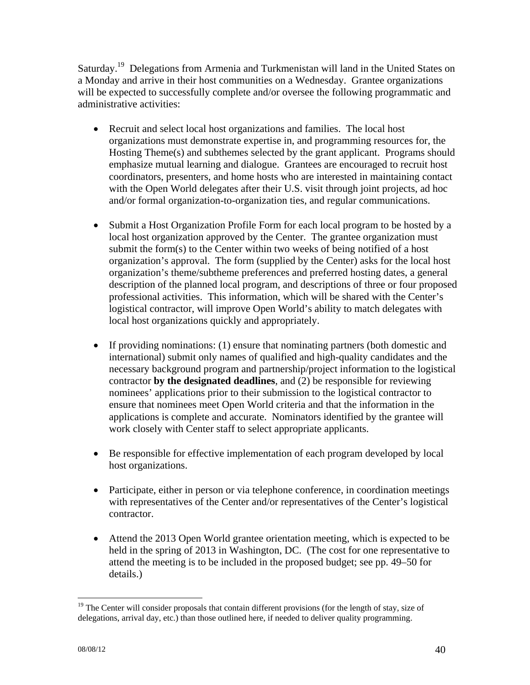Saturday.<sup>19</sup> Delegations from Armenia and Turkmenistan will land in the United States on a Monday and arrive in their host communities on a Wednesday. Grantee organizations will be expected to successfully complete and/or oversee the following programmatic and administrative activities:

- Recruit and select local host organizations and families. The local host organizations must demonstrate expertise in, and programming resources for, the Hosting Theme(s) and subthemes selected by the grant applicant. Programs should emphasize mutual learning and dialogue. Grantees are encouraged to recruit host coordinators, presenters, and home hosts who are interested in maintaining contact with the Open World delegates after their U.S. visit through joint projects, ad hoc and/or formal organization-to-organization ties, and regular communications.
- Submit a Host Organization Profile Form for each local program to be hosted by a local host organization approved by the Center. The grantee organization must submit the form(s) to the Center within two weeks of being notified of a host organization's approval. The form (supplied by the Center) asks for the local host organization's theme/subtheme preferences and preferred hosting dates, a general description of the planned local program, and descriptions of three or four proposed professional activities. This information, which will be shared with the Center's logistical contractor, will improve Open World's ability to match delegates with local host organizations quickly and appropriately.
- If providing nominations: (1) ensure that nominating partners (both domestic and international) submit only names of qualified and high-quality candidates and the necessary background program and partnership/project information to the logistical contractor **by the designated deadlines**, and (2) be responsible for reviewing nominees' applications prior to their submission to the logistical contractor to ensure that nominees meet Open World criteria and that the information in the applications is complete and accurate. Nominators identified by the grantee will work closely with Center staff to select appropriate applicants.
- Be responsible for effective implementation of each program developed by local host organizations.
- Participate, either in person or via telephone conference, in coordination meetings with representatives of the Center and/or representatives of the Center's logistical contractor.
- Attend the 2013 Open World grantee orientation meeting, which is expected to be held in the spring of 2013 in Washington, DC. (The cost for one representative to attend the meeting is to be included in the proposed budget; see pp. 49–50 for details.)

 $\overline{a}$ <sup>19</sup> The Center will consider proposals that contain different provisions (for the length of stay, size of delegations, arrival day, etc.) than those outlined here, if needed to deliver quality programming.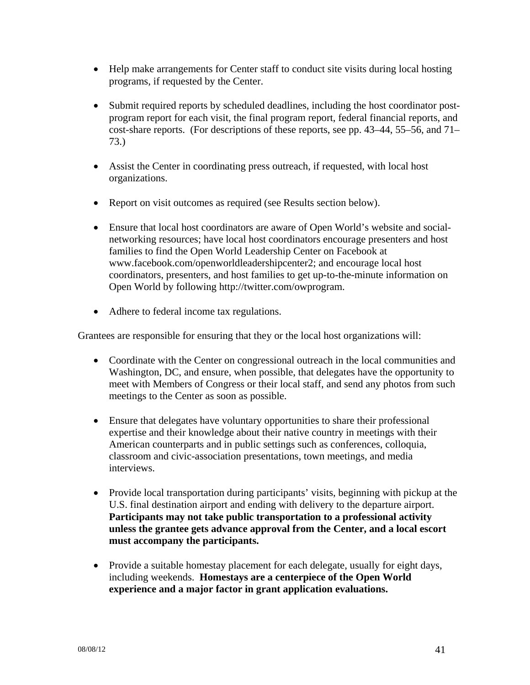- Help make arrangements for Center staff to conduct site visits during local hosting programs, if requested by the Center.
- Submit required reports by scheduled deadlines, including the host coordinator postprogram report for each visit, the final program report, federal financial reports, and cost-share reports. (For descriptions of these reports, see pp. 43–44, 55–56, and 71– 73.)
- Assist the Center in coordinating press outreach, if requested, with local host organizations.
- Report on visit outcomes as required (see Results section below).
- Ensure that local host coordinators are aware of Open World's website and socialnetworking resources; have local host coordinators encourage presenters and host families to find the Open World Leadership Center on Facebook at www.facebook.com/openworldleadershipcenter2; and encourage local host coordinators, presenters, and host families to get up-to-the-minute information on Open World by following http://twitter.com/owprogram.
- Adhere to federal income tax regulations.

Grantees are responsible for ensuring that they or the local host organizations will:

- Coordinate with the Center on congressional outreach in the local communities and Washington, DC, and ensure, when possible, that delegates have the opportunity to meet with Members of Congress or their local staff, and send any photos from such meetings to the Center as soon as possible.
- Ensure that delegates have voluntary opportunities to share their professional expertise and their knowledge about their native country in meetings with their American counterparts and in public settings such as conferences, colloquia, classroom and civic-association presentations, town meetings, and media interviews.
- Provide local transportation during participants' visits, beginning with pickup at the U.S. final destination airport and ending with delivery to the departure airport. **Participants may not take public transportation to a professional activity unless the grantee gets advance approval from the Center, and a local escort must accompany the participants.**
- Provide a suitable homestay placement for each delegate, usually for eight days, including weekends. **Homestays are a centerpiece of the Open World experience and a major factor in grant application evaluations.**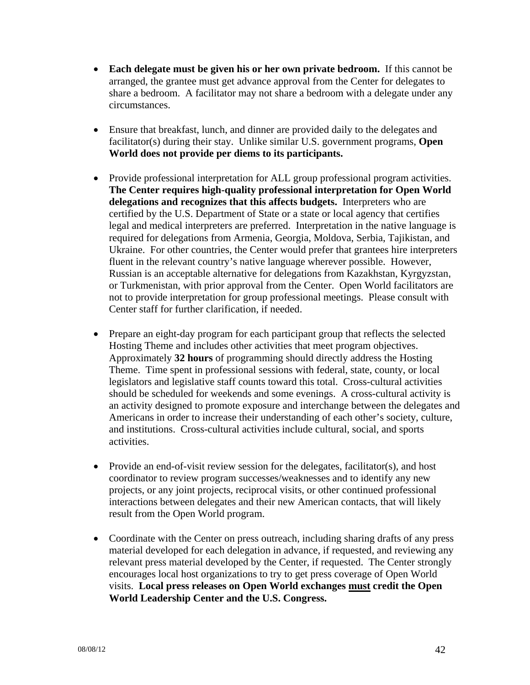- **Each delegate must be given his or her own private bedroom.** If this cannot be arranged, the grantee must get advance approval from the Center for delegates to share a bedroom. A facilitator may not share a bedroom with a delegate under any circumstances.
- Ensure that breakfast, lunch, and dinner are provided daily to the delegates and facilitator(s) during their stay. Unlike similar U.S. government programs, **Open World does not provide per diems to its participants.**
- Provide professional interpretation for ALL group professional program activities. **The Center requires high-quality professional interpretation for Open World delegations and recognizes that this affects budgets.** Interpreters who are certified by the U.S. Department of State or a state or local agency that certifies legal and medical interpreters are preferred. Interpretation in the native language is required for delegations from Armenia, Georgia, Moldova, Serbia, Tajikistan, and Ukraine. For other countries, the Center would prefer that grantees hire interpreters fluent in the relevant country's native language wherever possible. However, Russian is an acceptable alternative for delegations from Kazakhstan, Kyrgyzstan, or Turkmenistan, with prior approval from the Center. Open World facilitators are not to provide interpretation for group professional meetings. Please consult with Center staff for further clarification, if needed.
- Prepare an eight-day program for each participant group that reflects the selected Hosting Theme and includes other activities that meet program objectives. Approximately **32 hours** of programming should directly address the Hosting Theme. Time spent in professional sessions with federal, state, county, or local legislators and legislative staff counts toward this total. Cross-cultural activities should be scheduled for weekends and some evenings. A cross-cultural activity is an activity designed to promote exposure and interchange between the delegates and Americans in order to increase their understanding of each other's society, culture, and institutions. Cross-cultural activities include cultural, social, and sports activities.
- Provide an end-of-visit review session for the delegates, facilitator(s), and host coordinator to review program successes/weaknesses and to identify any new projects, or any joint projects, reciprocal visits, or other continued professional interactions between delegates and their new American contacts, that will likely result from the Open World program.
- Coordinate with the Center on press outreach, including sharing drafts of any press material developed for each delegation in advance, if requested, and reviewing any relevant press material developed by the Center, if requested. The Center strongly encourages local host organizations to try to get press coverage of Open World visits. **Local press releases on Open World exchanges must credit the Open World Leadership Center and the U.S. Congress.**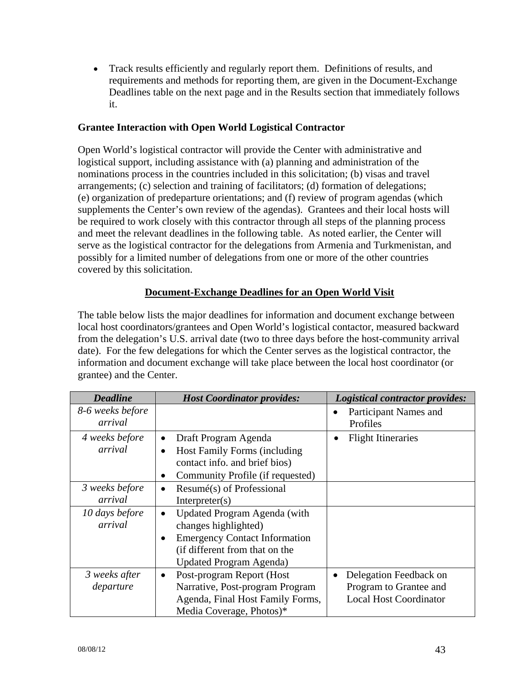Track results efficiently and regularly report them. Definitions of results, and requirements and methods for reporting them, are given in the Document-Exchange Deadlines table on the next page and in the Results section that immediately follows it.

### **Grantee Interaction with Open World Logistical Contractor**

Open World's logistical contractor will provide the Center with administrative and logistical support, including assistance with (a) planning and administration of the nominations process in the countries included in this solicitation; (b) visas and travel arrangements; (c) selection and training of facilitators; (d) formation of delegations; (e) organization of predeparture orientations; and (f) review of program agendas (which supplements the Center's own review of the agendas). Grantees and their local hosts will be required to work closely with this contractor through all steps of the planning process and meet the relevant deadlines in the following table. As noted earlier, the Center will serve as the logistical contractor for the delegations from Armenia and Turkmenistan, and possibly for a limited number of delegations from one or more of the other countries covered by this solicitation.

#### **Document-Exchange Deadlines for an Open World Visit**

The table below lists the major deadlines for information and document exchange between local host coordinators/grantees and Open World's logistical contactor, measured backward from the delegation's U.S. arrival date (two to three days before the host-community arrival date). For the few delegations for which the Center serves as the logistical contractor, the information and document exchange will take place between the local host coordinator (or grantee) and the Center.

| <b>Deadline</b>             | <b>Host Coordinator provides:</b>                                                                                                         | <b>Logistical contractor provides:</b>                                            |
|-----------------------------|-------------------------------------------------------------------------------------------------------------------------------------------|-----------------------------------------------------------------------------------|
| 8-6 weeks before<br>arrival |                                                                                                                                           | Participant Names and<br>Profiles                                                 |
| 4 weeks before<br>arrival   | Draft Program Agenda<br>٠<br>Host Family Forms (including                                                                                 | <b>Flight Itineraries</b>                                                         |
|                             | contact info. and brief bios)<br>Community Profile (if requested)                                                                         |                                                                                   |
| 3 weeks before<br>arrival   | Resumé(s) of Professional<br>$\bullet$<br>Interpreter(s)                                                                                  |                                                                                   |
| 10 days before<br>arrival   | Updated Program Agenda (with<br>changes highlighted)                                                                                      |                                                                                   |
|                             | <b>Emergency Contact Information</b><br>(if different from that on the<br><b>Updated Program Agenda)</b>                                  |                                                                                   |
| 3 weeks after<br>departure  | Post-program Report (Host<br>$\bullet$<br>Narrative, Post-program Program<br>Agenda, Final Host Family Forms,<br>Media Coverage, Photos)* | Delegation Feedback on<br>Program to Grantee and<br><b>Local Host Coordinator</b> |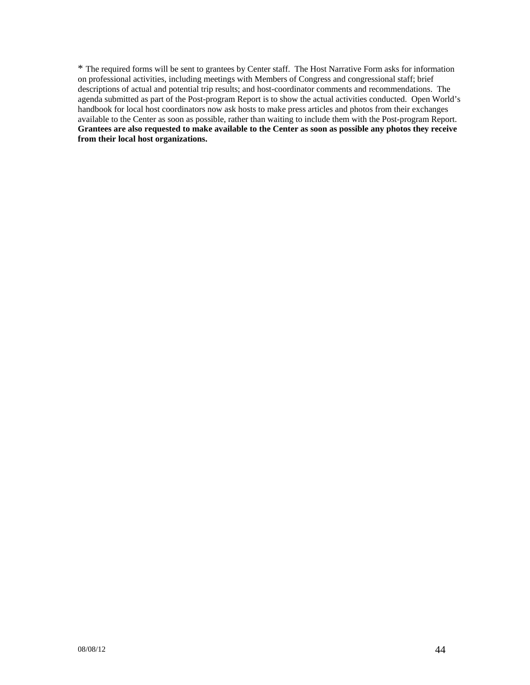\* The required forms will be sent to grantees by Center staff. The Host Narrative Form asks for information on professional activities, including meetings with Members of Congress and congressional staff; brief descriptions of actual and potential trip results; and host-coordinator comments and recommendations. The agenda submitted as part of the Post-program Report is to show the actual activities conducted. Open World's handbook for local host coordinators now ask hosts to make press articles and photos from their exchanges available to the Center as soon as possible, rather than waiting to include them with the Post-program Report. **Grantees are also requested to make available to the Center as soon as possible any photos they receive from their local host organizations.**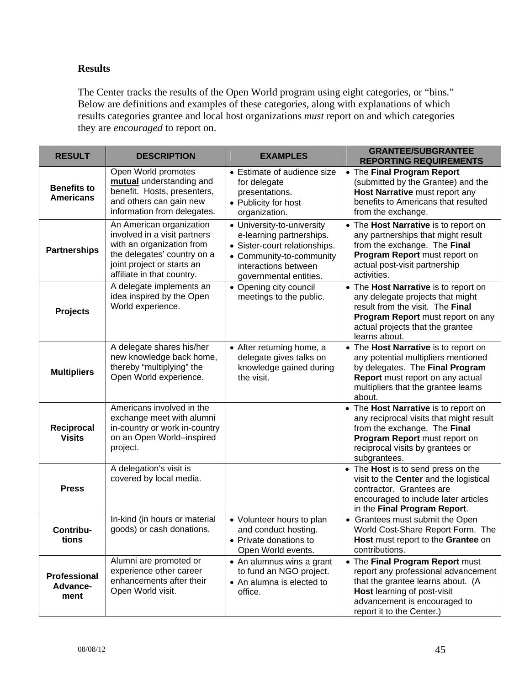#### **Results**

The Center tracks the results of the Open World program using eight categories, or "bins." Below are definitions and examples of these categories, along with explanations of which results categories grantee and local host organizations *must* report on and which categories they are *encouraged* to report on.

| <b>RESULT</b>                           | <b>DESCRIPTION</b>                                                                                                                                                               | <b>EXAMPLES</b>                                                                                                                                                       | <b>GRANTEE/SUBGRANTEE</b><br><b>REPORTING REQUIREMENTS</b>                                                                                                                                              |  |  |  |
|-----------------------------------------|----------------------------------------------------------------------------------------------------------------------------------------------------------------------------------|-----------------------------------------------------------------------------------------------------------------------------------------------------------------------|---------------------------------------------------------------------------------------------------------------------------------------------------------------------------------------------------------|--|--|--|
| <b>Benefits to</b><br><b>Americans</b>  | Open World promotes<br>mutual understanding and<br>benefit. Hosts, presenters,<br>and others can gain new<br>information from delegates.                                         | • Estimate of audience size<br>for delegate<br>presentations.<br>• Publicity for host<br>organization.                                                                | • The Final Program Report<br>(submitted by the Grantee) and the<br>Host Narrative must report any<br>benefits to Americans that resulted<br>from the exchange.                                         |  |  |  |
| <b>Partnerships</b>                     | An American organization<br>involved in a visit partners<br>with an organization from<br>the delegates' country on a<br>joint project or starts an<br>affiliate in that country. | • University-to-university<br>e-learning partnerships.<br>• Sister-court relationships.<br>• Community-to-community<br>interactions between<br>governmental entities. | • The Host Narrative is to report on<br>any partnerships that might result<br>from the exchange. The Final<br>Program Report must report on<br>actual post-visit partnership<br>activities.             |  |  |  |
| <b>Projects</b>                         | A delegate implements an<br>idea inspired by the Open<br>World experience.                                                                                                       | • Opening city council<br>meetings to the public.                                                                                                                     | • The Host Narrative is to report on<br>any delegate projects that might<br>result from the visit. The Final<br>Program Report must report on any<br>actual projects that the grantee<br>learns about.  |  |  |  |
| <b>Multipliers</b>                      | A delegate shares his/her<br>new knowledge back home,<br>thereby "multiplying" the<br>Open World experience.                                                                     | • After returning home, a<br>delegate gives talks on<br>knowledge gained during<br>the visit.                                                                         | • The Host Narrative is to report on<br>any potential multipliers mentioned<br>by delegates. The Final Program<br>Report must report on any actual<br>multipliers that the grantee learns<br>about.     |  |  |  |
| Reciprocal<br><b>Visits</b>             | Americans involved in the<br>exchange meet with alumni<br>in-country or work in-country<br>on an Open World-inspired<br>project.                                                 |                                                                                                                                                                       | • The Host Narrative is to report on<br>any reciprocal visits that might result<br>from the exchange. The Final<br>Program Report must report on<br>reciprocal visits by grantees or<br>subgrantees.    |  |  |  |
| <b>Press</b>                            | A delegation's visit is<br>covered by local media.                                                                                                                               |                                                                                                                                                                       | • The Host is to send press on the<br>visit to the Center and the logistical<br>contractor. Grantees are<br>encouraged to include later articles<br>in the Final Program Report.                        |  |  |  |
| Contribu-<br>tions                      | In-kind (in hours or material<br>goods) or cash donations.                                                                                                                       | • Volunteer hours to plan<br>and conduct hosting.<br>• Private donations to<br>Open World events.                                                                     | • Grantees must submit the Open<br>World Cost-Share Report Form. The<br>Host must report to the Grantee on<br>contributions.                                                                            |  |  |  |
| <b>Professional</b><br>Advance-<br>ment | Alumni are promoted or<br>experience other career<br>enhancements after their<br>Open World visit.                                                                               | • An alumnus wins a grant<br>to fund an NGO project.<br>• An alumna is elected to<br>office.                                                                          | • The Final Program Report must<br>report any professional advancement<br>that the grantee learns about. (A<br>Host learning of post-visit<br>advancement is encouraged to<br>report it to the Center.) |  |  |  |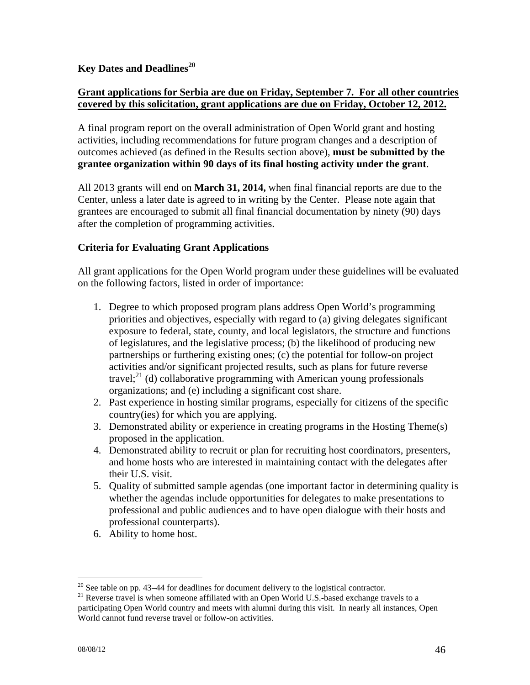### **Key Dates and Deadlines20**

### **Grant applications for Serbia are due on Friday, September 7. For all other countries covered by this solicitation, grant applications are due on Friday, October 12, 2012.**

A final program report on the overall administration of Open World grant and hosting activities, including recommendations for future program changes and a description of outcomes achieved (as defined in the Results section above), **must be submitted by the grantee organization within 90 days of its final hosting activity under the grant**.

All 2013 grants will end on **March 31, 2014,** when final financial reports are due to the Center, unless a later date is agreed to in writing by the Center. Please note again that grantees are encouraged to submit all final financial documentation by ninety (90) days after the completion of programming activities.

#### **Criteria for Evaluating Grant Applications**

All grant applications for the Open World program under these guidelines will be evaluated on the following factors, listed in order of importance:

- 1. Degree to which proposed program plans address Open World's programming priorities and objectives, especially with regard to (a) giving delegates significant exposure to federal, state, county, and local legislators, the structure and functions of legislatures, and the legislative process; (b) the likelihood of producing new partnerships or furthering existing ones; (c) the potential for follow-on project activities and/or significant projected results, such as plans for future reverse travel; $^{21}$  (d) collaborative programming with American young professionals organizations; and (e) including a significant cost share.
- 2. Past experience in hosting similar programs, especially for citizens of the specific country(ies) for which you are applying.
- 3. Demonstrated ability or experience in creating programs in the Hosting Theme(s) proposed in the application.
- 4. Demonstrated ability to recruit or plan for recruiting host coordinators, presenters, and home hosts who are interested in maintaining contact with the delegates after their U.S. visit.
- 5. Quality of submitted sample agendas (one important factor in determining quality is whether the agendas include opportunities for delegates to make presentations to professional and public audiences and to have open dialogue with their hosts and professional counterparts).
- 6. Ability to home host.

 $^{20}$  See table on pp. 43–44 for deadlines for document delivery to the logistical contractor.

<sup>&</sup>lt;sup>21</sup> Reverse travel is when someone affiliated with an Open World U.S.-based exchange travels to a participating Open World country and meets with alumni during this visit. In nearly all instances, Open World cannot fund reverse travel or follow-on activities.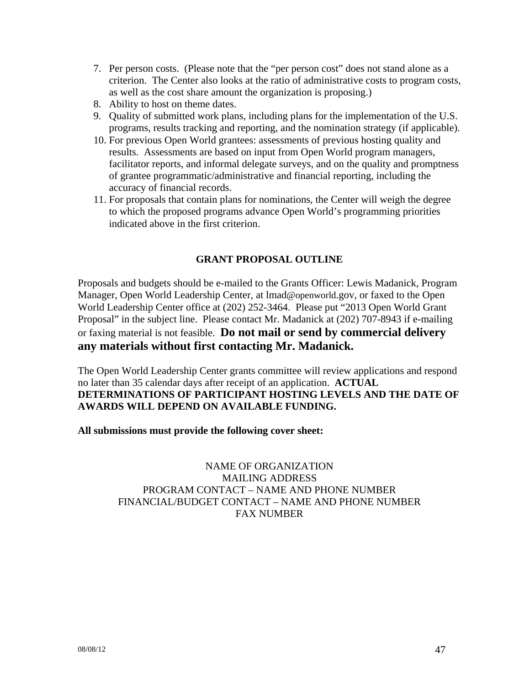- 7. Per person costs. (Please note that the "per person cost" does not stand alone as a criterion. The Center also looks at the ratio of administrative costs to program costs, as well as the cost share amount the organization is proposing.)
- 8. Ability to host on theme dates.
- 9. Quality of submitted work plans, including plans for the implementation of the U.S. programs, results tracking and reporting, and the nomination strategy (if applicable).
- 10. For previous Open World grantees: assessments of previous hosting quality and results. Assessments are based on input from Open World program managers, facilitator reports, and informal delegate surveys, and on the quality and promptness of grantee programmatic/administrative and financial reporting, including the accuracy of financial records.
- 11. For proposals that contain plans for nominations, the Center will weigh the degree to which the proposed programs advance Open World's programming priorities indicated above in the first criterion.

#### **GRANT PROPOSAL OUTLINE**

Proposals and budgets should be e-mailed to the Grants Officer: Lewis Madanick, Program Manager, Open World Leadership Center, at lmad@openworld.gov, or faxed to the Open World Leadership Center office at (202) 252-3464. Please put "2013 Open World Grant Proposal" in the subject line. Please contact Mr. Madanick at (202) 707-8943 if e-mailing or faxing material is not feasible. **Do not mail or send by commercial delivery any materials without first contacting Mr. Madanick.** 

The Open World Leadership Center grants committee will review applications and respond no later than 35 calendar days after receipt of an application. **ACTUAL DETERMINATIONS OF PARTICIPANT HOSTING LEVELS AND THE DATE OF AWARDS WILL DEPEND ON AVAILABLE FUNDING.** 

**All submissions must provide the following cover sheet:**

NAME OF ORGANIZATION MAILING ADDRESS PROGRAM CONTACT – NAME AND PHONE NUMBER FINANCIAL/BUDGET CONTACT – NAME AND PHONE NUMBER FAX NUMBER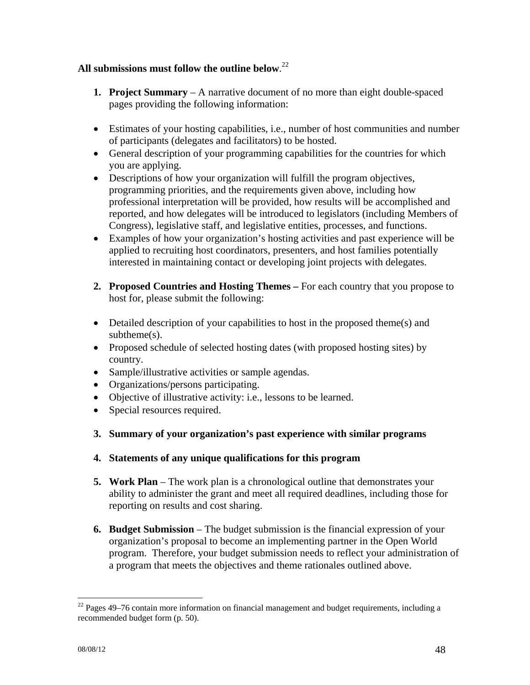### **All submissions must follow the outline below**. 22

- **1. Project Summary**  A narrative document of no more than eight double-spaced pages providing the following information:
- Estimates of your hosting capabilities, i.e., number of host communities and number of participants (delegates and facilitators) to be hosted.
- General description of your programming capabilities for the countries for which you are applying.
- Descriptions of how your organization will fulfill the program objectives, programming priorities, and the requirements given above, including how professional interpretation will be provided, how results will be accomplished and reported, and how delegates will be introduced to legislators (including Members of Congress), legislative staff, and legislative entities, processes, and functions.
- Examples of how your organization's hosting activities and past experience will be applied to recruiting host coordinators, presenters, and host families potentially interested in maintaining contact or developing joint projects with delegates.
- **2. Proposed Countries and Hosting Themes** For each country that you propose to host for, please submit the following:
- Detailed description of your capabilities to host in the proposed theme(s) and subtheme(s).
- Proposed schedule of selected hosting dates (with proposed hosting sites) by country.
- Sample/illustrative activities or sample agendas.
- Organizations/persons participating.
- Objective of illustrative activity: i.e., lessons to be learned.
- Special resources required.
- **3. Summary of your organization's past experience with similar programs**
- **4. Statements of any unique qualifications for this program**
- **5. Work Plan** The work plan is a chronological outline that demonstrates your ability to administer the grant and meet all required deadlines, including those for reporting on results and cost sharing.
- **6. Budget Submission** The budget submission is the financial expression of your organization's proposal to become an implementing partner in the Open World program. Therefore, your budget submission needs to reflect your administration of a program that meets the objectives and theme rationales outlined above.

 $\overline{a}$ 

 $22$  Pages 49–76 contain more information on financial management and budget requirements, including a recommended budget form (p. 50).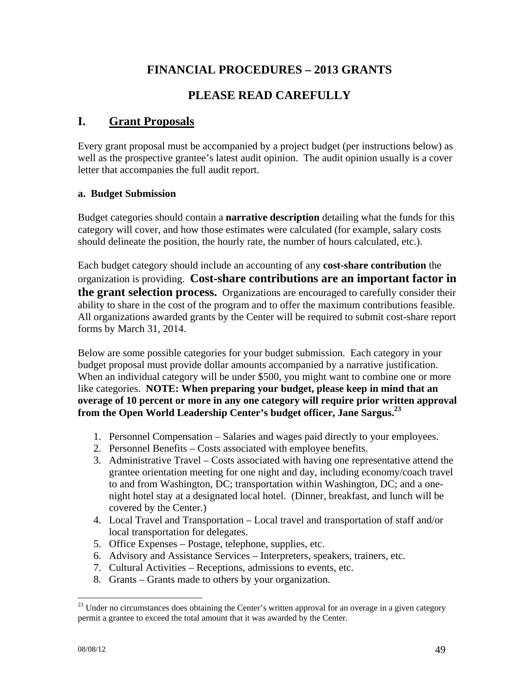# **FINANCIAL PROCEDURES – 2013 GRANTS**

# **PLEASE READ CAREFULLY**

# **I. Grant Proposals**

Every grant proposal must be accompanied by a project budget (per instructions below) as well as the prospective grantee's latest audit opinion. The audit opinion usually is a cover letter that accompanies the full audit report.

#### **a. Budget Submission**

Budget categories should contain a **narrative description** detailing what the funds for this category will cover, and how those estimates were calculated (for example, salary costs should delineate the position, the hourly rate, the number of hours calculated, etc.).

Each budget category should include an accounting of any **cost-share contribution** the organization is providing. **Cost-share contributions are an important factor in the grant selection process.** Organizations are encouraged to carefully consider their ability to share in the cost of the program and to offer the maximum contributions feasible. All organizations awarded grants by the Center will be required to submit cost-share report forms by March 31, 2014.

Below are some possible categories for your budget submission. Each category in your budget proposal must provide dollar amounts accompanied by a narrative justification. When an individual category will be under \$500, you might want to combine one or more like categories. **NOTE: When preparing your budget, please keep in mind that an overage of 10 percent or more in any one category will require prior written approval from the Open World Leadership Center's budget officer, Jane Sargus.23** 

- 1. Personnel Compensation Salaries and wages paid directly to your employees.
- 2. Personnel Benefits Costs associated with employee benefits.
- 3. Administrative Travel Costs associated with having one representative attend the grantee orientation meeting for one night and day, including economy/coach travel to and from Washington, DC; transportation within Washington, DC; and a onenight hotel stay at a designated local hotel. (Dinner, breakfast, and lunch will be covered by the Center.)
- 4. Local Travel and Transportation Local travel and transportation of staff and/or local transportation for delegates.
- 5. Office Expenses Postage, telephone, supplies, etc.
- 6. Advisory and Assistance Services Interpreters, speakers, trainers, etc.
- 7. Cultural Activities Receptions, admissions to events, etc.
- 8. Grants Grants made to others by your organization.

 $\overline{a}$ 

 $23$  Under no circumstances does obtaining the Center's written approval for an overage in a given category permit a grantee to exceed the total amount that it was awarded by the Center.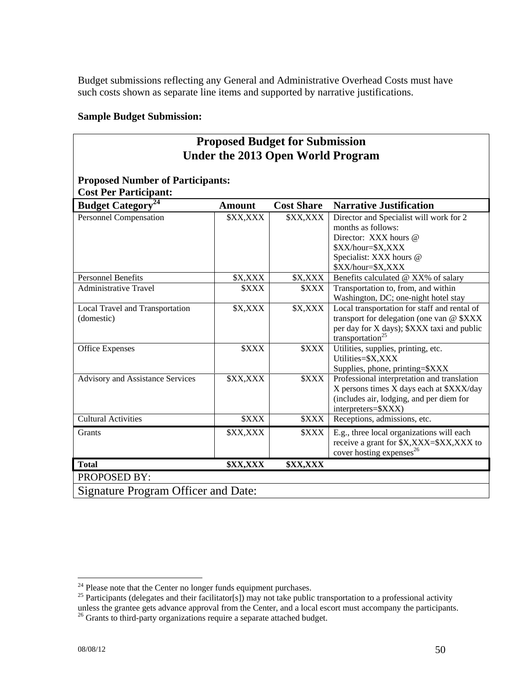Budget submissions reflecting any General and Administrative Overhead Costs must have such costs shown as separate line items and supported by narrative justifications.

### **Sample Budget Submission:**

| <b>Proposed Budget for Submission</b><br><b>Under the 2013 Open World Program</b> |                               |                               |                                                                                                                                                                         |  |  |
|-----------------------------------------------------------------------------------|-------------------------------|-------------------------------|-------------------------------------------------------------------------------------------------------------------------------------------------------------------------|--|--|
| <b>Proposed Number of Participants:</b><br><b>Cost Per Participant:</b>           |                               |                               |                                                                                                                                                                         |  |  |
| <b>Budget Category</b> <sup>24</sup>                                              | <b>Amount</b>                 | <b>Cost Share</b>             | <b>Narrative Justification</b>                                                                                                                                          |  |  |
| Personnel Compensation                                                            | \$XX,XXX                      | \$XX,XXX                      | Director and Specialist will work for 2<br>months as follows:<br>Director: XXX hours @<br>\$XX/hour=\$X,XXX<br>Specialist: XXX hours @<br>\$XX/hour=\$X,XXX             |  |  |
| <b>Personnel Benefits</b>                                                         | \$X,XXX                       | \$X,XXX                       | Benefits calculated @ XX% of salary                                                                                                                                     |  |  |
| <b>Administrative Travel</b>                                                      | <b><i>SXXX</i></b>            | <b><i>SXXX</i></b>            | Transportation to, from, and within<br>Washington, DC; one-night hotel stay                                                                                             |  |  |
| Local Travel and Transportation<br>(domestic)                                     | \$X,XXX                       | \$X,XXX                       | Local transportation for staff and rental of<br>transport for delegation (one van @ \$XXX<br>per day for X days); \$XXX taxi and public<br>transportation <sup>25</sup> |  |  |
| <b>Office Expenses</b>                                                            | <b><i><u>SXXX</u></i></b>     | <b><i>SXXX</i></b>            | Utilities, supplies, printing, etc.<br>Utilities=\$X,XXX<br>Supplies, phone, printing=\$XXX                                                                             |  |  |
| <b>Advisory and Assistance Services</b>                                           | \$XX,XXX                      | <b><i>SXXX</i></b>            | Professional interpretation and translation<br>X persons times X days each at \$XXX/day<br>(includes air, lodging, and per diem for<br>interpreters=\$XXX)              |  |  |
| <b>Cultural Activities</b>                                                        | <b><i><u>SXXX</u></i></b>     | <b><i><u>SXXX</u></i></b>     | Receptions, admissions, etc.                                                                                                                                            |  |  |
| Grants                                                                            | \$XX,XXX                      | <b><i>SXXX</i></b>            | E.g., three local organizations will each<br>receive a grant for \$X, XXX=\$XX, XXX to<br>cover hosting expenses <sup>26</sup>                                          |  |  |
| <b>Total</b>                                                                      | <b><i><u>\$XX,XXX</u></i></b> | <b><i><u>\$XX,XXX</u></i></b> |                                                                                                                                                                         |  |  |
| PROPOSED BY:                                                                      |                               |                               |                                                                                                                                                                         |  |  |
| Signature Program Officer and Date:                                               |                               |                               |                                                                                                                                                                         |  |  |

 $\overline{a}$ 

<sup>&</sup>lt;sup>24</sup> Please note that the Center no longer funds equipment purchases.<br><sup>25</sup> Participants (delegates and their facilitator[s]) may not take public transportation to a professional activity unless the grantee gets advance approval from the Center, and a local escort must accompany the participants.<br><sup>26</sup> Grants to third-party organizations require a separate attached budget.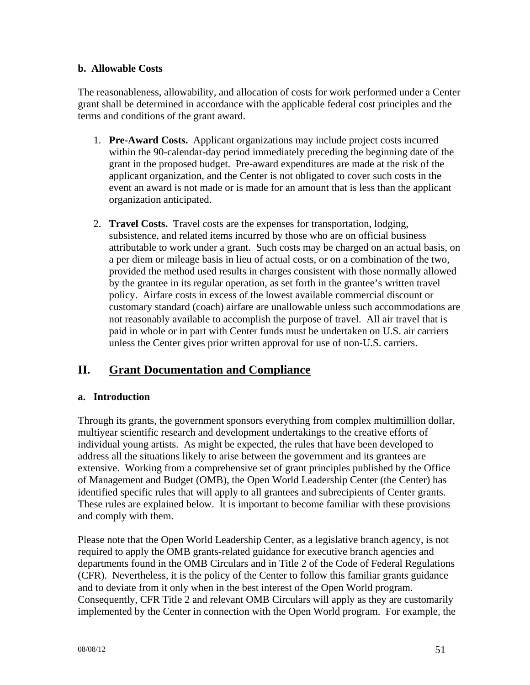#### **b. Allowable Costs**

The reasonableness, allowability, and allocation of costs for work performed under a Center grant shall be determined in accordance with the applicable federal cost principles and the terms and conditions of the grant award.

- 1. **Pre-Award Costs.** Applicant organizations may include project costs incurred within the 90-calendar-day period immediately preceding the beginning date of the grant in the proposed budget. Pre-award expenditures are made at the risk of the applicant organization, and the Center is not obligated to cover such costs in the event an award is not made or is made for an amount that is less than the applicant organization anticipated.
- 2. **Travel Costs.** Travel costs are the expenses for transportation, lodging, subsistence, and related items incurred by those who are on official business attributable to work under a grant. Such costs may be charged on an actual basis, on a per diem or mileage basis in lieu of actual costs, or on a combination of the two, provided the method used results in charges consistent with those normally allowed by the grantee in its regular operation, as set forth in the grantee's written travel policy. Airfare costs in excess of the lowest available commercial discount or customary standard (coach) airfare are unallowable unless such accommodations are not reasonably available to accomplish the purpose of travel. All air travel that is paid in whole or in part with Center funds must be undertaken on U.S. air carriers unless the Center gives prior written approval for use of non-U.S. carriers.

# **II. Grant Documentation and Compliance**

### **a. Introduction**

Through its grants, the government sponsors everything from complex multimillion dollar, multiyear scientific research and development undertakings to the creative efforts of individual young artists. As might be expected, the rules that have been developed to address all the situations likely to arise between the government and its grantees are extensive. Working from a comprehensive set of grant principles published by the Office of Management and Budget (OMB), the Open World Leadership Center (the Center) has identified specific rules that will apply to all grantees and subrecipients of Center grants. These rules are explained below. It is important to become familiar with these provisions and comply with them.

Please note that the Open World Leadership Center, as a legislative branch agency, is not required to apply the OMB grants-related guidance for executive branch agencies and departments found in the OMB Circulars and in Title 2 of the Code of Federal Regulations (CFR). Nevertheless, it is the policy of the Center to follow this familiar grants guidance and to deviate from it only when in the best interest of the Open World program. Consequently, CFR Title 2 and relevant OMB Circulars will apply as they are customarily implemented by the Center in connection with the Open World program. For example, the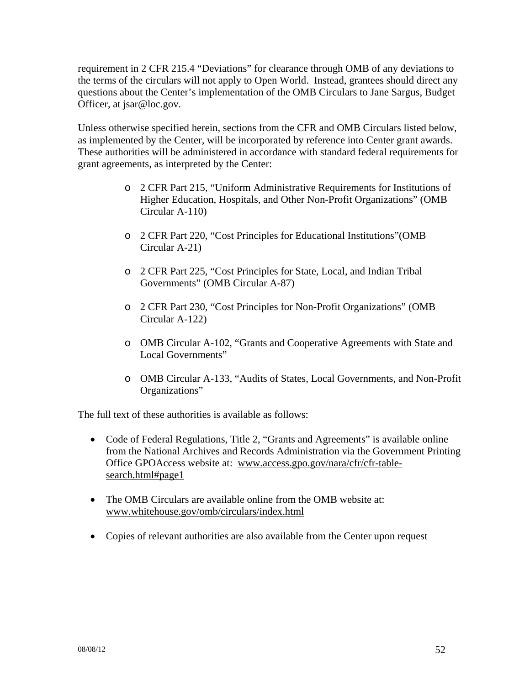requirement in 2 CFR 215.4 "Deviations" for clearance through OMB of any deviations to the terms of the circulars will not apply to Open World. Instead, grantees should direct any questions about the Center's implementation of the OMB Circulars to Jane Sargus, Budget Officer, at jsar@loc.gov.

Unless otherwise specified herein, sections from the CFR and OMB Circulars listed below, as implemented by the Center, will be incorporated by reference into Center grant awards. These authorities will be administered in accordance with standard federal requirements for grant agreements, as interpreted by the Center:

- o 2 CFR Part 215, "Uniform Administrative Requirements for Institutions of Higher Education, Hospitals, and Other Non-Profit Organizations" (OMB Circular A-110)
- o 2 CFR Part 220, "Cost Principles for Educational Institutions"(OMB Circular A-21)
- o 2 CFR Part 225, "Cost Principles for State, Local, and Indian Tribal Governments" (OMB Circular A-87)
- o 2 CFR Part 230, "Cost Principles for Non-Profit Organizations" (OMB Circular A-122)
- o OMB Circular A-102, "Grants and Cooperative Agreements with State and Local Governments"
- o OMB Circular A-133, "Audits of States, Local Governments, and Non-Profit Organizations"

The full text of these authorities is available as follows:

- Code of Federal Regulations, Title 2, "Grants and Agreements" is available online from the National Archives and Records Administration via the Government Printing Office GPOAccess website at: www.access.gpo.gov/nara/cfr/cfr-tablesearch.html#page1
- The OMB Circulars are available online from the OMB website at: www.whitehouse.gov/omb/circulars/index.html
- Copies of relevant authorities are also available from the Center upon request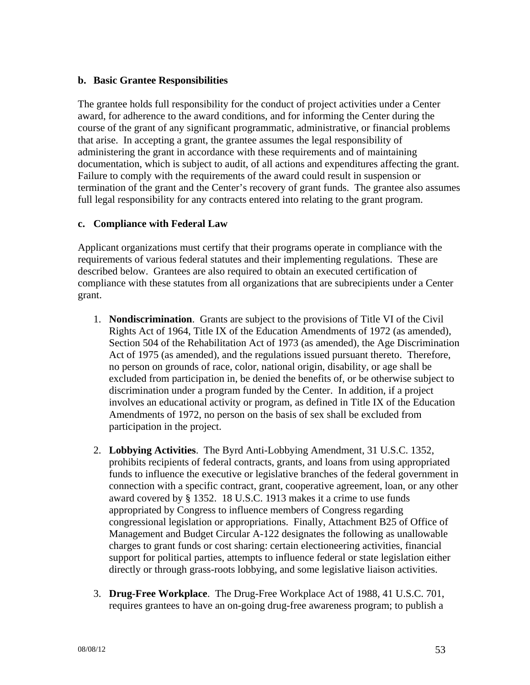#### **b. Basic Grantee Responsibilities**

The grantee holds full responsibility for the conduct of project activities under a Center award, for adherence to the award conditions, and for informing the Center during the course of the grant of any significant programmatic, administrative, or financial problems that arise. In accepting a grant, the grantee assumes the legal responsibility of administering the grant in accordance with these requirements and of maintaining documentation, which is subject to audit, of all actions and expenditures affecting the grant. Failure to comply with the requirements of the award could result in suspension or termination of the grant and the Center's recovery of grant funds. The grantee also assumes full legal responsibility for any contracts entered into relating to the grant program.

#### **c. Compliance with Federal Law**

Applicant organizations must certify that their programs operate in compliance with the requirements of various federal statutes and their implementing regulations. These are described below. Grantees are also required to obtain an executed certification of compliance with these statutes from all organizations that are subrecipients under a Center grant.

- 1. **Nondiscrimination**. Grants are subject to the provisions of Title VI of the Civil Rights Act of 1964, Title IX of the Education Amendments of 1972 (as amended), Section 504 of the Rehabilitation Act of 1973 (as amended), the Age Discrimination Act of 1975 (as amended), and the regulations issued pursuant thereto. Therefore, no person on grounds of race, color, national origin, disability, or age shall be excluded from participation in, be denied the benefits of, or be otherwise subject to discrimination under a program funded by the Center. In addition, if a project involves an educational activity or program, as defined in Title IX of the Education Amendments of 1972, no person on the basis of sex shall be excluded from participation in the project.
- 2. **Lobbying Activities**. The Byrd Anti-Lobbying Amendment, 31 U.S.C. 1352, prohibits recipients of federal contracts, grants, and loans from using appropriated funds to influence the executive or legislative branches of the federal government in connection with a specific contract, grant, cooperative agreement, loan, or any other award covered by § 1352. 18 U.S.C. 1913 makes it a crime to use funds appropriated by Congress to influence members of Congress regarding congressional legislation or appropriations. Finally, Attachment B25 of Office of Management and Budget Circular A-122 designates the following as unallowable charges to grant funds or cost sharing: certain electioneering activities, financial support for political parties, attempts to influence federal or state legislation either directly or through grass-roots lobbying, and some legislative liaison activities.
- 3. **Drug-Free Workplace**. The Drug-Free Workplace Act of 1988, 41 U.S.C. 701, requires grantees to have an on-going drug-free awareness program; to publish a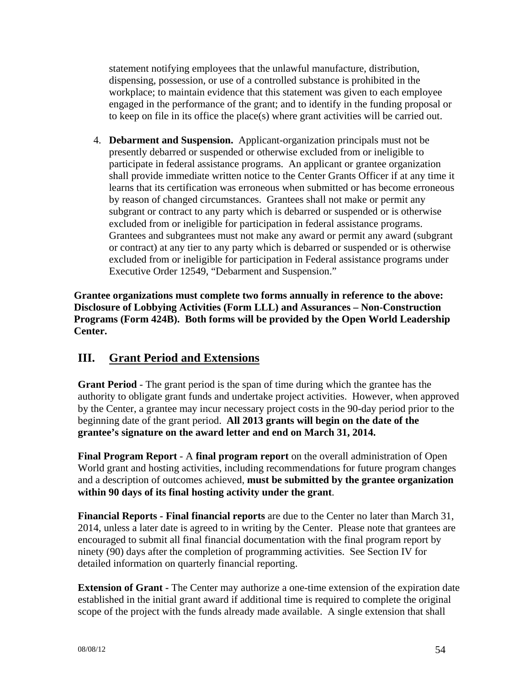statement notifying employees that the unlawful manufacture, distribution, dispensing, possession, or use of a controlled substance is prohibited in the workplace; to maintain evidence that this statement was given to each employee engaged in the performance of the grant; and to identify in the funding proposal or to keep on file in its office the place(s) where grant activities will be carried out.

4. **Debarment and Suspension.** Applicant-organization principals must not be presently debarred or suspended or otherwise excluded from or ineligible to participate in federal assistance programs. An applicant or grantee organization shall provide immediate written notice to the Center Grants Officer if at any time it learns that its certification was erroneous when submitted or has become erroneous by reason of changed circumstances. Grantees shall not make or permit any subgrant or contract to any party which is debarred or suspended or is otherwise excluded from or ineligible for participation in federal assistance programs. Grantees and subgrantees must not make any award or permit any award (subgrant or contract) at any tier to any party which is debarred or suspended or is otherwise excluded from or ineligible for participation in Federal assistance programs under Executive Order 12549, "Debarment and Suspension."

**Grantee organizations must complete two forms annually in reference to the above: Disclosure of Lobbying Activities (Form LLL) and Assurances – Non-Construction Programs (Form 424B). Both forms will be provided by the Open World Leadership Center.** 

# **III. Grant Period and Extensions**

**Grant Period** - The grant period is the span of time during which the grantee has the authority to obligate grant funds and undertake project activities. However, when approved by the Center, a grantee may incur necessary project costs in the 90-day period prior to the beginning date of the grant period. **All 2013 grants will begin on the date of the grantee's signature on the award letter and end on March 31, 2014.** 

**Final Program Report** - A **final program report** on the overall administration of Open World grant and hosting activities, including recommendations for future program changes and a description of outcomes achieved, **must be submitted by the grantee organization within 90 days of its final hosting activity under the grant**.

**Financial Reports - Final financial reports** are due to the Center no later than March 31, 2014, unless a later date is agreed to in writing by the Center. Please note that grantees are encouraged to submit all final financial documentation with the final program report by ninety (90) days after the completion of programming activities. See Section IV for detailed information on quarterly financial reporting.

**Extension of Grant -** The Center may authorize a one-time extension of the expiration date established in the initial grant award if additional time is required to complete the original scope of the project with the funds already made available. A single extension that shall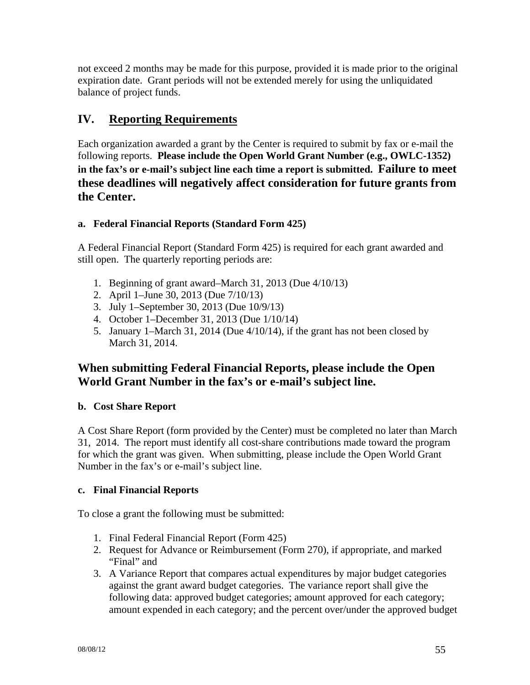not exceed 2 months may be made for this purpose, provided it is made prior to the original expiration date. Grant periods will not be extended merely for using the unliquidated balance of project funds.

# **IV. Reporting Requirements**

Each organization awarded a grant by the Center is required to submit by fax or e-mail the following reports. **Please include the Open World Grant Number (e.g., OWLC-1352) in the fax's or e-mail's subject line each time a report is submitted. Failure to meet these deadlines will negatively affect consideration for future grants from the Center.** 

# **a. Federal Financial Reports (Standard Form 425)**

A Federal Financial Report (Standard Form 425) is required for each grant awarded and still open. The quarterly reporting periods are:

- 1. Beginning of grant award–March 31, 2013 (Due 4/10/13)
- 2. April 1–June 30, 2013 (Due 7/10/13)
- 3. July 1–September 30, 2013 (Due 10/9/13)
- 4. October 1–December 31, 2013 (Due 1/10/14)
- 5. January 1–March 31, 2014 (Due 4/10/14), if the grant has not been closed by March 31, 2014.

# **When submitting Federal Financial Reports, please include the Open World Grant Number in the fax's or e-mail's subject line.**

### **b. Cost Share Report**

A Cost Share Report (form provided by the Center) must be completed no later than March 31, 2014. The report must identify all cost-share contributions made toward the program for which the grant was given. When submitting, please include the Open World Grant Number in the fax's or e-mail's subject line.

### **c. Final Financial Reports**

To close a grant the following must be submitted:

- 1. Final Federal Financial Report (Form 425)
- 2. Request for Advance or Reimbursement (Form 270), if appropriate, and marked "Final" and
- 3. A Variance Report that compares actual expenditures by major budget categories against the grant award budget categories. The variance report shall give the following data: approved budget categories; amount approved for each category; amount expended in each category; and the percent over/under the approved budget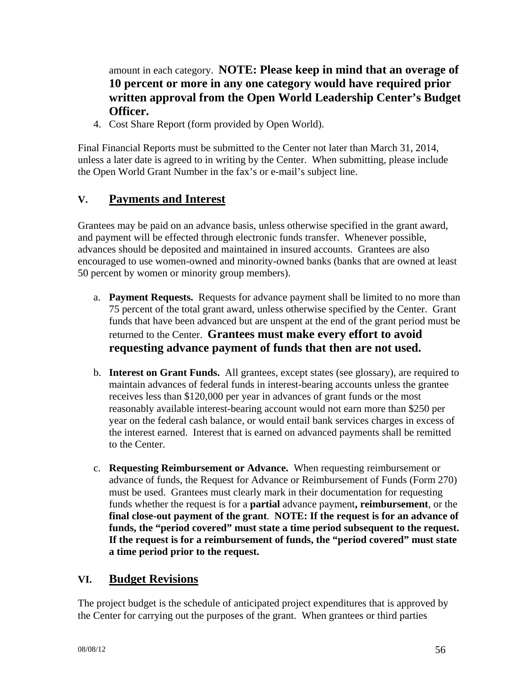amount in each category. **NOTE: Please keep in mind that an overage of 10 percent or more in any one category would have required prior written approval from the Open World Leadership Center's Budget Officer.** 

4. Cost Share Report (form provided by Open World).

Final Financial Reports must be submitted to the Center not later than March 31, 2014, unless a later date is agreed to in writing by the Center. When submitting, please include the Open World Grant Number in the fax's or e-mail's subject line.

# **V. Payments and Interest**

Grantees may be paid on an advance basis, unless otherwise specified in the grant award, and payment will be effected through electronic funds transfer. Whenever possible, advances should be deposited and maintained in insured accounts. Grantees are also encouraged to use women-owned and minority-owned banks (banks that are owned at least 50 percent by women or minority group members).

- a. **Payment Requests.** Requests for advance payment shall be limited to no more than 75 percent of the total grant award, unless otherwise specified by the Center. Grant funds that have been advanced but are unspent at the end of the grant period must be returned to the Center. **Grantees must make every effort to avoid requesting advance payment of funds that then are not used.**
- b. **Interest on Grant Funds.** All grantees, except states (see glossary), are required to maintain advances of federal funds in interest-bearing accounts unless the grantee receives less than \$120,000 per year in advances of grant funds or the most reasonably available interest-bearing account would not earn more than \$250 per year on the federal cash balance, or would entail bank services charges in excess of the interest earned. Interest that is earned on advanced payments shall be remitted to the Center.
- c. **Requesting Reimbursement or Advance.** When requesting reimbursement or advance of funds, the Request for Advance or Reimbursement of Funds (Form 270) must be used. Grantees must clearly mark in their documentation for requesting funds whether the request is for a **partial** advance payment**, reimbursement**, or the **final close-out payment of the grant**. **NOTE: If the request is for an advance of funds, the "period covered" must state a time period subsequent to the request. If the request is for a reimbursement of funds, the "period covered" must state a time period prior to the request.**

# **VI. Budget Revisions**

The project budget is the schedule of anticipated project expenditures that is approved by the Center for carrying out the purposes of the grant. When grantees or third parties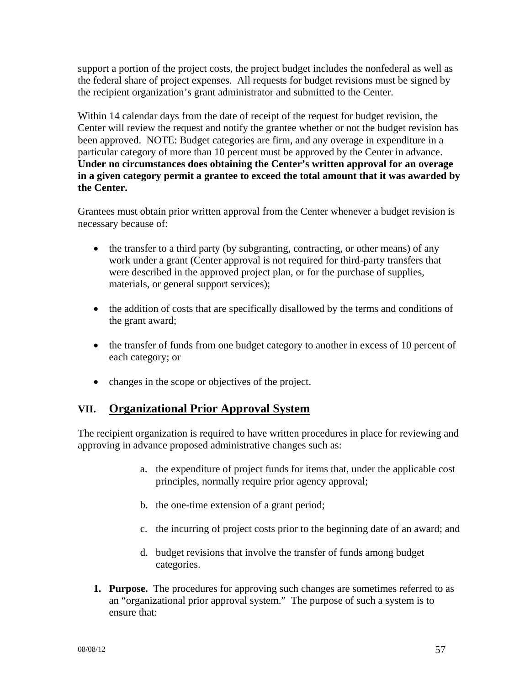support a portion of the project costs, the project budget includes the nonfederal as well as the federal share of project expenses. All requests for budget revisions must be signed by the recipient organization's grant administrator and submitted to the Center.

Within 14 calendar days from the date of receipt of the request for budget revision, the Center will review the request and notify the grantee whether or not the budget revision has been approved. NOTE: Budget categories are firm, and any overage in expenditure in a particular category of more than 10 percent must be approved by the Center in advance. **Under no circumstances does obtaining the Center's written approval for an overage in a given category permit a grantee to exceed the total amount that it was awarded by the Center.** 

Grantees must obtain prior written approval from the Center whenever a budget revision is necessary because of:

- $\bullet$  the transfer to a third party (by subgranting, contracting, or other means) of any work under a grant (Center approval is not required for third-party transfers that were described in the approved project plan, or for the purchase of supplies, materials, or general support services);
- the addition of costs that are specifically disallowed by the terms and conditions of the grant award;
- the transfer of funds from one budget category to another in excess of 10 percent of each category; or
- changes in the scope or objectives of the project.

# **VII. Organizational Prior Approval System**

The recipient organization is required to have written procedures in place for reviewing and approving in advance proposed administrative changes such as:

- a. the expenditure of project funds for items that, under the applicable cost principles, normally require prior agency approval;
- b. the one-time extension of a grant period;
- c. the incurring of project costs prior to the beginning date of an award; and
- d. budget revisions that involve the transfer of funds among budget categories.
- **1. Purpose.** The procedures for approving such changes are sometimes referred to as an "organizational prior approval system." The purpose of such a system is to ensure that: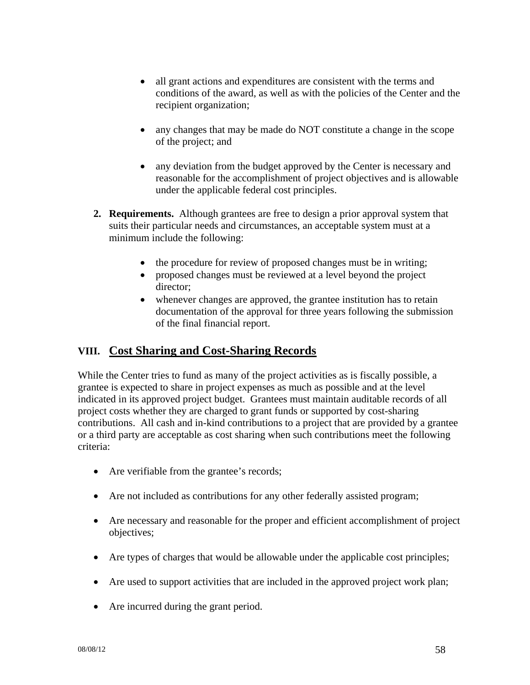- all grant actions and expenditures are consistent with the terms and conditions of the award, as well as with the policies of the Center and the recipient organization;
- any changes that may be made do NOT constitute a change in the scope of the project; and
- any deviation from the budget approved by the Center is necessary and reasonable for the accomplishment of project objectives and is allowable under the applicable federal cost principles.
- **2. Requirements.** Although grantees are free to design a prior approval system that suits their particular needs and circumstances, an acceptable system must at a minimum include the following:
	- the procedure for review of proposed changes must be in writing;
	- proposed changes must be reviewed at a level beyond the project director;
	- whenever changes are approved, the grantee institution has to retain documentation of the approval for three years following the submission of the final financial report.

# **VIII. Cost Sharing and Cost-Sharing Records**

While the Center tries to fund as many of the project activities as is fiscally possible, a grantee is expected to share in project expenses as much as possible and at the level indicated in its approved project budget. Grantees must maintain auditable records of all project costs whether they are charged to grant funds or supported by cost-sharing contributions. All cash and in-kind contributions to a project that are provided by a grantee or a third party are acceptable as cost sharing when such contributions meet the following criteria:

- Are verifiable from the grantee's records;
- Are not included as contributions for any other federally assisted program;
- Are necessary and reasonable for the proper and efficient accomplishment of project objectives;
- Are types of charges that would be allowable under the applicable cost principles;
- Are used to support activities that are included in the approved project work plan;
- Are incurred during the grant period.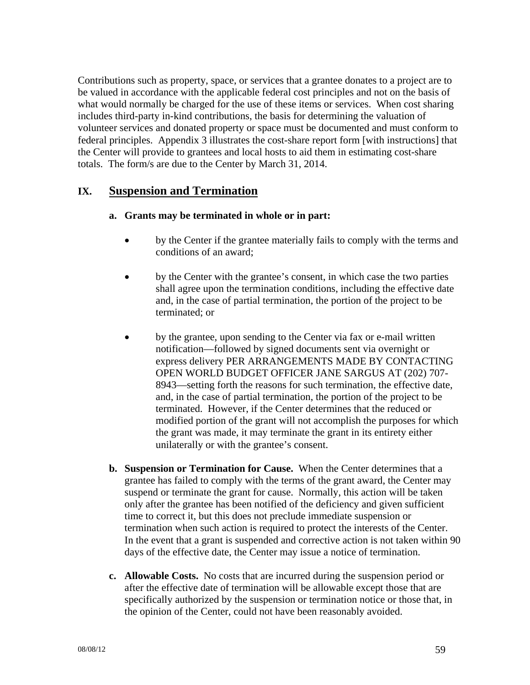Contributions such as property, space, or services that a grantee donates to a project are to be valued in accordance with the applicable federal cost principles and not on the basis of what would normally be charged for the use of these items or services. When cost sharing includes third-party in-kind contributions, the basis for determining the valuation of volunteer services and donated property or space must be documented and must conform to federal principles. Appendix 3 illustrates the cost-share report form [with instructions] that the Center will provide to grantees and local hosts to aid them in estimating cost-share totals. The form/s are due to the Center by March 31, 2014.

# **IX. Suspension and Termination**

#### **a. Grants may be terminated in whole or in part:**

- by the Center if the grantee materially fails to comply with the terms and conditions of an award;
- by the Center with the grantee's consent, in which case the two parties shall agree upon the termination conditions, including the effective date and, in the case of partial termination, the portion of the project to be terminated; or
- by the grantee, upon sending to the Center via fax or e-mail written notification—followed by signed documents sent via overnight or express delivery PER ARRANGEMENTS MADE BY CONTACTING OPEN WORLD BUDGET OFFICER JANE SARGUS AT (202) 707- 8943—setting forth the reasons for such termination, the effective date, and, in the case of partial termination, the portion of the project to be terminated. However, if the Center determines that the reduced or modified portion of the grant will not accomplish the purposes for which the grant was made, it may terminate the grant in its entirety either unilaterally or with the grantee's consent.
- **b. Suspension or Termination for Cause.** When the Center determines that a grantee has failed to comply with the terms of the grant award, the Center may suspend or terminate the grant for cause. Normally, this action will be taken only after the grantee has been notified of the deficiency and given sufficient time to correct it, but this does not preclude immediate suspension or termination when such action is required to protect the interests of the Center. In the event that a grant is suspended and corrective action is not taken within 90 days of the effective date, the Center may issue a notice of termination.
- **c. Allowable Costs.** No costs that are incurred during the suspension period or after the effective date of termination will be allowable except those that are specifically authorized by the suspension or termination notice or those that, in the opinion of the Center, could not have been reasonably avoided.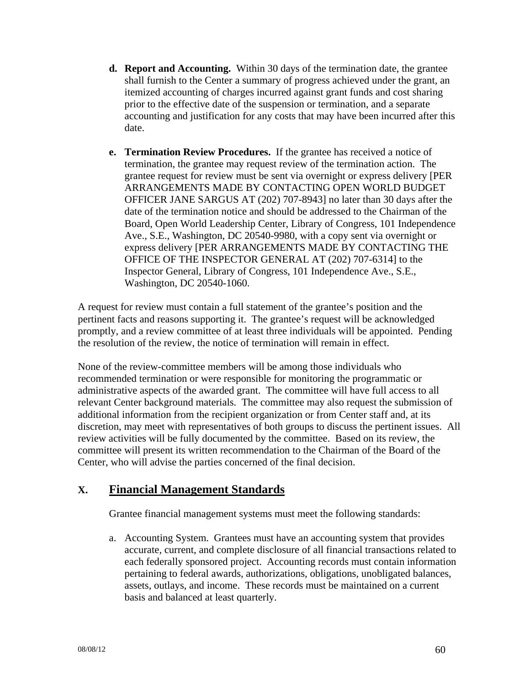- **d. Report and Accounting.** Within 30 days of the termination date, the grantee shall furnish to the Center a summary of progress achieved under the grant, an itemized accounting of charges incurred against grant funds and cost sharing prior to the effective date of the suspension or termination, and a separate accounting and justification for any costs that may have been incurred after this date.
- **e. Termination Review Procedures.** If the grantee has received a notice of termination, the grantee may request review of the termination action. The grantee request for review must be sent via overnight or express delivery [PER ARRANGEMENTS MADE BY CONTACTING OPEN WORLD BUDGET OFFICER JANE SARGUS AT (202) 707-8943] no later than 30 days after the date of the termination notice and should be addressed to the Chairman of the Board, Open World Leadership Center, Library of Congress, 101 Independence Ave., S.E., Washington, DC 20540-9980, with a copy sent via overnight or express delivery [PER ARRANGEMENTS MADE BY CONTACTING THE OFFICE OF THE INSPECTOR GENERAL AT (202) 707-6314] to the Inspector General, Library of Congress, 101 Independence Ave., S.E., Washington, DC 20540-1060.

A request for review must contain a full statement of the grantee's position and the pertinent facts and reasons supporting it. The grantee's request will be acknowledged promptly, and a review committee of at least three individuals will be appointed. Pending the resolution of the review, the notice of termination will remain in effect.

None of the review-committee members will be among those individuals who recommended termination or were responsible for monitoring the programmatic or administrative aspects of the awarded grant. The committee will have full access to all relevant Center background materials. The committee may also request the submission of additional information from the recipient organization or from Center staff and, at its discretion, may meet with representatives of both groups to discuss the pertinent issues. All review activities will be fully documented by the committee. Based on its review, the committee will present its written recommendation to the Chairman of the Board of the Center, who will advise the parties concerned of the final decision.

# **X. Financial Management Standards**

Grantee financial management systems must meet the following standards:

a. Accounting System. Grantees must have an accounting system that provides accurate, current, and complete disclosure of all financial transactions related to each federally sponsored project. Accounting records must contain information pertaining to federal awards, authorizations, obligations, unobligated balances, assets, outlays, and income. These records must be maintained on a current basis and balanced at least quarterly.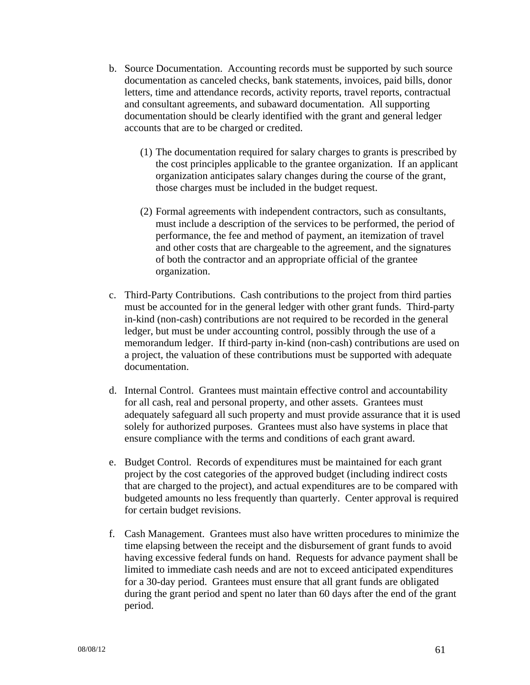- b. Source Documentation. Accounting records must be supported by such source documentation as canceled checks, bank statements, invoices, paid bills, donor letters, time and attendance records, activity reports, travel reports, contractual and consultant agreements, and subaward documentation. All supporting documentation should be clearly identified with the grant and general ledger accounts that are to be charged or credited.
	- (1) The documentation required for salary charges to grants is prescribed by the cost principles applicable to the grantee organization. If an applicant organization anticipates salary changes during the course of the grant, those charges must be included in the budget request.
	- (2) Formal agreements with independent contractors, such as consultants, must include a description of the services to be performed, the period of performance, the fee and method of payment, an itemization of travel and other costs that are chargeable to the agreement, and the signatures of both the contractor and an appropriate official of the grantee organization.
- c. Third-Party Contributions. Cash contributions to the project from third parties must be accounted for in the general ledger with other grant funds. Third-party in-kind (non-cash) contributions are not required to be recorded in the general ledger, but must be under accounting control, possibly through the use of a memorandum ledger. If third-party in-kind (non-cash) contributions are used on a project, the valuation of these contributions must be supported with adequate documentation.
- d. Internal Control. Grantees must maintain effective control and accountability for all cash, real and personal property, and other assets. Grantees must adequately safeguard all such property and must provide assurance that it is used solely for authorized purposes. Grantees must also have systems in place that ensure compliance with the terms and conditions of each grant award.
- e. Budget Control. Records of expenditures must be maintained for each grant project by the cost categories of the approved budget (including indirect costs that are charged to the project), and actual expenditures are to be compared with budgeted amounts no less frequently than quarterly. Center approval is required for certain budget revisions.
- f. Cash Management. Grantees must also have written procedures to minimize the time elapsing between the receipt and the disbursement of grant funds to avoid having excessive federal funds on hand. Requests for advance payment shall be limited to immediate cash needs and are not to exceed anticipated expenditures for a 30-day period. Grantees must ensure that all grant funds are obligated during the grant period and spent no later than 60 days after the end of the grant period.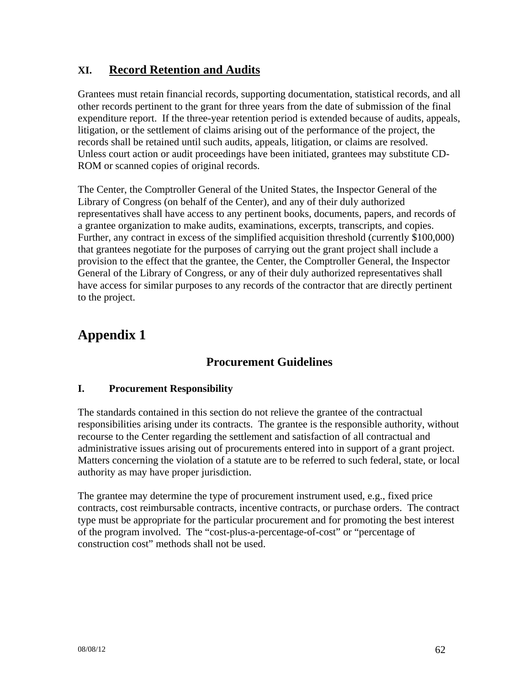# **XI. Record Retention and Audits**

Grantees must retain financial records, supporting documentation, statistical records, and all other records pertinent to the grant for three years from the date of submission of the final expenditure report. If the three-year retention period is extended because of audits, appeals, litigation, or the settlement of claims arising out of the performance of the project, the records shall be retained until such audits, appeals, litigation, or claims are resolved. Unless court action or audit proceedings have been initiated, grantees may substitute CD-ROM or scanned copies of original records.

The Center, the Comptroller General of the United States, the Inspector General of the Library of Congress (on behalf of the Center), and any of their duly authorized representatives shall have access to any pertinent books, documents, papers, and records of a grantee organization to make audits, examinations, excerpts, transcripts, and copies. Further, any contract in excess of the simplified acquisition threshold (currently \$100,000) that grantees negotiate for the purposes of carrying out the grant project shall include a provision to the effect that the grantee, the Center, the Comptroller General, the Inspector General of the Library of Congress, or any of their duly authorized representatives shall have access for similar purposes to any records of the contractor that are directly pertinent to the project.

# **Appendix 1**

# **Procurement Guidelines**

### **I. Procurement Responsibility**

The standards contained in this section do not relieve the grantee of the contractual responsibilities arising under its contracts. The grantee is the responsible authority, without recourse to the Center regarding the settlement and satisfaction of all contractual and administrative issues arising out of procurements entered into in support of a grant project. Matters concerning the violation of a statute are to be referred to such federal, state, or local authority as may have proper jurisdiction.

The grantee may determine the type of procurement instrument used, e.g., fixed price contracts, cost reimbursable contracts, incentive contracts, or purchase orders. The contract type must be appropriate for the particular procurement and for promoting the best interest of the program involved. The "cost-plus-a-percentage-of-cost" or "percentage of construction cost" methods shall not be used.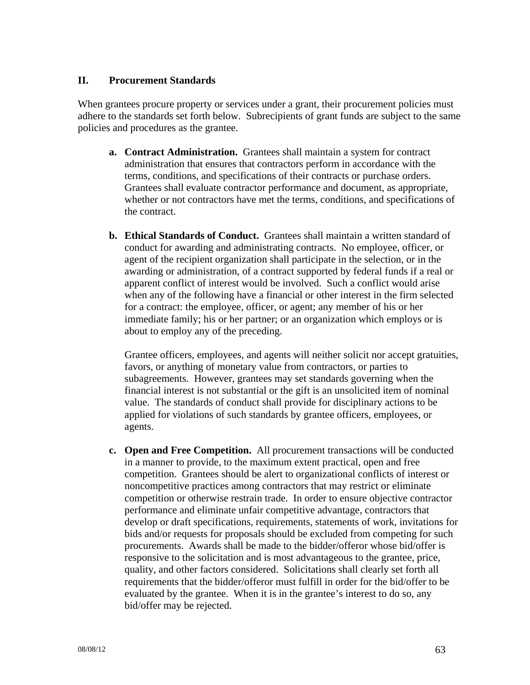#### **II. Procurement Standards**

When grantees procure property or services under a grant, their procurement policies must adhere to the standards set forth below. Subrecipients of grant funds are subject to the same policies and procedures as the grantee.

- **a. Contract Administration.** Grantees shall maintain a system for contract administration that ensures that contractors perform in accordance with the terms, conditions, and specifications of their contracts or purchase orders. Grantees shall evaluate contractor performance and document, as appropriate, whether or not contractors have met the terms, conditions, and specifications of the contract.
- **b. Ethical Standards of Conduct.** Grantees shall maintain a written standard of conduct for awarding and administrating contracts. No employee, officer, or agent of the recipient organization shall participate in the selection, or in the awarding or administration, of a contract supported by federal funds if a real or apparent conflict of interest would be involved. Such a conflict would arise when any of the following have a financial or other interest in the firm selected for a contract: the employee, officer, or agent; any member of his or her immediate family; his or her partner; or an organization which employs or is about to employ any of the preceding.

Grantee officers, employees, and agents will neither solicit nor accept gratuities, favors, or anything of monetary value from contractors, or parties to subagreements. However, grantees may set standards governing when the financial interest is not substantial or the gift is an unsolicited item of nominal value. The standards of conduct shall provide for disciplinary actions to be applied for violations of such standards by grantee officers, employees, or agents.

**c. Open and Free Competition.** All procurement transactions will be conducted in a manner to provide, to the maximum extent practical, open and free competition. Grantees should be alert to organizational conflicts of interest or noncompetitive practices among contractors that may restrict or eliminate competition or otherwise restrain trade. In order to ensure objective contractor performance and eliminate unfair competitive advantage, contractors that develop or draft specifications, requirements, statements of work, invitations for bids and/or requests for proposals should be excluded from competing for such procurements. Awards shall be made to the bidder/offeror whose bid/offer is responsive to the solicitation and is most advantageous to the grantee, price, quality, and other factors considered. Solicitations shall clearly set forth all requirements that the bidder/offeror must fulfill in order for the bid/offer to be evaluated by the grantee. When it is in the grantee's interest to do so, any bid/offer may be rejected.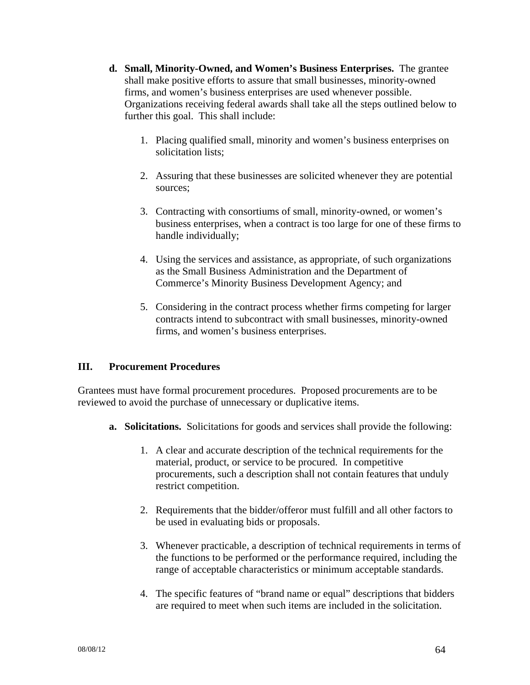- **d. Small, Minority-Owned, and Women's Business Enterprises.** The grantee shall make positive efforts to assure that small businesses, minority-owned firms, and women's business enterprises are used whenever possible. Organizations receiving federal awards shall take all the steps outlined below to further this goal. This shall include:
	- 1. Placing qualified small, minority and women's business enterprises on solicitation lists;
	- 2. Assuring that these businesses are solicited whenever they are potential sources;
	- 3. Contracting with consortiums of small, minority-owned, or women's business enterprises, when a contract is too large for one of these firms to handle individually;
	- 4. Using the services and assistance, as appropriate, of such organizations as the Small Business Administration and the Department of Commerce's Minority Business Development Agency; and
	- 5. Considering in the contract process whether firms competing for larger contracts intend to subcontract with small businesses, minority-owned firms, and women's business enterprises.

### **III. Procurement Procedures**

Grantees must have formal procurement procedures. Proposed procurements are to be reviewed to avoid the purchase of unnecessary or duplicative items.

- **a. Solicitations.** Solicitations for goods and services shall provide the following:
	- 1. A clear and accurate description of the technical requirements for the material, product, or service to be procured. In competitive procurements, such a description shall not contain features that unduly restrict competition.
	- 2. Requirements that the bidder/offeror must fulfill and all other factors to be used in evaluating bids or proposals.
	- 3. Whenever practicable, a description of technical requirements in terms of the functions to be performed or the performance required, including the range of acceptable characteristics or minimum acceptable standards.
	- 4. The specific features of "brand name or equal" descriptions that bidders are required to meet when such items are included in the solicitation.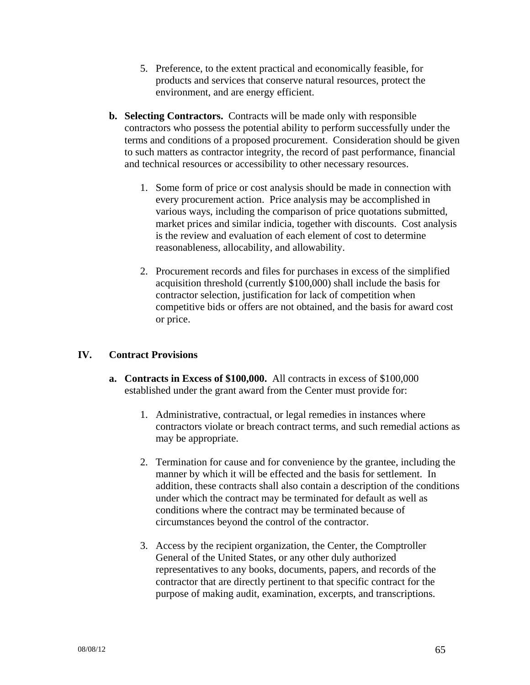- 5. Preference, to the extent practical and economically feasible, for products and services that conserve natural resources, protect the environment, and are energy efficient.
- **b. Selecting Contractors.** Contracts will be made only with responsible contractors who possess the potential ability to perform successfully under the terms and conditions of a proposed procurement. Consideration should be given to such matters as contractor integrity, the record of past performance, financial and technical resources or accessibility to other necessary resources.
	- 1. Some form of price or cost analysis should be made in connection with every procurement action. Price analysis may be accomplished in various ways, including the comparison of price quotations submitted, market prices and similar indicia, together with discounts. Cost analysis is the review and evaluation of each element of cost to determine reasonableness, allocability, and allowability.
	- 2. Procurement records and files for purchases in excess of the simplified acquisition threshold (currently \$100,000) shall include the basis for contractor selection, justification for lack of competition when competitive bids or offers are not obtained, and the basis for award cost or price.

### **IV. Contract Provisions**

- **a. Contracts in Excess of \$100,000.** All contracts in excess of \$100,000 established under the grant award from the Center must provide for:
	- 1. Administrative, contractual, or legal remedies in instances where contractors violate or breach contract terms, and such remedial actions as may be appropriate.
	- 2. Termination for cause and for convenience by the grantee, including the manner by which it will be effected and the basis for settlement. In addition, these contracts shall also contain a description of the conditions under which the contract may be terminated for default as well as conditions where the contract may be terminated because of circumstances beyond the control of the contractor.
	- 3. Access by the recipient organization, the Center, the Comptroller General of the United States, or any other duly authorized representatives to any books, documents, papers, and records of the contractor that are directly pertinent to that specific contract for the purpose of making audit, examination, excerpts, and transcriptions.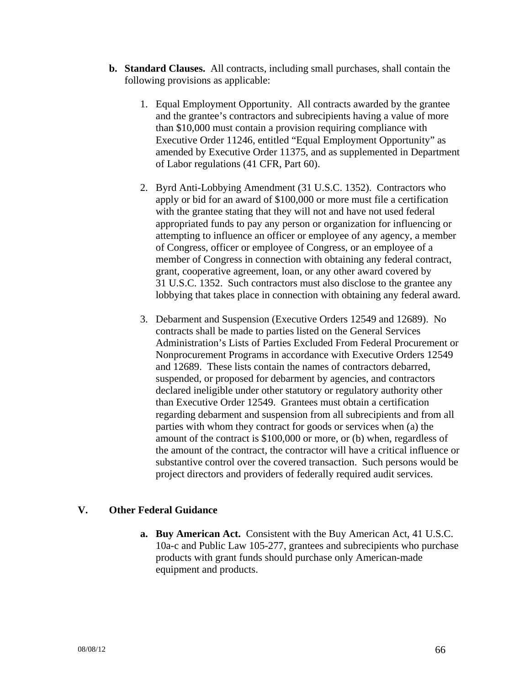- **b. Standard Clauses.** All contracts, including small purchases, shall contain the following provisions as applicable:
	- 1. Equal Employment Opportunity. All contracts awarded by the grantee and the grantee's contractors and subrecipients having a value of more than \$10,000 must contain a provision requiring compliance with Executive Order 11246, entitled "Equal Employment Opportunity" as amended by Executive Order 11375, and as supplemented in Department of Labor regulations (41 CFR, Part 60).
	- 2. Byrd Anti-Lobbying Amendment (31 U.S.C. 1352). Contractors who apply or bid for an award of \$100,000 or more must file a certification with the grantee stating that they will not and have not used federal appropriated funds to pay any person or organization for influencing or attempting to influence an officer or employee of any agency, a member of Congress, officer or employee of Congress, or an employee of a member of Congress in connection with obtaining any federal contract, grant, cooperative agreement, loan, or any other award covered by 31 U.S.C. 1352. Such contractors must also disclose to the grantee any lobbying that takes place in connection with obtaining any federal award.
	- 3. Debarment and Suspension (Executive Orders 12549 and 12689). No contracts shall be made to parties listed on the General Services Administration's Lists of Parties Excluded From Federal Procurement or Nonprocurement Programs in accordance with Executive Orders 12549 and 12689. These lists contain the names of contractors debarred, suspended, or proposed for debarment by agencies, and contractors declared ineligible under other statutory or regulatory authority other than Executive Order 12549. Grantees must obtain a certification regarding debarment and suspension from all subrecipients and from all parties with whom they contract for goods or services when (a) the amount of the contract is \$100,000 or more, or (b) when, regardless of the amount of the contract, the contractor will have a critical influence or substantive control over the covered transaction. Such persons would be project directors and providers of federally required audit services.

#### **V. Other Federal Guidance**

**a. Buy American Act.** Consistent with the Buy American Act, 41 U.S.C. 10a-c and Public Law 105-277, grantees and subrecipients who purchase products with grant funds should purchase only American-made equipment and products.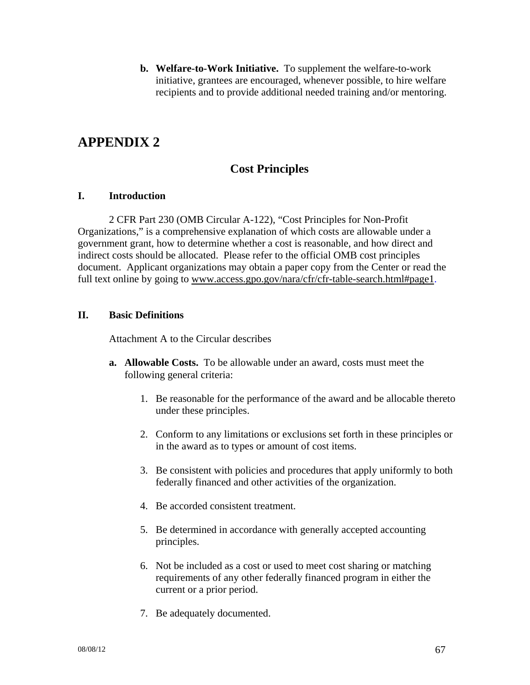**b. Welfare-to-Work Initiative.** To supplement the welfare-to-work initiative, grantees are encouraged, whenever possible, to hire welfare recipients and to provide additional needed training and/or mentoring.

# **APPENDIX 2**

# **Cost Principles**

#### **I. Introduction**

2 CFR Part 230 (OMB Circular A-122), "Cost Principles for Non-Profit Organizations," is a comprehensive explanation of which costs are allowable under a government grant, how to determine whether a cost is reasonable, and how direct and indirect costs should be allocated. Please refer to the official OMB cost principles document. Applicant organizations may obtain a paper copy from the Center or read the full text online by going to www.access.gpo.gov/nara/cfr/cfr-table-search.html#page1.

### **II. Basic Definitions**

Attachment A to the Circular describes

- **a. Allowable Costs.** To be allowable under an award, costs must meet the following general criteria:
	- 1. Be reasonable for the performance of the award and be allocable thereto under these principles.
	- 2. Conform to any limitations or exclusions set forth in these principles or in the award as to types or amount of cost items.
	- 3. Be consistent with policies and procedures that apply uniformly to both federally financed and other activities of the organization.
	- 4. Be accorded consistent treatment.
	- 5. Be determined in accordance with generally accepted accounting principles.
	- 6. Not be included as a cost or used to meet cost sharing or matching requirements of any other federally financed program in either the current or a prior period.
	- 7. Be adequately documented.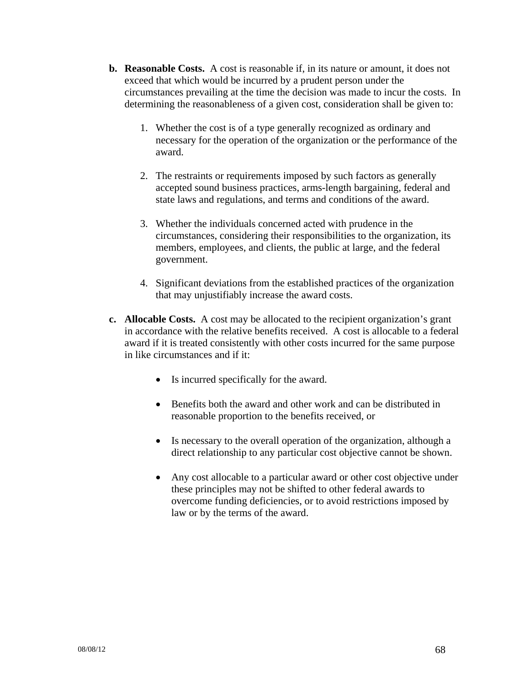- **b. Reasonable Costs.** A cost is reasonable if, in its nature or amount, it does not exceed that which would be incurred by a prudent person under the circumstances prevailing at the time the decision was made to incur the costs. In determining the reasonableness of a given cost, consideration shall be given to:
	- 1. Whether the cost is of a type generally recognized as ordinary and necessary for the operation of the organization or the performance of the award.
	- 2. The restraints or requirements imposed by such factors as generally accepted sound business practices, arms-length bargaining, federal and state laws and regulations, and terms and conditions of the award.
	- 3. Whether the individuals concerned acted with prudence in the circumstances, considering their responsibilities to the organization, its members, employees, and clients, the public at large, and the federal government.
	- 4. Significant deviations from the established practices of the organization that may unjustifiably increase the award costs.
- **c. Allocable Costs.** A cost may be allocated to the recipient organization's grant in accordance with the relative benefits received. A cost is allocable to a federal award if it is treated consistently with other costs incurred for the same purpose in like circumstances and if it:
	- Is incurred specifically for the award.
	- Benefits both the award and other work and can be distributed in reasonable proportion to the benefits received, or
	- Is necessary to the overall operation of the organization, although a direct relationship to any particular cost objective cannot be shown.
	- Any cost allocable to a particular award or other cost objective under these principles may not be shifted to other federal awards to overcome funding deficiencies, or to avoid restrictions imposed by law or by the terms of the award.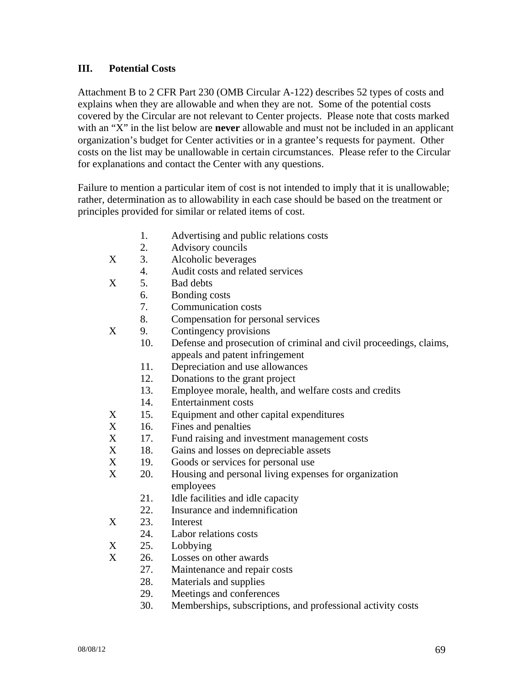### **III. Potential Costs**

Attachment B to 2 CFR Part 230 (OMB Circular A-122) describes 52 types of costs and explains when they are allowable and when they are not. Some of the potential costs covered by the Circular are not relevant to Center projects. Please note that costs marked with an "X" in the list below are **never** allowable and must not be included in an applicant organization's budget for Center activities or in a grantee's requests for payment. Other costs on the list may be unallowable in certain circumstances. Please refer to the Circular for explanations and contact the Center with any questions.

Failure to mention a particular item of cost is not intended to imply that it is unallowable; rather, determination as to allowability in each case should be based on the treatment or principles provided for similar or related items of cost.

- 1. Advertising and public relations costs
- 2. Advisory councils
- X 3. Alcoholic beverages
	- 4. Audit costs and related services
- X 5. Bad debts
	- 6. Bonding costs
		- 7. Communication costs
		- 8. Compensation for personal services
- X 9. Contingency provisions
	- 10. Defense and prosecution of criminal and civil proceedings, claims, appeals and patent infringement
		- 11. Depreciation and use allowances
	- 12. Donations to the grant project
	- 13. Employee morale, health, and welfare costs and credits
	- 14. Entertainment costs
- X 15. Equipment and other capital expenditures
- X 16. Fines and penalties
- X 17. Fund raising and investment management costs
- X 18. Gains and losses on depreciable assets
- X 19. Goods or services for personal use
- X 20. Housing and personal living expenses for organization employees
	- 21. Idle facilities and idle capacity
	- 22. Insurance and indemnification
- X 23. Interest
	- 24. Labor relations costs
- X 25. Lobbying
- X 26. Losses on other awards
	- 27. Maintenance and repair costs
	- 28. Materials and supplies
	- 29. Meetings and conferences
	- 30. Memberships, subscriptions, and professional activity costs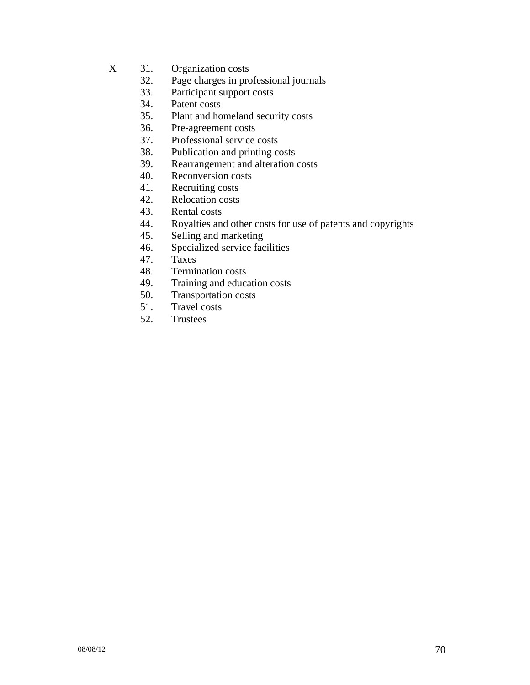- X 31. Organization costs
	- 32. Page charges in professional journals
	- 33. Participant support costs
	- 34. Patent costs
	- 35. Plant and homeland security costs
	- 36. Pre-agreement costs
	- 37. Professional service costs
	- 38. Publication and printing costs
	- 39. Rearrangement and alteration costs
	- 40. Reconversion costs
	- 41. Recruiting costs
	- 42. Relocation costs
	- 43. Rental costs
	- 44. Royalties and other costs for use of patents and copyrights
	- 45. Selling and marketing
	- 46. Specialized service facilities
	- 47. Taxes
	- 48. Termination costs
	- 49. Training and education costs
	- 50. Transportation costs
	- 51. Travel costs
	- 52. Trustees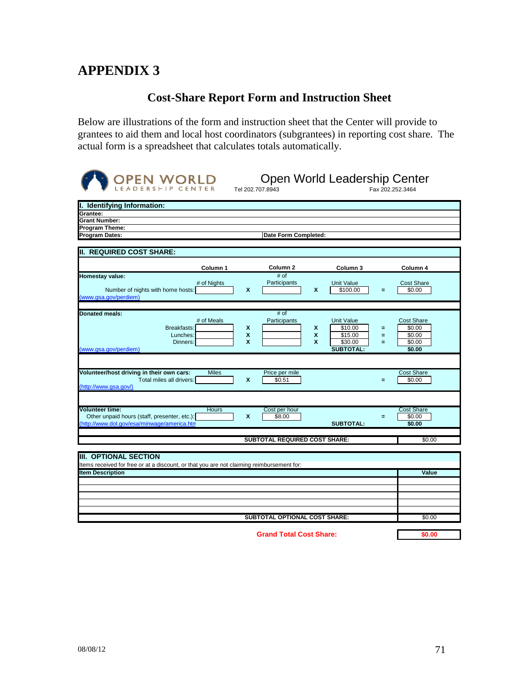# **APPENDIX 3**

# **Cost-Share Report Form and Instruction Sheet**

Below are illustrations of the form and instruction sheet that the Center will provide to grantees to aid them and local host coordinators (subgrantees) in reporting cost share. The actual form is a spreadsheet that calculates totals automatically.

| <b>OPEN WORLD</b>                                                                                                              |                                                    | Tel 202.707.8943                     |             | Open World Leadership Center                                           |               | Fax 202.252.3464                                          |
|--------------------------------------------------------------------------------------------------------------------------------|----------------------------------------------------|--------------------------------------|-------------|------------------------------------------------------------------------|---------------|-----------------------------------------------------------|
| I. Identifying Information:                                                                                                    |                                                    |                                      |             |                                                                        |               |                                                           |
| Grantee:                                                                                                                       |                                                    |                                      |             |                                                                        |               |                                                           |
| <b>Grant Number:</b>                                                                                                           |                                                    |                                      |             |                                                                        |               |                                                           |
| <b>Program Theme:</b><br><b>Program Dates:</b>                                                                                 |                                                    | Date Form Completed:                 |             |                                                                        |               |                                                           |
|                                                                                                                                |                                                    |                                      |             |                                                                        |               |                                                           |
| <b>II. REQUIRED COST SHARE:</b>                                                                                                |                                                    |                                      |             |                                                                        |               |                                                           |
| Column 1                                                                                                                       |                                                    | Column <sub>2</sub>                  |             | Column 3                                                               |               | Column 4                                                  |
| Homestay value:                                                                                                                |                                                    | # of                                 |             |                                                                        |               |                                                           |
| # of Nights<br>Number of nights with home hosts:<br>(www.gsa.gov/perdiem)                                                      | $\mathbf{x}$                                       | Participants                         | X           | <b>Unit Value</b><br>\$100.00                                          | $=$           | <b>Cost Share</b><br>\$0.00                               |
|                                                                                                                                |                                                    |                                      |             |                                                                        |               |                                                           |
| <b>Donated meals:</b><br># of Meals<br>Breakfasts:<br>Lunches:<br>Dinners:<br>(www.gsa.gov/perdiem)                            | X<br>$\boldsymbol{x}$<br>$\boldsymbol{\mathsf{x}}$ | # of<br>Participants                 | X<br>X<br>X | <b>Unit Value</b><br>\$10.00<br>\$15.00<br>\$30.00<br><b>SUBTOTAL:</b> | =<br>$=$<br>Ξ | <b>Cost Share</b><br>\$0.00<br>\$0.00<br>\$0.00<br>\$0.00 |
| Volunteer/host driving in their own cars:<br><b>Miles</b>                                                                      |                                                    | Price per mile                       |             |                                                                        |               | <b>Cost Share</b>                                         |
| Total miles all drivers:<br>(http://www.gsa.gov/)                                                                              | X                                                  | \$0.51                               |             |                                                                        | $=$           | \$0.00                                                    |
|                                                                                                                                |                                                    |                                      |             |                                                                        |               |                                                           |
| <b>Volunteer time:</b><br>Hours<br>Other unpaid hours (staff, presenter, etc.):<br>(http://www.dol.gov/esa/minwage/america.htm | X                                                  | Cost per hour<br>\$8.00              |             | <b>SUBTOTAL:</b>                                                       | Ξ.            | <b>Cost Share</b><br>\$0.00<br>\$0.00                     |
|                                                                                                                                |                                                    | <b>SUBTOTAL REQUIRED COST SHARE:</b> |             |                                                                        |               | \$0.00                                                    |
|                                                                                                                                |                                                    |                                      |             |                                                                        |               |                                                           |
| <b>III. OPTIONAL SECTION</b><br>Items received for free or at a discount, or that you are not claiming reimbursement for:      |                                                    |                                      |             |                                                                        |               |                                                           |
| <b>Item Description</b>                                                                                                        |                                                    |                                      |             |                                                                        |               | Value                                                     |
|                                                                                                                                |                                                    |                                      |             |                                                                        |               |                                                           |
|                                                                                                                                |                                                    |                                      |             |                                                                        |               |                                                           |
|                                                                                                                                |                                                    |                                      |             |                                                                        |               |                                                           |
|                                                                                                                                |                                                    |                                      |             |                                                                        |               |                                                           |
| SUBTOTAL OPTIONAL COST SHARE:                                                                                                  |                                                    |                                      |             |                                                                        | \$0.00        |                                                           |
| <b>Grand Total Cost Share:</b>                                                                                                 |                                                    |                                      |             | \$0.00                                                                 |               |                                                           |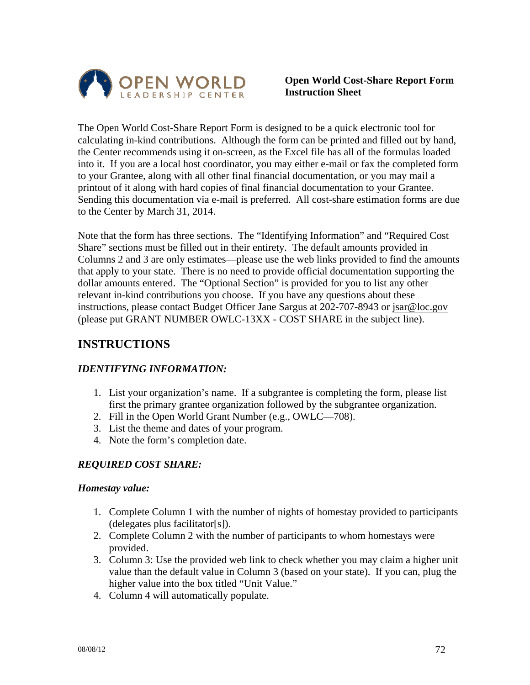

### **Open World Cost-Share Report Form Instruction Sheet**

The Open World Cost-Share Report Form is designed to be a quick electronic tool for calculating in-kind contributions. Although the form can be printed and filled out by hand, the Center recommends using it on-screen, as the Excel file has all of the formulas loaded into it. If you are a local host coordinator, you may either e-mail or fax the completed form to your Grantee, along with all other final financial documentation, or you may mail a printout of it along with hard copies of final financial documentation to your Grantee. Sending this documentation via e-mail is preferred. All cost-share estimation forms are due to the Center by March 31, 2014.

Note that the form has three sections. The "Identifying Information" and "Required Cost Share" sections must be filled out in their entirety. The default amounts provided in Columns 2 and 3 are only estimates—please use the web links provided to find the amounts that apply to your state. There is no need to provide official documentation supporting the dollar amounts entered. The "Optional Section" is provided for you to list any other relevant in-kind contributions you choose. If you have any questions about these instructions, please contact Budget Officer Jane Sargus at 202-707-8943 or jsar@loc.gov (please put GRANT NUMBER OWLC-13XX - COST SHARE in the subject line).

# **INSTRUCTIONS**

### *IDENTIFYING INFORMATION:*

- 1. List your organization's name. If a subgrantee is completing the form, please list first the primary grantee organization followed by the subgrantee organization.
- 2. Fill in the Open World Grant Number (e.g., OWLC—708).
- 3. List the theme and dates of your program.
- 4. Note the form's completion date.

# *REQUIRED COST SHARE:*

#### *Homestay value:*

- 1. Complete Column 1 with the number of nights of homestay provided to participants (delegates plus facilitator[s]).
- 2. Complete Column 2 with the number of participants to whom homestays were provided.
- 3. Column 3: Use the provided web link to check whether you may claim a higher unit value than the default value in Column 3 (based on your state). If you can, plug the higher value into the box titled "Unit Value."
- 4. Column 4 will automatically populate.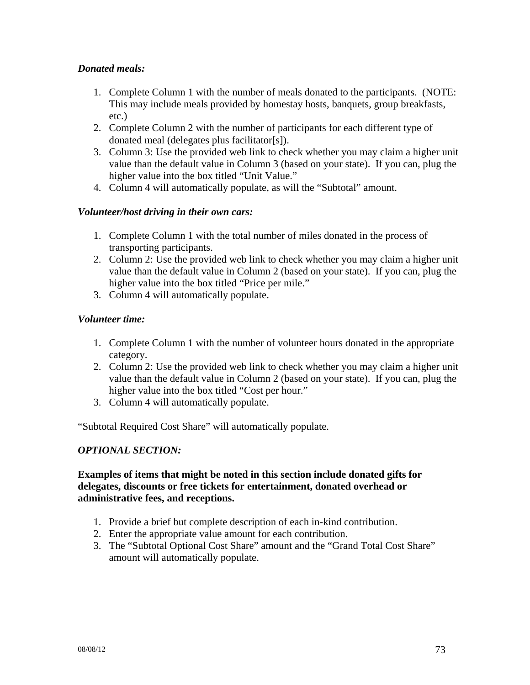## *Donated meals:*

- 1. Complete Column 1 with the number of meals donated to the participants. (NOTE: This may include meals provided by homestay hosts, banquets, group breakfasts, etc.)
- 2. Complete Column 2 with the number of participants for each different type of donated meal (delegates plus facilitator[s]).
- 3. Column 3: Use the provided web link to check whether you may claim a higher unit value than the default value in Column 3 (based on your state). If you can, plug the higher value into the box titled "Unit Value."
- 4. Column 4 will automatically populate, as will the "Subtotal" amount.

# *Volunteer/host driving in their own cars:*

- 1. Complete Column 1 with the total number of miles donated in the process of transporting participants.
- 2. Column 2: Use the provided web link to check whether you may claim a higher unit value than the default value in Column 2 (based on your state). If you can, plug the higher value into the box titled "Price per mile."
- 3. Column 4 will automatically populate.

## *Volunteer time:*

- 1. Complete Column 1 with the number of volunteer hours donated in the appropriate category.
- 2. Column 2: Use the provided web link to check whether you may claim a higher unit value than the default value in Column 2 (based on your state). If you can, plug the higher value into the box titled "Cost per hour."
- 3. Column 4 will automatically populate.

"Subtotal Required Cost Share" will automatically populate.

# *OPTIONAL SECTION:*

#### **Examples of items that might be noted in this section include donated gifts for delegates, discounts or free tickets for entertainment, donated overhead or administrative fees, and receptions.**

- 1. Provide a brief but complete description of each in-kind contribution.
- 2. Enter the appropriate value amount for each contribution.
- 3. The "Subtotal Optional Cost Share" amount and the "Grand Total Cost Share" amount will automatically populate.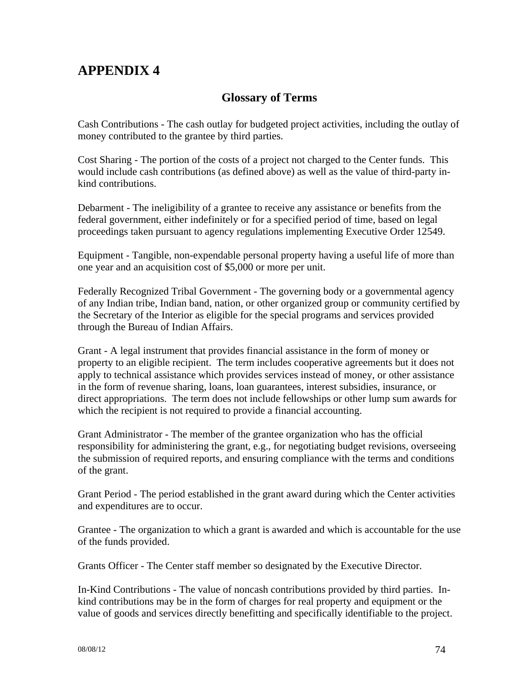# **APPENDIX 4**

# **Glossary of Terms**

Cash Contributions - The cash outlay for budgeted project activities, including the outlay of money contributed to the grantee by third parties.

Cost Sharing - The portion of the costs of a project not charged to the Center funds. This would include cash contributions (as defined above) as well as the value of third-party inkind contributions.

Debarment - The ineligibility of a grantee to receive any assistance or benefits from the federal government, either indefinitely or for a specified period of time, based on legal proceedings taken pursuant to agency regulations implementing Executive Order 12549.

Equipment - Tangible, non-expendable personal property having a useful life of more than one year and an acquisition cost of \$5,000 or more per unit.

Federally Recognized Tribal Government - The governing body or a governmental agency of any Indian tribe, Indian band, nation, or other organized group or community certified by the Secretary of the Interior as eligible for the special programs and services provided through the Bureau of Indian Affairs.

Grant - A legal instrument that provides financial assistance in the form of money or property to an eligible recipient. The term includes cooperative agreements but it does not apply to technical assistance which provides services instead of money, or other assistance in the form of revenue sharing, loans, loan guarantees, interest subsidies, insurance, or direct appropriations. The term does not include fellowships or other lump sum awards for which the recipient is not required to provide a financial accounting.

Grant Administrator - The member of the grantee organization who has the official responsibility for administering the grant, e.g., for negotiating budget revisions, overseeing the submission of required reports, and ensuring compliance with the terms and conditions of the grant.

Grant Period - The period established in the grant award during which the Center activities and expenditures are to occur.

Grantee - The organization to which a grant is awarded and which is accountable for the use of the funds provided.

Grants Officer - The Center staff member so designated by the Executive Director.

In-Kind Contributions - The value of noncash contributions provided by third parties. Inkind contributions may be in the form of charges for real property and equipment or the value of goods and services directly benefitting and specifically identifiable to the project.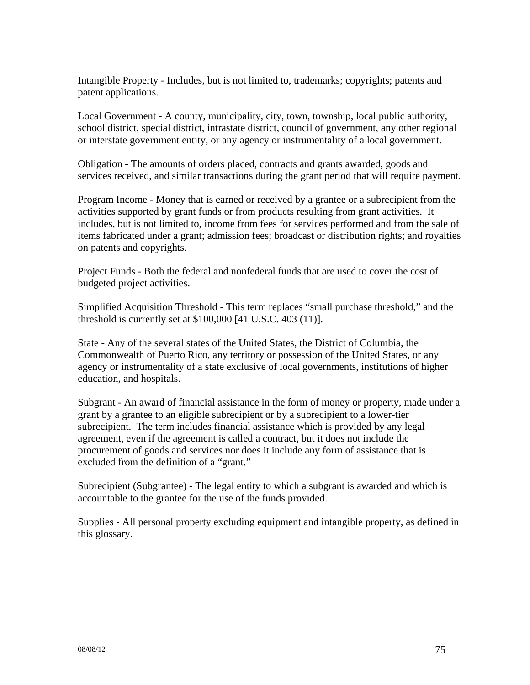Intangible Property - Includes, but is not limited to, trademarks; copyrights; patents and patent applications.

Local Government - A county, municipality, city, town, township, local public authority, school district, special district, intrastate district, council of government, any other regional or interstate government entity, or any agency or instrumentality of a local government.

Obligation - The amounts of orders placed, contracts and grants awarded, goods and services received, and similar transactions during the grant period that will require payment.

Program Income - Money that is earned or received by a grantee or a subrecipient from the activities supported by grant funds or from products resulting from grant activities. It includes, but is not limited to, income from fees for services performed and from the sale of items fabricated under a grant; admission fees; broadcast or distribution rights; and royalties on patents and copyrights.

Project Funds - Both the federal and nonfederal funds that are used to cover the cost of budgeted project activities.

Simplified Acquisition Threshold - This term replaces "small purchase threshold," and the threshold is currently set at \$100,000 [41 U.S.C. 403 (11)].

State - Any of the several states of the United States, the District of Columbia, the Commonwealth of Puerto Rico, any territory or possession of the United States, or any agency or instrumentality of a state exclusive of local governments, institutions of higher education, and hospitals.

Subgrant - An award of financial assistance in the form of money or property, made under a grant by a grantee to an eligible subrecipient or by a subrecipient to a lower-tier subrecipient. The term includes financial assistance which is provided by any legal agreement, even if the agreement is called a contract, but it does not include the procurement of goods and services nor does it include any form of assistance that is excluded from the definition of a "grant."

Subrecipient (Subgrantee) - The legal entity to which a subgrant is awarded and which is accountable to the grantee for the use of the funds provided.

Supplies - All personal property excluding equipment and intangible property, as defined in this glossary.